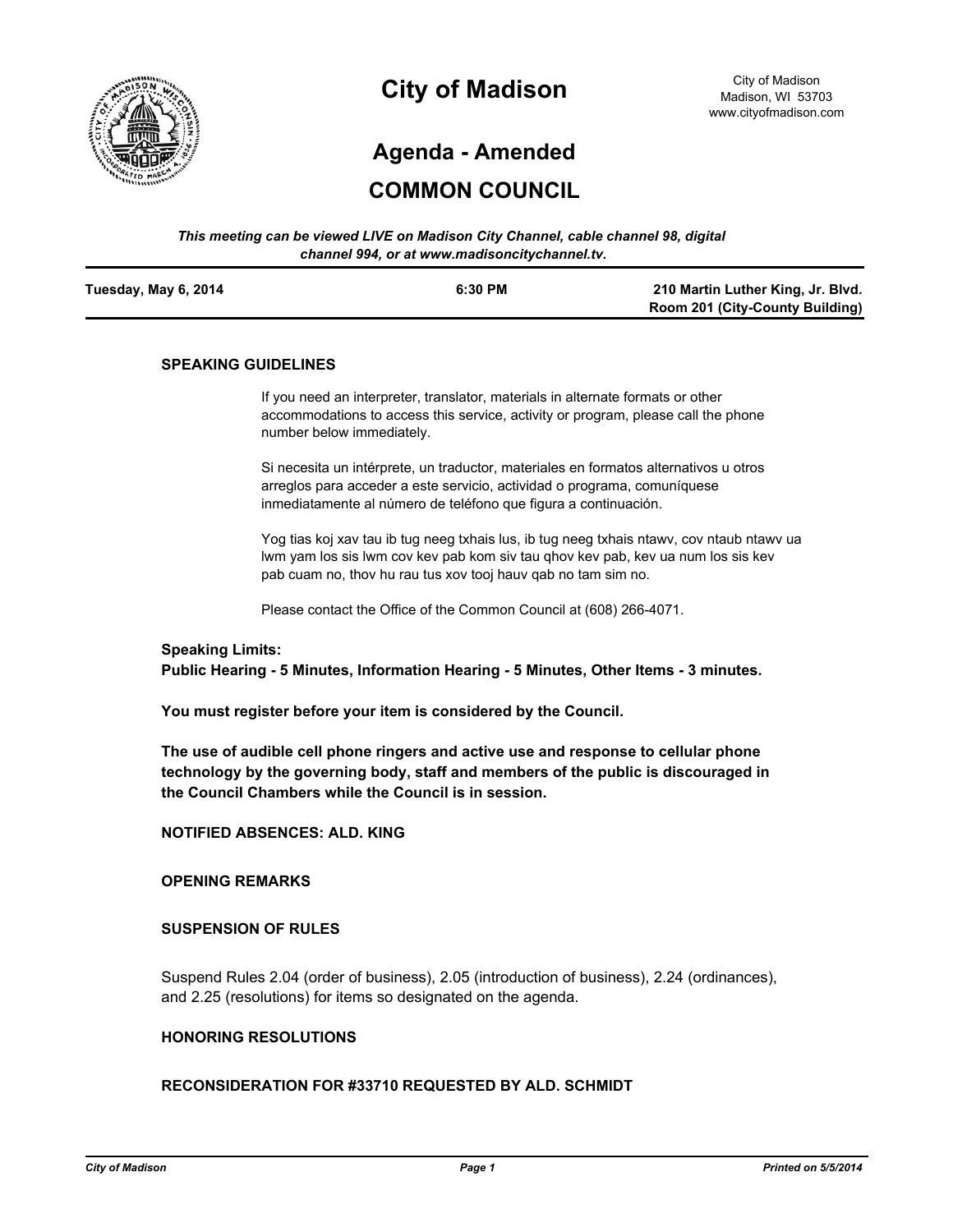

# **City of Madison**

# **Agenda - Amended**

# **COMMON COUNCIL**

| This meeting can be viewed LIVE on Madison City Channel, cable channel 98, digital |  |
|------------------------------------------------------------------------------------|--|
| channel 994, or at www.madisoncitychannel.tv.                                      |  |

| Tuesday, May 6, 2014 | 6:30 PM | 210 Martin Luther King, Jr. Blvd.      |
|----------------------|---------|----------------------------------------|
|                      |         | <b>Room 201 (City-County Building)</b> |

#### **SPEAKING GUIDELINES**

If you need an interpreter, translator, materials in alternate formats or other accommodations to access this service, activity or program, please call the phone number below immediately.

Si necesita un intérprete, un traductor, materiales en formatos alternativos u otros arreglos para acceder a este servicio, actividad o programa, comuníquese inmediatamente al número de teléfono que figura a continuación.

Yog tias koj xav tau ib tug neeg txhais lus, ib tug neeg txhais ntawv, cov ntaub ntawv ua lwm yam los sis lwm cov kev pab kom siv tau qhov kev pab, kev ua num los sis kev pab cuam no, thov hu rau tus xov tooj hauv qab no tam sim no.

Please contact the Office of the Common Council at (608) 266-4071.

#### **Speaking Limits:**

**Public Hearing - 5 Minutes, Information Hearing - 5 Minutes, Other Items - 3 minutes.**

**You must register before your item is considered by the Council.**

**The use of audible cell phone ringers and active use and response to cellular phone technology by the governing body, staff and members of the public is discouraged in the Council Chambers while the Council is in session.**

**NOTIFIED ABSENCES: ALD. KING**

# **OPENING REMARKS**

#### **SUSPENSION OF RULES**

Suspend Rules 2.04 (order of business), 2.05 (introduction of business), 2.24 (ordinances), and 2.25 (resolutions) for items so designated on the agenda.

## **HONORING RESOLUTIONS**

## **RECONSIDERATION FOR #33710 REQUESTED BY ALD. SCHMIDT**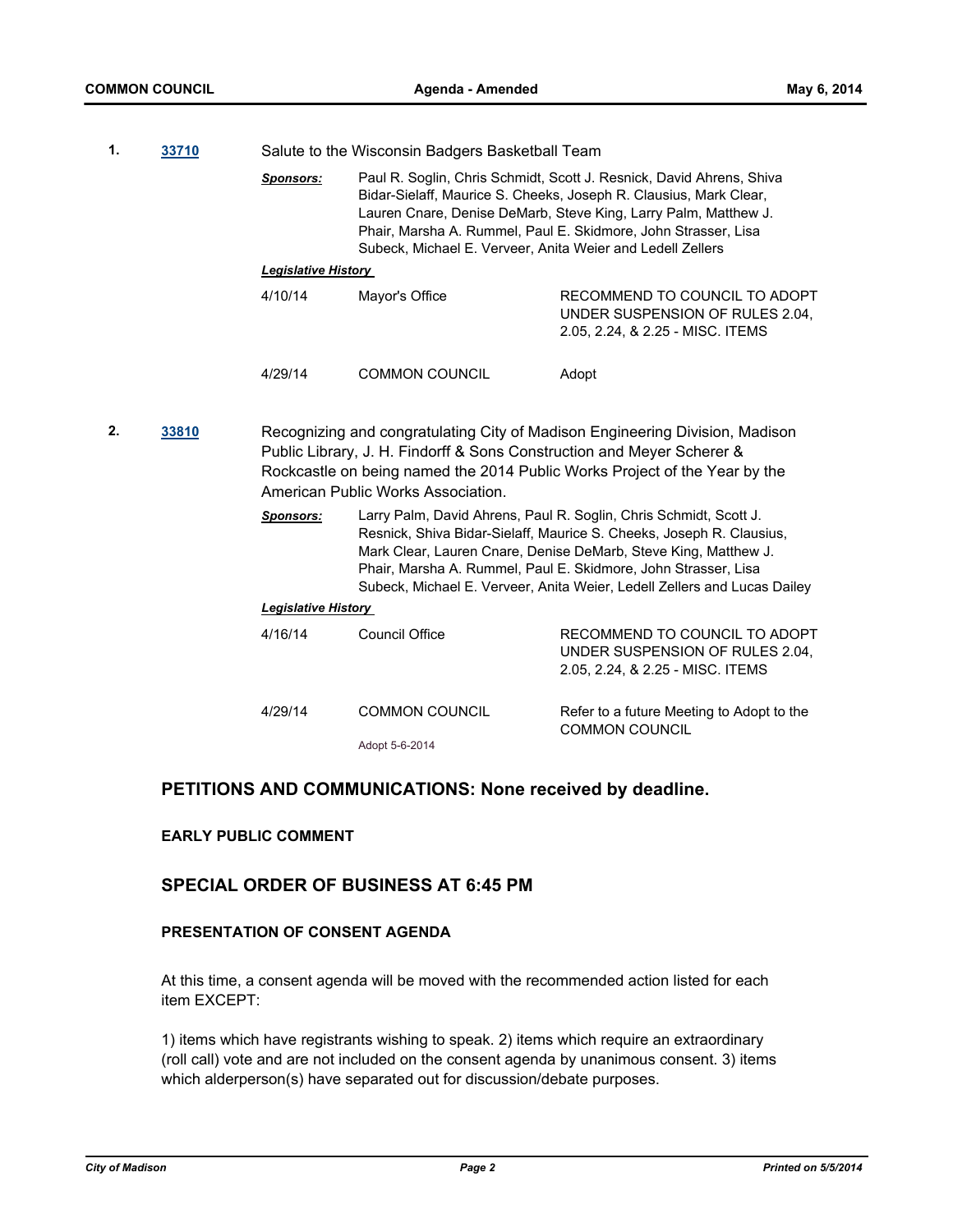| 1. | 33710 |                            | Salute to the Wisconsin Badgers Basketball Team                                                              |                                                                                                                                                                                                                                                                                                                                                            |  |
|----|-------|----------------------------|--------------------------------------------------------------------------------------------------------------|------------------------------------------------------------------------------------------------------------------------------------------------------------------------------------------------------------------------------------------------------------------------------------------------------------------------------------------------------------|--|
|    |       | <b>Sponsors:</b>           | Subeck, Michael E. Verveer, Anita Weier and Ledell Zellers                                                   | Paul R. Soglin, Chris Schmidt, Scott J. Resnick, David Ahrens, Shiva<br>Bidar-Sielaff, Maurice S. Cheeks, Joseph R. Clausius, Mark Clear,<br>Lauren Cnare, Denise DeMarb, Steve King, Larry Palm, Matthew J.<br>Phair, Marsha A. Rummel, Paul E. Skidmore, John Strasser, Lisa                                                                             |  |
|    |       | <b>Legislative History</b> |                                                                                                              |                                                                                                                                                                                                                                                                                                                                                            |  |
|    |       | 4/10/14                    | Mayor's Office                                                                                               | RECOMMEND TO COUNCIL TO ADOPT<br>UNDER SUSPENSION OF RULES 2.04,<br>2.05, 2.24, & 2.25 - MISC. ITEMS                                                                                                                                                                                                                                                       |  |
|    |       | 4/29/14                    | <b>COMMON COUNCIL</b>                                                                                        | Adopt                                                                                                                                                                                                                                                                                                                                                      |  |
| 2. | 33810 |                            | Public Library, J. H. Findorff & Sons Construction and Meyer Scherer &<br>American Public Works Association. | Recognizing and congratulating City of Madison Engineering Division, Madison<br>Rockcastle on being named the 2014 Public Works Project of the Year by the                                                                                                                                                                                                 |  |
|    |       | <b>Sponsors:</b>           |                                                                                                              | Larry Palm, David Ahrens, Paul R. Soglin, Chris Schmidt, Scott J.<br>Resnick, Shiva Bidar-Sielaff, Maurice S. Cheeks, Joseph R. Clausius,<br>Mark Clear, Lauren Cnare, Denise DeMarb, Steve King, Matthew J.<br>Phair, Marsha A. Rummel, Paul E. Skidmore, John Strasser, Lisa<br>Subeck, Michael E. Verveer, Anita Weier, Ledell Zellers and Lucas Dailey |  |
|    |       | <b>Legislative History</b> |                                                                                                              |                                                                                                                                                                                                                                                                                                                                                            |  |
|    |       | 4/16/14                    | Council Office                                                                                               | RECOMMEND TO COUNCIL TO ADOPT<br>UNDER SUSPENSION OF RULES 2.04,<br>2.05, 2.24, & 2.25 - MISC. ITEMS                                                                                                                                                                                                                                                       |  |
|    |       | 4/29/14                    | <b>COMMON COUNCIL</b>                                                                                        | Refer to a future Meeting to Adopt to the<br><b>COMMON COUNCIL</b>                                                                                                                                                                                                                                                                                         |  |

#### Adopt 5-6-2014

# **PETITIONS AND COMMUNICATIONS: None received by deadline.**

# **EARLY PUBLIC COMMENT**

# **SPECIAL ORDER OF BUSINESS AT 6:45 PM**

## **PRESENTATION OF CONSENT AGENDA**

At this time, a consent agenda will be moved with the recommended action listed for each item EXCEPT:

1) items which have registrants wishing to speak. 2) items which require an extraordinary (roll call) vote and are not included on the consent agenda by unanimous consent. 3) items which alderperson(s) have separated out for discussion/debate purposes.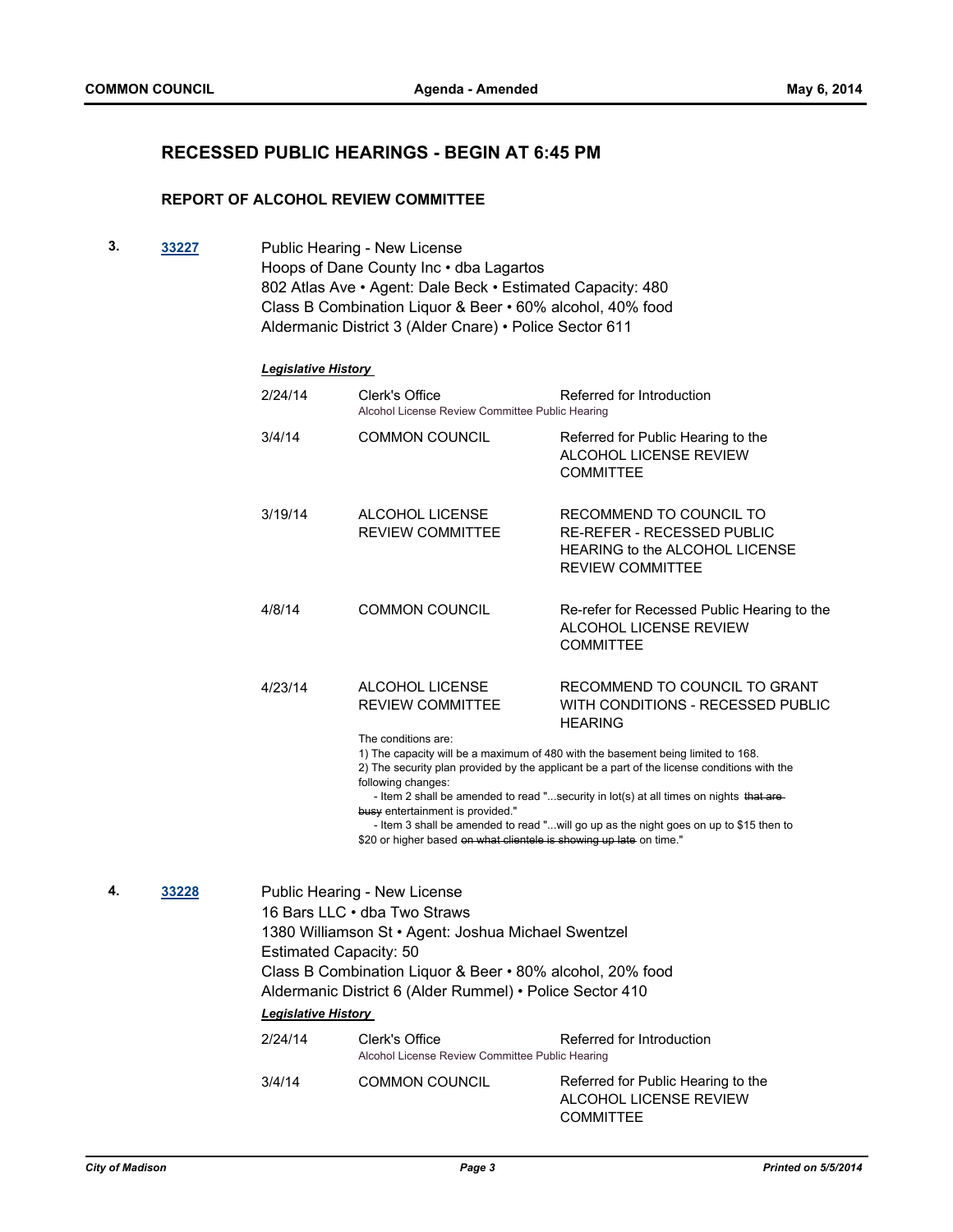# **RECESSED PUBLIC HEARINGS - BEGIN AT 6:45 PM**

## **REPORT OF ALCOHOL REVIEW COMMITTEE**

**3. [33227](http://madison.legistar.com/gateway.aspx?m=l&id=/matter.aspx?key=36286)** Public Hearing - New License Hoops of Dane County Inc • dba Lagartos 802 Atlas Ave • Agent: Dale Beck • Estimated Capacity: 480 Class B Combination Liquor & Beer • 60% alcohol, 40% food Aldermanic District 3 (Alder Cnare) • Police Sector 611

|    |       | 2/24/14                       | <b>Clerk's Office</b><br>Alcohol License Review Committee Public Hearing                                                                                                                                                                     | Referred for Introduction                                                                                                                                                                                                                                                                                                                                          |
|----|-------|-------------------------------|----------------------------------------------------------------------------------------------------------------------------------------------------------------------------------------------------------------------------------------------|--------------------------------------------------------------------------------------------------------------------------------------------------------------------------------------------------------------------------------------------------------------------------------------------------------------------------------------------------------------------|
|    |       | 3/4/14                        | <b>COMMON COUNCIL</b>                                                                                                                                                                                                                        | Referred for Public Hearing to the<br>ALCOHOL LICENSE REVIEW<br><b>COMMITTEE</b>                                                                                                                                                                                                                                                                                   |
|    |       | 3/19/14                       | ALCOHOL LICENSE<br><b>REVIEW COMMITTEE</b>                                                                                                                                                                                                   | RECOMMEND TO COUNCIL TO<br><b>RE-REFER - RECESSED PUBLIC</b><br><b>HEARING to the ALCOHOL LICENSE</b><br><b>REVIEW COMMITTEE</b>                                                                                                                                                                                                                                   |
|    |       | 4/8/14                        | <b>COMMON COUNCIL</b>                                                                                                                                                                                                                        | Re-refer for Recessed Public Hearing to the<br>ALCOHOL LICENSE REVIEW<br><b>COMMITTEE</b>                                                                                                                                                                                                                                                                          |
|    |       | 4/23/14                       | <b>ALCOHOL LICENSE</b><br><b>REVIEW COMMITTEE</b>                                                                                                                                                                                            | RECOMMEND TO COUNCIL TO GRANT<br>WITH CONDITIONS - RECESSED PUBLIC<br><b>HEARING</b>                                                                                                                                                                                                                                                                               |
|    |       |                               | The conditions are:<br>following changes:<br>busy entertainment is provided."<br>\$20 or higher based on what clientele is showing up late on time."                                                                                         | 1) The capacity will be a maximum of 480 with the basement being limited to 168.<br>2) The security plan provided by the applicant be a part of the license conditions with the<br>- Item 2 shall be amended to read "security in lot(s) at all times on nights that are-<br>- Item 3 shall be amended to read "will go up as the night goes on up to \$15 then to |
| 4. | 33228 | <b>Estimated Capacity: 50</b> | Public Hearing - New License<br>16 Bars LLC · dba Two Straws<br>1380 Williamson St · Agent: Joshua Michael Swentzel<br>Class B Combination Liquor & Beer . 80% alcohol, 20% food<br>Aldermanic District 6 (Alder Rummel) • Police Sector 410 |                                                                                                                                                                                                                                                                                                                                                                    |
|    |       | <b>Legislative History</b>    |                                                                                                                                                                                                                                              |                                                                                                                                                                                                                                                                                                                                                                    |
|    |       | 2/24/14                       | Clerk's Office<br>Alcohol License Review Committee Public Hearing                                                                                                                                                                            | Referred for Introduction                                                                                                                                                                                                                                                                                                                                          |
|    |       | 3/4/14                        | <b>COMMON COUNCIL</b>                                                                                                                                                                                                                        | Referred for Public Hearing to the<br>ALCOHOL LICENSE REVIEW<br>COMMITTEE                                                                                                                                                                                                                                                                                          |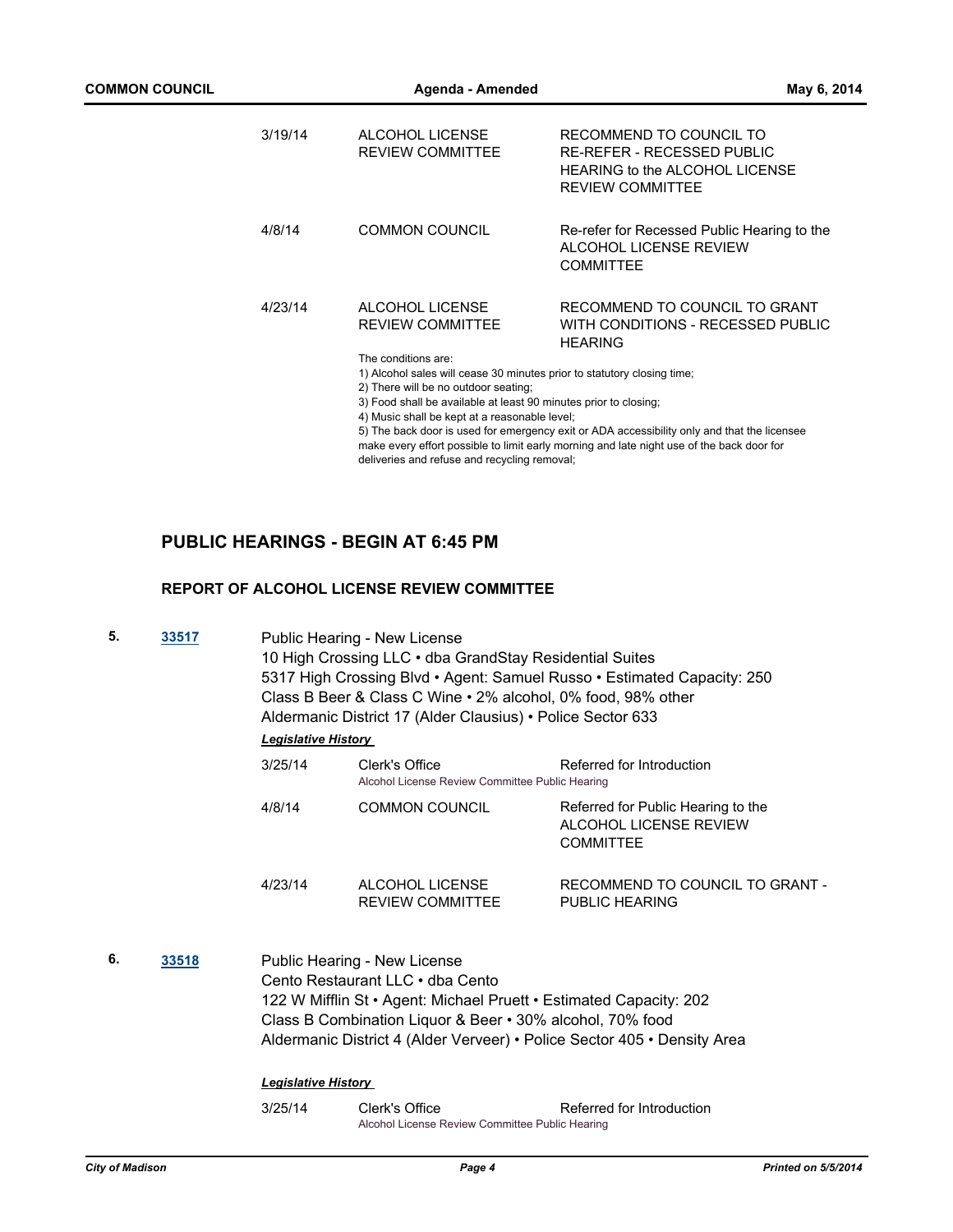| 3/19/14 | ALCOHOL LICENSE<br><b>REVIEW COMMITTEE</b>                                                                                                                                                                                                                                                                                                                    | RECOMMEND TO COUNCIL TO<br>RE-REFER - RECESSED PUBLIC<br><b>HEARING to the ALCOHOL LICENSE</b><br><b>REVIEW COMMITTEE</b> |  |
|---------|---------------------------------------------------------------------------------------------------------------------------------------------------------------------------------------------------------------------------------------------------------------------------------------------------------------------------------------------------------------|---------------------------------------------------------------------------------------------------------------------------|--|
| 4/8/14  | <b>COMMON COUNCIL</b>                                                                                                                                                                                                                                                                                                                                         | Re-refer for Recessed Public Hearing to the<br>ALCOHOL LICENSE REVIEW<br><b>COMMITTEE</b>                                 |  |
| 4/23/14 | ALCOHOL LICENSE<br><b>REVIEW COMMITTEE</b><br>The conditions are:                                                                                                                                                                                                                                                                                             | RECOMMEND TO COUNCIL TO GRANT<br>WITH CONDITIONS - RECESSED PUBLIC<br><b>HFARING</b>                                      |  |
|         | 1) Alcohol sales will cease 30 minutes prior to statutory closing time;<br>2) There will be no outdoor seating;                                                                                                                                                                                                                                               |                                                                                                                           |  |
|         | 3) Food shall be available at least 90 minutes prior to closing;<br>4) Music shall be kept at a reasonable level;<br>5) The back door is used for emergency exit or ADA accessibility only and that the licensee<br>make every effort possible to limit early morning and late night use of the back door for<br>deliveries and refuse and recycling removal; |                                                                                                                           |  |
|         |                                                                                                                                                                                                                                                                                                                                                               |                                                                                                                           |  |

# **PUBLIC HEARINGS - BEGIN AT 6:45 PM**

## **REPORT OF ALCOHOL LICENSE REVIEW COMMITTEE**

| 5. | 33517 | Public Hearing - New License<br>10 High Crossing LLC · dba GrandStay Residential Suites<br>5317 High Crossing Blvd • Agent: Samuel Russo • Estimated Capacity: 250<br>Class B Beer & Class C Wine . 2% alcohol, 0% food, 98% other<br>Aldermanic District 17 (Alder Clausius) • Police Sector 633<br><b>Legislative History</b> |                                                                                                                                                                                                     |                                                                                  |
|----|-------|---------------------------------------------------------------------------------------------------------------------------------------------------------------------------------------------------------------------------------------------------------------------------------------------------------------------------------|-----------------------------------------------------------------------------------------------------------------------------------------------------------------------------------------------------|----------------------------------------------------------------------------------|
|    |       | 3/25/14                                                                                                                                                                                                                                                                                                                         | Clerk's Office<br>Alcohol License Review Committee Public Hearing                                                                                                                                   | Referred for Introduction                                                        |
|    |       | 4/8/14                                                                                                                                                                                                                                                                                                                          | <b>COMMON COUNCIL</b>                                                                                                                                                                               | Referred for Public Hearing to the<br>ALCOHOL LICENSE REVIEW<br><b>COMMITTEE</b> |
|    |       | 4/23/14                                                                                                                                                                                                                                                                                                                         | ALCOHOL LICENSE<br><b>REVIEW COMMITTEE</b>                                                                                                                                                          | RECOMMEND TO COUNCIL TO GRANT -<br>PUBLIC HEARING                                |
| 6. | 33518 | <b>Legislative History</b>                                                                                                                                                                                                                                                                                                      | Public Hearing - New License<br>Cento Restaurant LLC . dba Cento<br>122 W Mifflin St • Agent: Michael Pruett • Estimated Capacity: 202<br>Class B Combination Liquor & Beer • 30% alcohol, 70% food | Aldermanic District 4 (Alder Verveer) • Police Sector 405 • Density Area         |
|    |       | 3/25/14                                                                                                                                                                                                                                                                                                                         | Clerk's Office<br>Alcohol License Review Committee Public Hearing                                                                                                                                   | Referred for Introduction                                                        |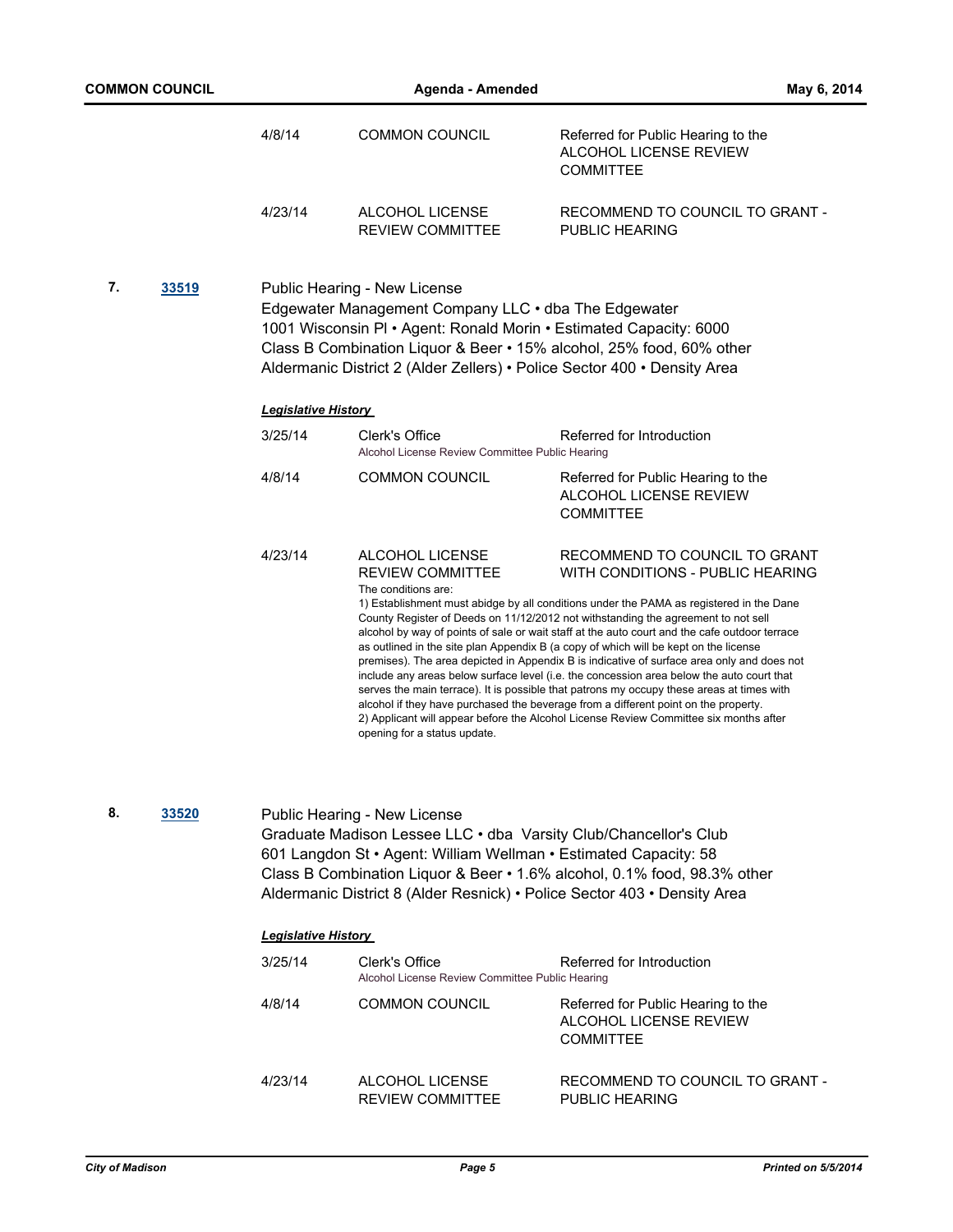|    |       | 4/8/14                                                                                                                                                                                                                                                                                                                                       | <b>COMMON COUNCIL</b>                                                                                                                                                                                                                            | Referred for Public Hearing to the<br><b>ALCOHOL LICENSE REVIEW</b><br><b>COMMITTEE</b>                                                                                                                                                                                                                                                                                                                                                                                                                                                                                                                                                                                                                                                                                                                                                                                                                            |
|----|-------|----------------------------------------------------------------------------------------------------------------------------------------------------------------------------------------------------------------------------------------------------------------------------------------------------------------------------------------------|--------------------------------------------------------------------------------------------------------------------------------------------------------------------------------------------------------------------------------------------------|--------------------------------------------------------------------------------------------------------------------------------------------------------------------------------------------------------------------------------------------------------------------------------------------------------------------------------------------------------------------------------------------------------------------------------------------------------------------------------------------------------------------------------------------------------------------------------------------------------------------------------------------------------------------------------------------------------------------------------------------------------------------------------------------------------------------------------------------------------------------------------------------------------------------|
|    |       | 4/23/14                                                                                                                                                                                                                                                                                                                                      | ALCOHOL LICENSE<br><b>REVIEW COMMITTEE</b>                                                                                                                                                                                                       | RECOMMEND TO COUNCIL TO GRANT -<br>PUBLIC HEARING                                                                                                                                                                                                                                                                                                                                                                                                                                                                                                                                                                                                                                                                                                                                                                                                                                                                  |
| 7. | 33519 | Public Hearing - New License<br>Edgewater Management Company LLC . dba The Edgewater<br>1001 Wisconsin PI · Agent: Ronald Morin · Estimated Capacity: 6000<br>Class B Combination Liquor & Beer • 15% alcohol, 25% food, 60% other<br>Aldermanic District 2 (Alder Zellers) • Police Sector 400 • Density Area<br><b>Legislative History</b> |                                                                                                                                                                                                                                                  |                                                                                                                                                                                                                                                                                                                                                                                                                                                                                                                                                                                                                                                                                                                                                                                                                                                                                                                    |
|    |       | 3/25/14                                                                                                                                                                                                                                                                                                                                      | Clerk's Office<br>Alcohol License Review Committee Public Hearing                                                                                                                                                                                | Referred for Introduction                                                                                                                                                                                                                                                                                                                                                                                                                                                                                                                                                                                                                                                                                                                                                                                                                                                                                          |
|    |       | 4/8/14                                                                                                                                                                                                                                                                                                                                       | <b>COMMON COUNCIL</b>                                                                                                                                                                                                                            | Referred for Public Hearing to the<br>ALCOHOL LICENSE REVIEW<br><b>COMMITTEE</b>                                                                                                                                                                                                                                                                                                                                                                                                                                                                                                                                                                                                                                                                                                                                                                                                                                   |
|    |       | 4/23/14                                                                                                                                                                                                                                                                                                                                      | ALCOHOL LICENSE<br><b>REVIEW COMMITTEE</b><br>The conditions are:<br>opening for a status update.                                                                                                                                                | RECOMMEND TO COUNCIL TO GRANT<br>WITH CONDITIONS - PUBLIC HEARING<br>1) Establishment must abidge by all conditions under the PAMA as registered in the Dane<br>County Register of Deeds on 11/12/2012 not withstanding the agreement to not sell<br>alcohol by way of points of sale or wait staff at the auto court and the cafe outdoor terrace<br>as outlined in the site plan Appendix B (a copy of which will be kept on the license<br>premises). The area depicted in Appendix B is indicative of surface area only and does not<br>include any areas below surface level (i.e. the concession area below the auto court that<br>serves the main terrace). It is possible that patrons my occupy these areas at times with<br>alcohol if they have purchased the beverage from a different point on the property.<br>2) Applicant will appear before the Alcohol License Review Committee six months after |
| 8. | 33520 |                                                                                                                                                                                                                                                                                                                                              | Public Hearing - New License<br>Graduate Madison Lessee LLC . dba Varsity Club/Chancellor's Club<br>601 Langdon St · Agent: William Wellman · Estimated Capacity: 58<br>Aldermanic District 8 (Alder Resnick) · Police Sector 403 · Density Area | Class B Combination Liquor & Beer • 1.6% alcohol, 0.1% food, 98.3% other                                                                                                                                                                                                                                                                                                                                                                                                                                                                                                                                                                                                                                                                                                                                                                                                                                           |

| 3/25/14 | Clerk's Office<br>Alcohol License Review Committee Public Hearing | Referred for Introduction                                                        |
|---------|-------------------------------------------------------------------|----------------------------------------------------------------------------------|
| 4/8/14  | <b>COMMON COUNCIL</b>                                             | Referred for Public Hearing to the<br>ALCOHOL LICENSE REVIEW<br><b>COMMITTEE</b> |
| 4/23/14 | ALCOHOL LICENSE<br><b>REVIEW COMMITTEE</b>                        | RECOMMEND TO COUNCIL TO GRANT -<br>PUBLIC HEARING                                |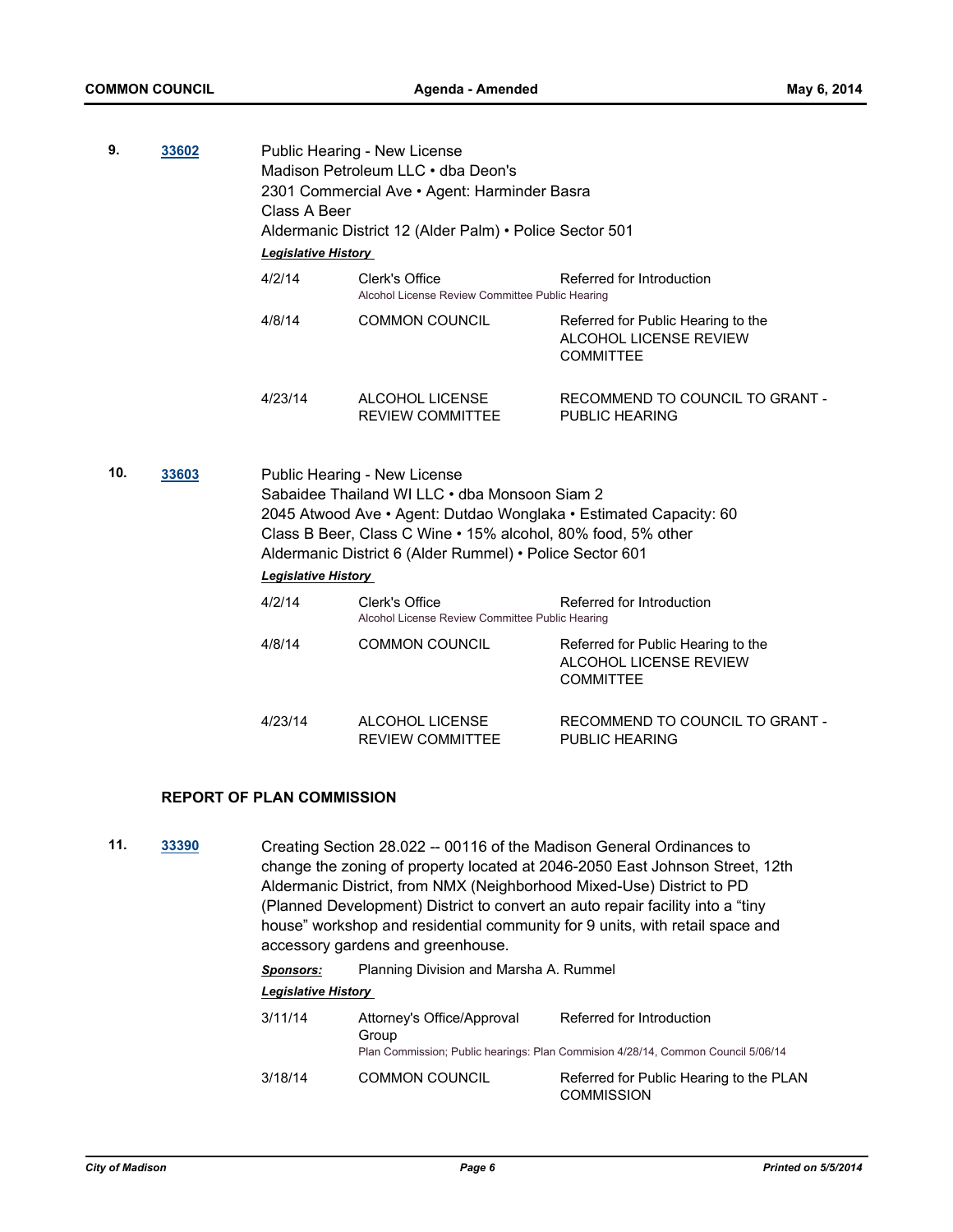| 9.  | 33602 | Public Hearing - New License<br>Madison Petroleum LLC · dba Deon's<br>2301 Commercial Ave · Agent: Harminder Basra<br>Class A Beer<br>Aldermanic District 12 (Alder Palm) • Police Sector 501<br><b>Legislative History</b>                                                                           |                                                                                                |                                                                                  |
|-----|-------|-------------------------------------------------------------------------------------------------------------------------------------------------------------------------------------------------------------------------------------------------------------------------------------------------------|------------------------------------------------------------------------------------------------|----------------------------------------------------------------------------------|
|     |       | 4/2/14                                                                                                                                                                                                                                                                                                | Referred for Introduction<br>Clerk's Office<br>Alcohol License Review Committee Public Hearing |                                                                                  |
|     |       | 4/8/14                                                                                                                                                                                                                                                                                                | <b>COMMON COUNCIL</b>                                                                          | Referred for Public Hearing to the<br>ALCOHOL LICENSE REVIEW<br><b>COMMITTEE</b> |
|     |       | 4/23/14                                                                                                                                                                                                                                                                                               | ALCOHOL LICENSE<br><b>REVIEW COMMITTEE</b>                                                     | RECOMMEND TO COUNCIL TO GRANT -<br><b>PUBLIC HEARING</b>                         |
| 10. | 33603 | Public Hearing - New License<br>Sabaidee Thailand WI LLC . dba Monsoon Siam 2<br>2045 Atwood Ave • Agent: Dutdao Wonglaka • Estimated Capacity: 60<br>Class B Beer, Class C Wine • 15% alcohol, 80% food, 5% other<br>Aldermanic District 6 (Alder Rummel) • Police Sector 601<br>Legislative History |                                                                                                |                                                                                  |
|     |       | 4/2/14                                                                                                                                                                                                                                                                                                | Clerk's Office<br>Alcohol License Review Committee Public Hearing                              | Referred for Introduction                                                        |
|     |       | 4/8/14                                                                                                                                                                                                                                                                                                | <b>COMMON COUNCIL</b>                                                                          | Referred for Public Hearing to the<br>ALCOHOL LICENSE REVIEW<br><b>COMMITTEE</b> |
|     |       | 4/23/14                                                                                                                                                                                                                                                                                               | ALCOHOL LICENSE<br><b>REVIEW COMMITTEE</b>                                                     | RECOMMEND TO COUNCIL TO GRANT -<br>PUBLIC HEARING                                |

# **REPORT OF PLAN COMMISSION**

**11. [33390](http://madison.legistar.com/gateway.aspx?m=l&id=/matter.aspx?key=36462)** Creating Section 28.022 -- 00116 of the Madison General Ordinances to change the zoning of property located at 2046-2050 East Johnson Street, 12th Aldermanic District, from NMX (Neighborhood Mixed-Use) District to PD (Planned Development) District to convert an auto repair facility into a "tiny house" workshop and residential community for 9 units, with retail space and accessory gardens and greenhouse.

| <b>Sponsors:</b> | Planning Division and Marsha A. Rummel |
|------------------|----------------------------------------|
|------------------|----------------------------------------|

| 3/11/14 | Attorney's Office/Approval<br>Group | Referred for Introduction<br>Plan Commission; Public hearings: Plan Commision 4/28/14, Common Council 5/06/14 |
|---------|-------------------------------------|---------------------------------------------------------------------------------------------------------------|
| 3/18/14 | <b>COMMON COUNCIL</b>               | Referred for Public Hearing to the PLAN<br><b>COMMISSION</b>                                                  |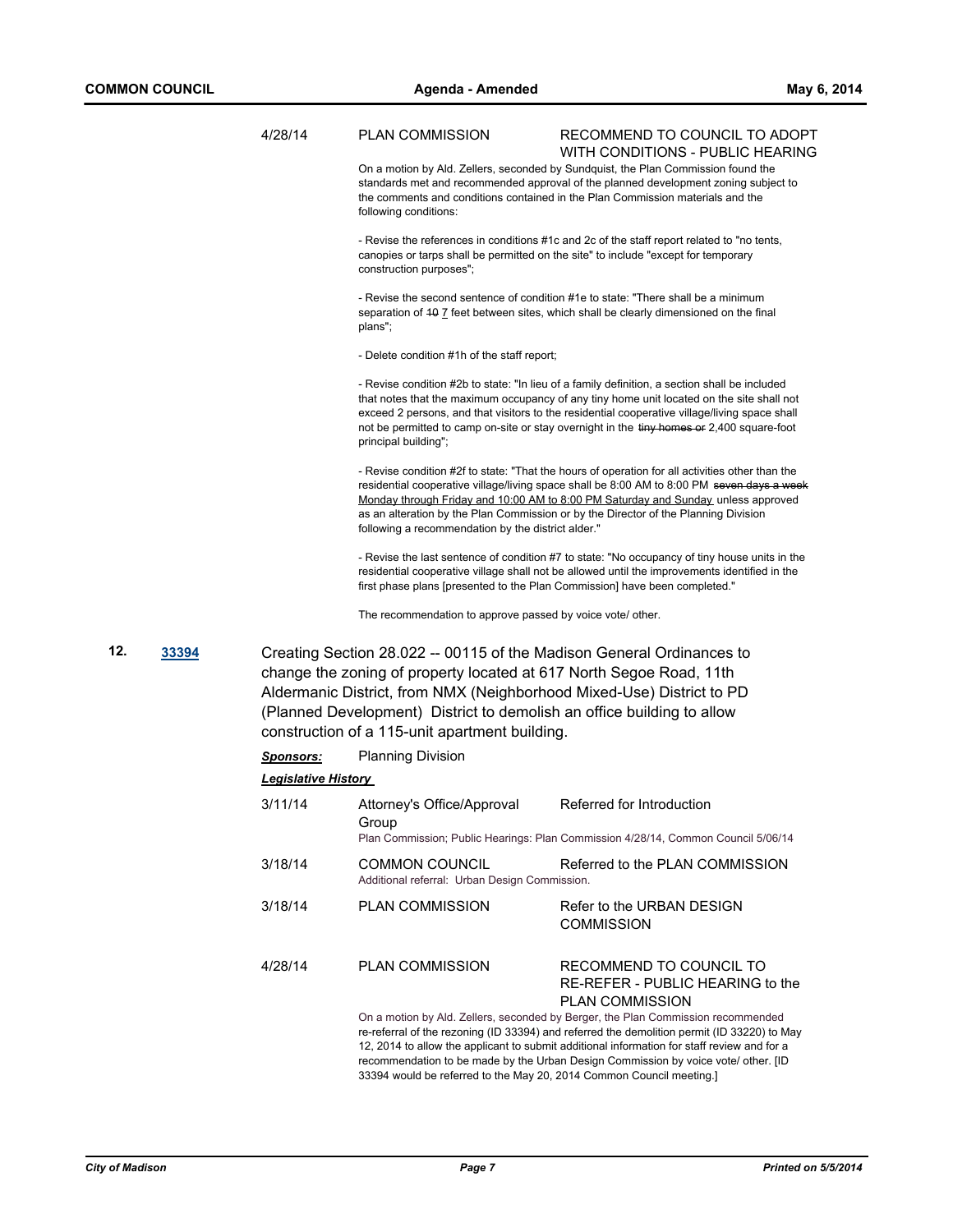|     |       | 4/28/14                     | <b>PLAN COMMISSION</b>                                                                                                                                                                                                                                                                                                                            | RECOMMEND TO COUNCIL TO ADOPT<br>WITH CONDITIONS - PUBLIC HEARING                                                                                                                                                                                                                                                                                                                        |
|-----|-------|-----------------------------|---------------------------------------------------------------------------------------------------------------------------------------------------------------------------------------------------------------------------------------------------------------------------------------------------------------------------------------------------|------------------------------------------------------------------------------------------------------------------------------------------------------------------------------------------------------------------------------------------------------------------------------------------------------------------------------------------------------------------------------------------|
|     |       |                             | following conditions:                                                                                                                                                                                                                                                                                                                             | On a motion by Ald. Zellers, seconded by Sundquist, the Plan Commission found the<br>standards met and recommended approval of the planned development zoning subject to<br>the comments and conditions contained in the Plan Commission materials and the                                                                                                                               |
|     |       |                             | construction purposes";                                                                                                                                                                                                                                                                                                                           | - Revise the references in conditions #1c and 2c of the staff report related to "no tents,<br>canopies or tarps shall be permitted on the site" to include "except for temporary                                                                                                                                                                                                         |
|     |       |                             | plans";                                                                                                                                                                                                                                                                                                                                           | - Revise the second sentence of condition #1e to state: "There shall be a minimum<br>separation of 40 7 feet between sites, which shall be clearly dimensioned on the final                                                                                                                                                                                                              |
|     |       |                             | - Delete condition #1h of the staff report;                                                                                                                                                                                                                                                                                                       |                                                                                                                                                                                                                                                                                                                                                                                          |
|     |       |                             | principal building";                                                                                                                                                                                                                                                                                                                              | - Revise condition #2b to state: "In lieu of a family definition, a section shall be included<br>that notes that the maximum occupancy of any tiny home unit located on the site shall not<br>exceed 2 persons, and that visitors to the residential cooperative village/living space shall<br>not be permitted to camp on-site or stay overnight in the tiny homes or 2,400 square-foot |
|     |       |                             | following a recommendation by the district alder."                                                                                                                                                                                                                                                                                                | - Revise condition #2f to state: "That the hours of operation for all activities other than the<br>residential cooperative village/living space shall be 8:00 AM to 8:00 PM seven days a week<br>Monday through Friday and 10:00 AM to 8:00 PM Saturday and Sunday unless approved<br>as an alteration by the Plan Commission or by the Director of the Planning Division                |
|     |       |                             | first phase plans [presented to the Plan Commission] have been completed."                                                                                                                                                                                                                                                                        | - Revise the last sentence of condition #7 to state: "No occupancy of tiny house units in the<br>residential cooperative village shall not be allowed until the improvements identified in the                                                                                                                                                                                           |
|     |       |                             | The recommendation to approve passed by voice vote/ other.                                                                                                                                                                                                                                                                                        |                                                                                                                                                                                                                                                                                                                                                                                          |
| 12. | 33394 |                             | Creating Section 28.022 -- 00115 of the Madison General Ordinances to<br>change the zoning of property located at 617 North Segoe Road, 11th<br>Aldermanic District, from NMX (Neighborhood Mixed-Use) District to PD<br>(Planned Development) District to demolish an office building to allow<br>construction of a 115-unit apartment building. |                                                                                                                                                                                                                                                                                                                                                                                          |
|     |       | <u>Sponsors:</u>            | <b>Planning Division</b>                                                                                                                                                                                                                                                                                                                          |                                                                                                                                                                                                                                                                                                                                                                                          |
|     |       | <u> Legislative History</u> |                                                                                                                                                                                                                                                                                                                                                   |                                                                                                                                                                                                                                                                                                                                                                                          |
|     |       | 3/11/14                     | Attorney's Office/Approval<br>Group                                                                                                                                                                                                                                                                                                               | Referred for Introduction<br>Plan Commission; Public Hearings: Plan Commission 4/28/14, Common Council 5/06/14                                                                                                                                                                                                                                                                           |
|     |       | 3/18/14                     | <b>COMMON COUNCIL</b><br>Additional referral: Urban Design Commission.                                                                                                                                                                                                                                                                            | Referred to the PLAN COMMISSION                                                                                                                                                                                                                                                                                                                                                          |
|     |       | 3/18/14                     | <b>PLAN COMMISSION</b>                                                                                                                                                                                                                                                                                                                            | Refer to the URBAN DESIGN<br><b>COMMISSION</b>                                                                                                                                                                                                                                                                                                                                           |
|     |       |                             |                                                                                                                                                                                                                                                                                                                                                   |                                                                                                                                                                                                                                                                                                                                                                                          |

4/28/14 PLAN COMMISSION RECOMMEND TO COUNCIL TO RE-REFER - PUBLIC HEARING to the PLAN COMMISSION

On a motion by Ald. Zellers, seconded by Berger, the Plan Commission recommended re-referral of the rezoning (ID 33394) and referred the demolition permit (ID 33220) to May 12, 2014 to allow the applicant to submit additional information for staff review and for a recommendation to be made by the Urban Design Commission by voice vote/ other. [ID 33394 would be referred to the May 20, 2014 Common Council meeting.]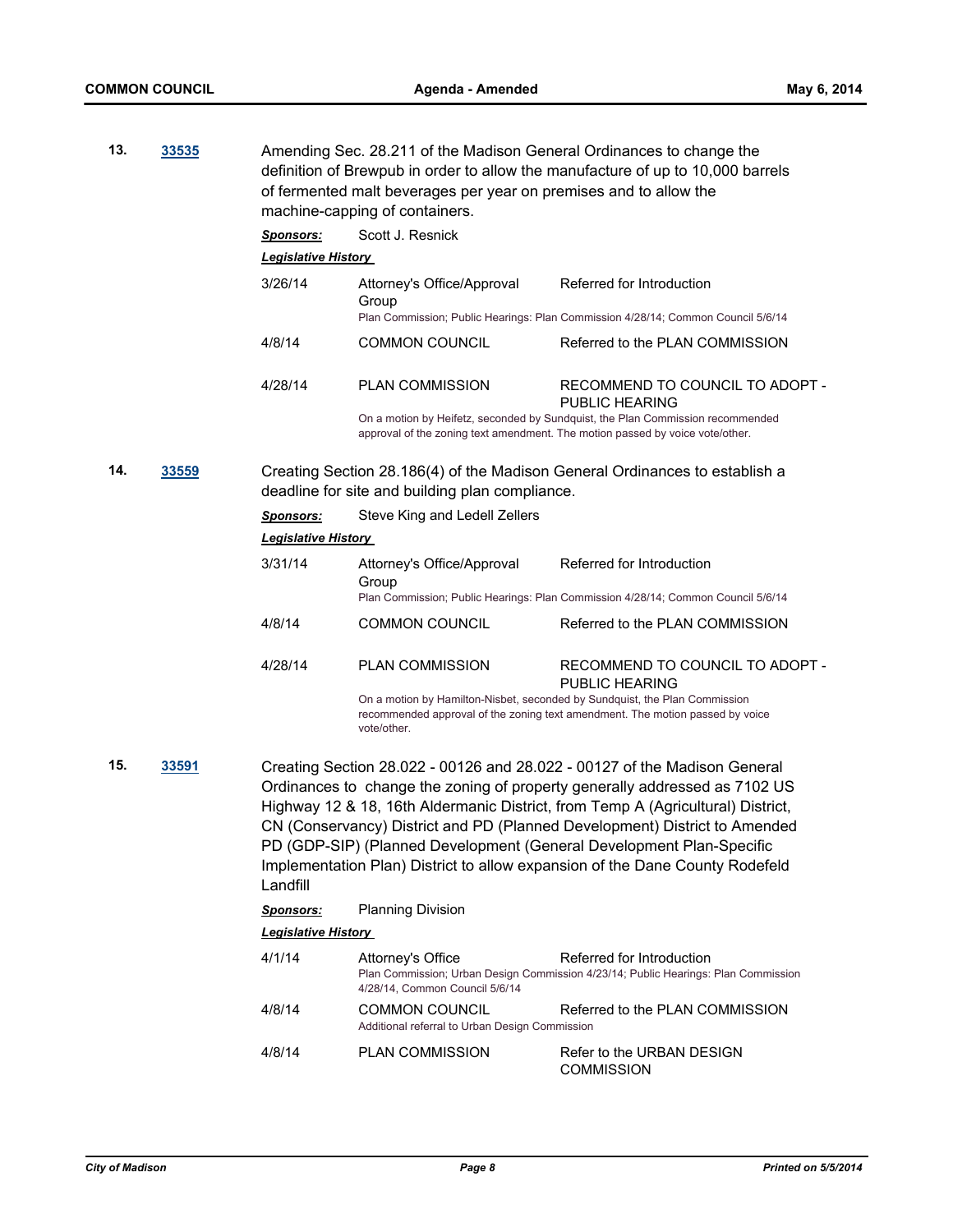| 13. | 33535        | Amending Sec. 28.211 of the Madison General Ordinances to change the<br>definition of Brewpub in order to allow the manufacture of up to 10,000 barrels<br>of fermented malt beverages per year on premises and to allow the<br>machine-capping of containers. |                                                                                           |                                                                                                                                                                                                                                                                                                                                                                                                                                                                                  |  |
|-----|--------------|----------------------------------------------------------------------------------------------------------------------------------------------------------------------------------------------------------------------------------------------------------------|-------------------------------------------------------------------------------------------|----------------------------------------------------------------------------------------------------------------------------------------------------------------------------------------------------------------------------------------------------------------------------------------------------------------------------------------------------------------------------------------------------------------------------------------------------------------------------------|--|
|     |              | <b>Sponsors:</b>                                                                                                                                                                                                                                               | Scott J. Resnick                                                                          |                                                                                                                                                                                                                                                                                                                                                                                                                                                                                  |  |
|     |              | <b>Legislative History</b>                                                                                                                                                                                                                                     |                                                                                           |                                                                                                                                                                                                                                                                                                                                                                                                                                                                                  |  |
|     |              | 3/26/14                                                                                                                                                                                                                                                        | Attorney's Office/Approval<br>Group                                                       | Referred for Introduction<br>Plan Commission; Public Hearings: Plan Commission 4/28/14; Common Council 5/6/14                                                                                                                                                                                                                                                                                                                                                                    |  |
|     |              |                                                                                                                                                                                                                                                                |                                                                                           |                                                                                                                                                                                                                                                                                                                                                                                                                                                                                  |  |
|     |              | 4/8/14                                                                                                                                                                                                                                                         | <b>COMMON COUNCIL</b>                                                                     | Referred to the PLAN COMMISSION                                                                                                                                                                                                                                                                                                                                                                                                                                                  |  |
|     |              | 4/28/14                                                                                                                                                                                                                                                        | <b>PLAN COMMISSION</b>                                                                    | RECOMMEND TO COUNCIL TO ADOPT -<br>PUBLIC HEARING                                                                                                                                                                                                                                                                                                                                                                                                                                |  |
|     |              |                                                                                                                                                                                                                                                                |                                                                                           | On a motion by Heifetz, seconded by Sundquist, the Plan Commission recommended<br>approval of the zoning text amendment. The motion passed by voice vote/other.                                                                                                                                                                                                                                                                                                                  |  |
| 14. | <u>33559</u> | Creating Section 28.186(4) of the Madison General Ordinances to establish a<br>deadline for site and building plan compliance.                                                                                                                                 |                                                                                           |                                                                                                                                                                                                                                                                                                                                                                                                                                                                                  |  |
|     |              | <b>Sponsors:</b>                                                                                                                                                                                                                                               | Steve King and Ledell Zellers                                                             |                                                                                                                                                                                                                                                                                                                                                                                                                                                                                  |  |
|     |              | <u> Legislative History</u>                                                                                                                                                                                                                                    |                                                                                           |                                                                                                                                                                                                                                                                                                                                                                                                                                                                                  |  |
|     |              | 3/31/14                                                                                                                                                                                                                                                        | Attorney's Office/Approval<br>Group                                                       | Referred for Introduction                                                                                                                                                                                                                                                                                                                                                                                                                                                        |  |
|     |              |                                                                                                                                                                                                                                                                |                                                                                           | Plan Commission; Public Hearings: Plan Commission 4/28/14; Common Council 5/6/14                                                                                                                                                                                                                                                                                                                                                                                                 |  |
|     |              | 4/8/14                                                                                                                                                                                                                                                         | <b>COMMON COUNCIL</b>                                                                     | Referred to the PLAN COMMISSION                                                                                                                                                                                                                                                                                                                                                                                                                                                  |  |
|     |              | 4/28/14                                                                                                                                                                                                                                                        | <b>PLAN COMMISSION</b>                                                                    | RECOMMEND TO COUNCIL TO ADOPT -<br>PUBLIC HEARING                                                                                                                                                                                                                                                                                                                                                                                                                                |  |
|     |              |                                                                                                                                                                                                                                                                | On a motion by Hamilton-Nisbet, seconded by Sundquist, the Plan Commission<br>vote/other. | recommended approval of the zoning text amendment. The motion passed by voice                                                                                                                                                                                                                                                                                                                                                                                                    |  |
| 15. | 33591        | Landfill                                                                                                                                                                                                                                                       |                                                                                           | Creating Section 28.022 - 00126 and 28.022 - 00127 of the Madison General<br>Ordinances to change the zoning of property generally addressed as 7102 US<br>Highway 12 & 18, 16th Aldermanic District, from Temp A (Agricultural) District,<br>CN (Conservancy) District and PD (Planned Development) District to Amended<br>PD (GDP-SIP) (Planned Development (General Development Plan-Specific<br>Implementation Plan) District to allow expansion of the Dane County Rodefeld |  |
|     |              | <u>Sponsors:</u>                                                                                                                                                                                                                                               | <b>Planning Division</b>                                                                  |                                                                                                                                                                                                                                                                                                                                                                                                                                                                                  |  |
|     |              | <b>Legislative History</b>                                                                                                                                                                                                                                     |                                                                                           |                                                                                                                                                                                                                                                                                                                                                                                                                                                                                  |  |
|     |              | 4/1/14                                                                                                                                                                                                                                                         | Attorney's Office<br>4/28/14, Common Council 5/6/14                                       | Referred for Introduction<br>Plan Commission; Urban Design Commission 4/23/14; Public Hearings: Plan Commission                                                                                                                                                                                                                                                                                                                                                                  |  |
|     |              | 4/8/14                                                                                                                                                                                                                                                         | <b>COMMON COUNCIL</b><br>Additional referral to Urban Design Commission                   | Referred to the PLAN COMMISSION                                                                                                                                                                                                                                                                                                                                                                                                                                                  |  |
|     |              | 4/8/14                                                                                                                                                                                                                                                         | PLAN COMMISSION                                                                           | Refer to the URBAN DESIGN<br><b>COMMISSION</b>                                                                                                                                                                                                                                                                                                                                                                                                                                   |  |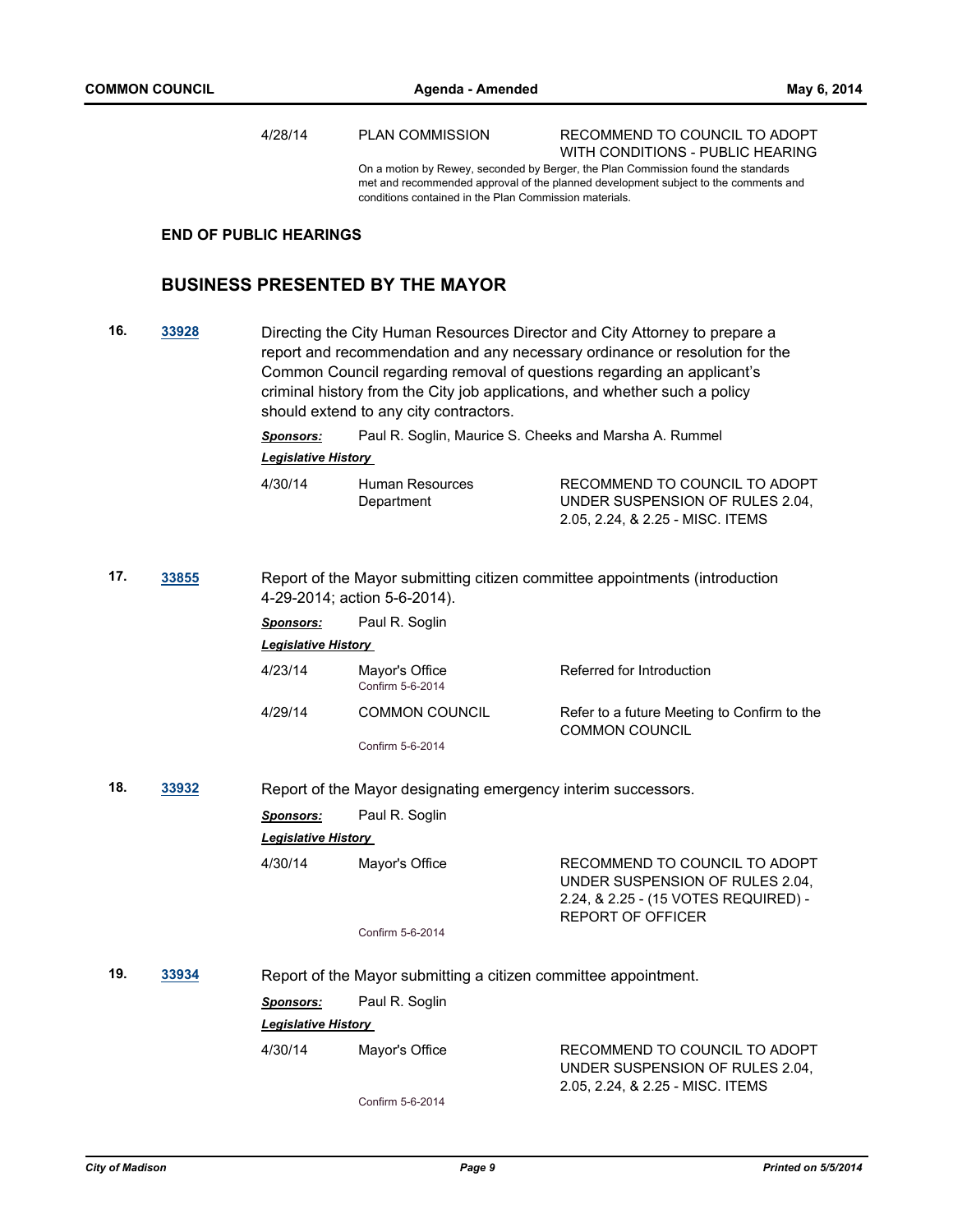4/28/14 PLAN COMMISSION RECOMMEND TO COUNCIL TO ADOPT WITH CONDITIONS - PUBLIC HEARING On a motion by Rewey, seconded by Berger, the Plan Commission found the standards met and recommended approval of the planned development subject to the comments and conditions contained in the Plan Commission materials. **END OF PUBLIC HEARINGS BUSINESS PRESENTED BY THE MAYOR 16. [33928](http://madison.legistar.com/gateway.aspx?m=l&id=/matter.aspx?key=37024)** Directing the City Human Resources Director and City Attorney to prepare a report and recommendation and any necessary ordinance or resolution for the Common Council regarding removal of questions regarding an applicant's criminal history from the City job applications, and whether such a policy should extend to any city contractors. *Sponsors:* Paul R. Soglin, Maurice S. Cheeks and Marsha A. Rummel *Legislative History*  4/30/14 Human Resources **Department** RECOMMEND TO COUNCIL TO ADOPT UNDER SUSPENSION OF RULES 2.04, 2.05, 2.24, & 2.25 - MISC. ITEMS **17. [33855](http://madison.legistar.com/gateway.aspx?m=l&id=/matter.aspx?key=36951)** Report of the Mayor submitting citizen committee appointments (introduction 4-29-2014; action 5-6-2014). *Sponsors:* Paul R. Soglin *Legislative History*  4/23/14 Mayor's Office Referred for Introduction Confirm 5-6-2014 4/29/14 COMMON COUNCIL Refer to a future Meeting to Confirm to the COMMON COUNCIL Confirm 5-6-2014 **18. [33932](http://madison.legistar.com/gateway.aspx?m=l&id=/matter.aspx?key=37028)** Report of the Mayor designating emergency interim successors. *Sponsors:* Paul R. Soglin *Legislative History*  4/30/14 Mayor's Office RECOMMEND TO COUNCIL TO ADOPT UNDER SUSPENSION OF RULES 2.04, 2.24, & 2.25 - (15 VOTES REQUIRED) - REPORT OF OFFICER Confirm 5-6-2014 **19. [33934](http://madison.legistar.com/gateway.aspx?m=l&id=/matter.aspx?key=37030)** Report of the Mayor submitting a citizen committee appointment. *Sponsors:* Paul R. Soglin *Legislative History*  4/30/14 Mayor's Office RECOMMEND TO COUNCIL TO ADOPT UNDER SUSPENSION OF RULES 2.04, 2.05, 2.24, & 2.25 - MISC. ITEMS

Confirm 5-6-2014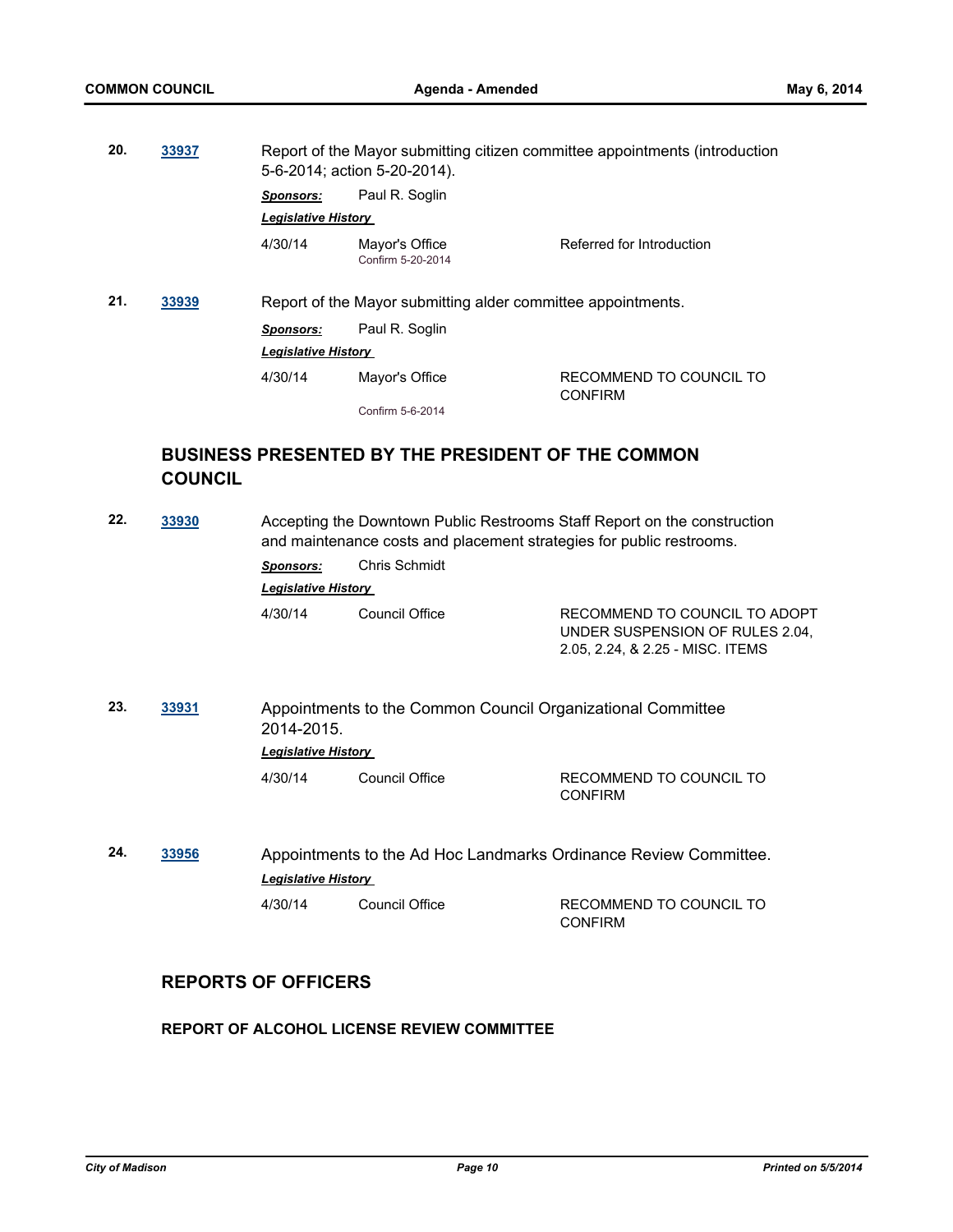| 20. | 33937 | Report of the Mayor submitting citizen committee appointments (introduction<br>5-6-2014; action 5-20-2014). |                                     |                                           |  |
|-----|-------|-------------------------------------------------------------------------------------------------------------|-------------------------------------|-------------------------------------------|--|
|     |       | <b>Sponsors:</b>                                                                                            | Paul R. Soglin                      |                                           |  |
|     |       | <b>Legislative History</b>                                                                                  |                                     |                                           |  |
|     |       | 4/30/14                                                                                                     | Mayor's Office<br>Confirm 5-20-2014 | Referred for Introduction                 |  |
| 21. | 33939 | Report of the Mayor submitting alder committee appointments.                                                |                                     |                                           |  |
|     |       | <b>Sponsors:</b>                                                                                            | Paul R. Soglin                      |                                           |  |
|     |       | <b>Legislative History</b>                                                                                  |                                     |                                           |  |
|     |       | 4/30/14                                                                                                     | Mayor's Office                      | RECOMMEND TO COUNCIL TO<br><b>CONFIRM</b> |  |
|     |       |                                                                                                             | Confirm 5-6-2014                    |                                           |  |
|     |       |                                                                                                             |                                     |                                           |  |

# **BUSINESS PRESENTED BY THE PRESIDENT OF THE COMMON COUNCIL**

| 22.                                                      | 33930 | Accepting the Downtown Public Restrooms Staff Report on the construction<br>and maintenance costs and placement strategies for public restrooms. |                |                                                                                                      |  |
|----------------------------------------------------------|-------|--------------------------------------------------------------------------------------------------------------------------------------------------|----------------|------------------------------------------------------------------------------------------------------|--|
|                                                          |       | <b>Sponsors:</b>                                                                                                                                 | Chris Schmidt  |                                                                                                      |  |
|                                                          |       | <b>Legislative History</b>                                                                                                                       |                |                                                                                                      |  |
|                                                          |       | 4/30/14                                                                                                                                          | Council Office | RECOMMEND TO COUNCIL TO ADOPT<br>UNDER SUSPENSION OF RULES 2.04.<br>2.05, 2.24, & 2.25 - MISC. ITEMS |  |
| 23.<br>33931<br>2014-2015.<br><b>Legislative History</b> |       | Appointments to the Common Council Organizational Committee                                                                                      |                |                                                                                                      |  |
|                                                          |       | 4/30/14                                                                                                                                          | Council Office | RECOMMEND TO COUNCIL TO<br><b>CONFIRM</b>                                                            |  |
| 24.                                                      | 33956 | <b>Legislative History</b>                                                                                                                       |                | Appointments to the Ad Hoc Landmarks Ordinance Review Committee.                                     |  |
|                                                          |       | 4/30/14                                                                                                                                          | Council Office | RECOMMEND TO COUNCIL TO<br><b>CONFIRM</b>                                                            |  |

# **REPORTS OF OFFICERS**

# **REPORT OF ALCOHOL LICENSE REVIEW COMMITTEE**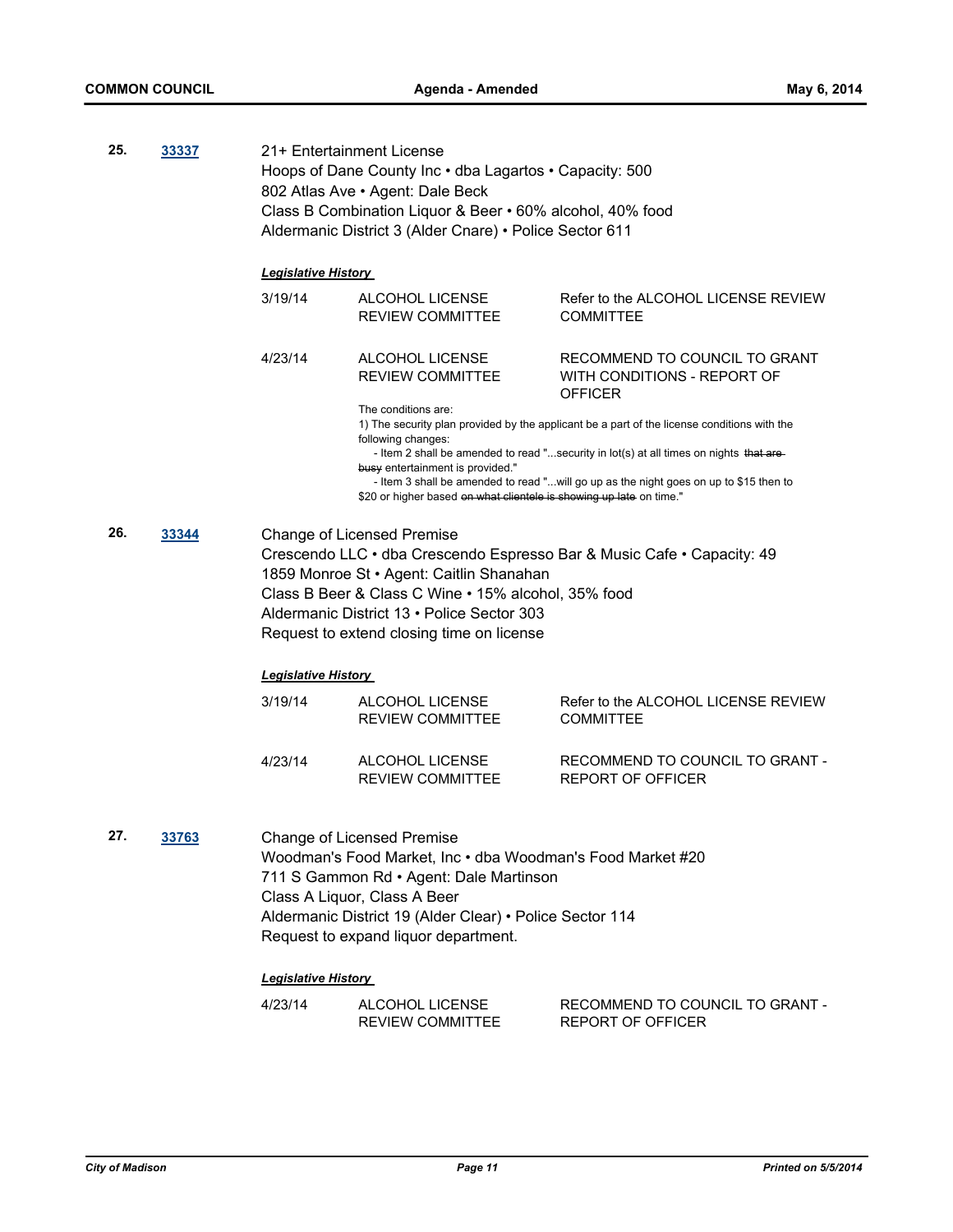| 25.                                                                                                                                                                                                                                                                                                   | 33337 |                              | 21+ Entertainment License<br>Hoops of Dane County Inc · dba Lagartos · Capacity: 500<br>802 Atlas Ave • Agent: Dale Beck<br>Class B Combination Liquor & Beer • 60% alcohol, 40% food<br>Aldermanic District 3 (Alder Cnare) • Police Sector 611 |                                                                                             |  |
|-------------------------------------------------------------------------------------------------------------------------------------------------------------------------------------------------------------------------------------------------------------------------------------------------------|-------|------------------------------|--------------------------------------------------------------------------------------------------------------------------------------------------------------------------------------------------------------------------------------------------|---------------------------------------------------------------------------------------------|--|
|                                                                                                                                                                                                                                                                                                       |       | <b>Legislative History</b>   |                                                                                                                                                                                                                                                  |                                                                                             |  |
|                                                                                                                                                                                                                                                                                                       |       | 3/19/14                      | ALCOHOL LICENSE<br><b>REVIEW COMMITTEE</b>                                                                                                                                                                                                       | Refer to the ALCOHOL LICENSE REVIEW<br><b>COMMITTEE</b>                                     |  |
|                                                                                                                                                                                                                                                                                                       |       | 4/23/14                      | ALCOHOL LICENSE<br><b>REVIEW COMMITTEE</b>                                                                                                                                                                                                       | RECOMMEND TO COUNCIL TO GRANT<br>WITH CONDITIONS - REPORT OF<br><b>OFFICER</b>              |  |
|                                                                                                                                                                                                                                                                                                       |       |                              | The conditions are:                                                                                                                                                                                                                              | 1) The security plan provided by the applicant be a part of the license conditions with the |  |
|                                                                                                                                                                                                                                                                                                       |       |                              | following changes:<br>busy entertainment is provided."                                                                                                                                                                                           | - Item 2 shall be amended to read "security in lot(s) at all times on nights that are-      |  |
|                                                                                                                                                                                                                                                                                                       |       |                              | \$20 or higher based on what clientele is showing up late on time."                                                                                                                                                                              | - Item 3 shall be amended to read "will go up as the night goes on up to \$15 then to       |  |
| 26.                                                                                                                                                                                                                                                                                                   | 33344 |                              | <b>Change of Licensed Premise</b><br>1859 Monroe St · Agent: Caitlin Shanahan<br>Class B Beer & Class C Wine • 15% alcohol, 35% food<br>Aldermanic District 13 · Police Sector 303<br>Request to extend closing time on license                  | Crescendo LLC · dba Crescendo Espresso Bar & Music Cafe · Capacity: 49                      |  |
|                                                                                                                                                                                                                                                                                                       |       | <u> Leqislative History </u> |                                                                                                                                                                                                                                                  |                                                                                             |  |
|                                                                                                                                                                                                                                                                                                       |       | 3/19/14                      | ALCOHOL LICENSE<br><b>REVIEW COMMITTEE</b>                                                                                                                                                                                                       | Refer to the ALCOHOL LICENSE REVIEW<br><b>COMMITTEE</b>                                     |  |
|                                                                                                                                                                                                                                                                                                       |       | 4/23/14                      | <b>ALCOHOL LICENSE</b><br><b>REVIEW COMMITTEE</b>                                                                                                                                                                                                | RECOMMEND TO COUNCIL TO GRANT -<br><b>REPORT OF OFFICER</b>                                 |  |
| 27.<br><u>33763</u><br><b>Change of Licensed Premise</b><br>Woodman's Food Market, Inc . dba Woodman's Food Market #20<br>711 S Gammon Rd · Agent: Dale Martinson<br>Class A Liquor, Class A Beer<br>Aldermanic District 19 (Alder Clear) · Police Sector 114<br>Request to expand liquor department. |       |                              |                                                                                                                                                                                                                                                  |                                                                                             |  |
|                                                                                                                                                                                                                                                                                                       |       | <b>Legislative History</b>   |                                                                                                                                                                                                                                                  |                                                                                             |  |
|                                                                                                                                                                                                                                                                                                       |       | 4/23/14                      | ALCOHOL LICENSE<br><b>REVIEW COMMITTEE</b>                                                                                                                                                                                                       | RECOMMEND TO COUNCIL TO GRANT -<br><b>REPORT OF OFFICER</b>                                 |  |
|                                                                                                                                                                                                                                                                                                       |       |                              |                                                                                                                                                                                                                                                  |                                                                                             |  |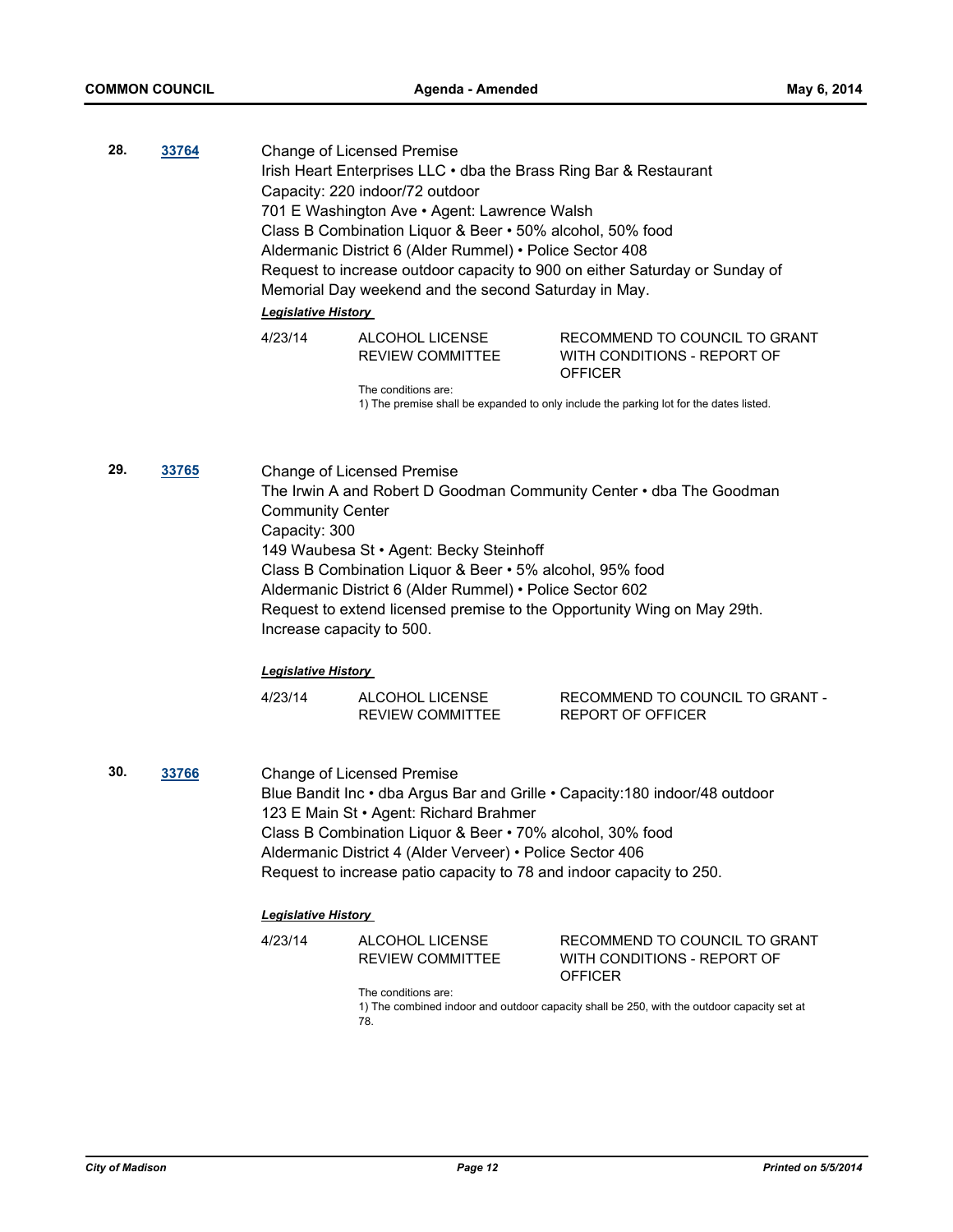**28. [33764](http://madison.legistar.com/gateway.aspx?m=l&id=/matter.aspx?key=36856)** Change of Licensed Premise Irish Heart Enterprises LLC • dba the Brass Ring Bar & Restaurant Capacity: 220 indoor/72 outdoor 701 E Washington Ave • Agent: Lawrence Walsh Class B Combination Liquor & Beer • 50% alcohol, 50% food Aldermanic District 6 (Alder Rummel) • Police Sector 408 Request to increase outdoor capacity to 900 on either Saturday or Sunday of Memorial Day weekend and the second Saturday in May. *Legislative History* 

| 4/23/14 | ALCOHOL LICENSE  | RECOMMEND TO COUNCIL TO GRANT |
|---------|------------------|-------------------------------|
|         | REVIEW COMMITTEE | WITH CONDITIONS - REPORT OF   |
|         |                  | <b>OFFICER</b>                |

The conditions are: 1) The premise shall be expanded to only include the parking lot for the dates listed.

**29. [33765](http://madison.legistar.com/gateway.aspx?m=l&id=/matter.aspx?key=36857)** Change of Licensed Premise The Irwin A and Robert D Goodman Community Center • dba The Goodman Community Center Capacity: 300 149 Waubesa St • Agent: Becky Steinhoff Class B Combination Liquor & Beer • 5% alcohol, 95% food Aldermanic District 6 (Alder Rummel) • Police Sector 602 Request to extend licensed premise to the Opportunity Wing on May 29th. Increase capacity to 500.

#### *Legislative History*

| 4/23/14 | ALCOHOL LICENSE         | RECOMMEND TO COUNCIL TO GRANT - |
|---------|-------------------------|---------------------------------|
|         | <b>REVIEW COMMITTEE</b> | REPORT OF OFFICER               |

**30. [33766](http://madison.legistar.com/gateway.aspx?m=l&id=/matter.aspx?key=36858)** Change of Licensed Premise Blue Bandit Inc • dba Argus Bar and Grille • Capacity:180 indoor/48 outdoor 123 E Main St • Agent: Richard Brahmer Class B Combination Liquor & Beer • 70% alcohol, 30% food Aldermanic District 4 (Alder Verveer) • Police Sector 406 Request to increase patio capacity to 78 and indoor capacity to 250.

## *Legislative History*

| 4/23/14 | ALCOHOL LICENSE         | RECOMMEND TO COUNCIL TO GRANT |
|---------|-------------------------|-------------------------------|
|         | <b>REVIEW COMMITTEE</b> | WITH CONDITIONS - REPORT OF   |
|         |                         | <b>OFFICER</b>                |

The conditions are:

1) The combined indoor and outdoor capacity shall be 250, with the outdoor capacity set at 78.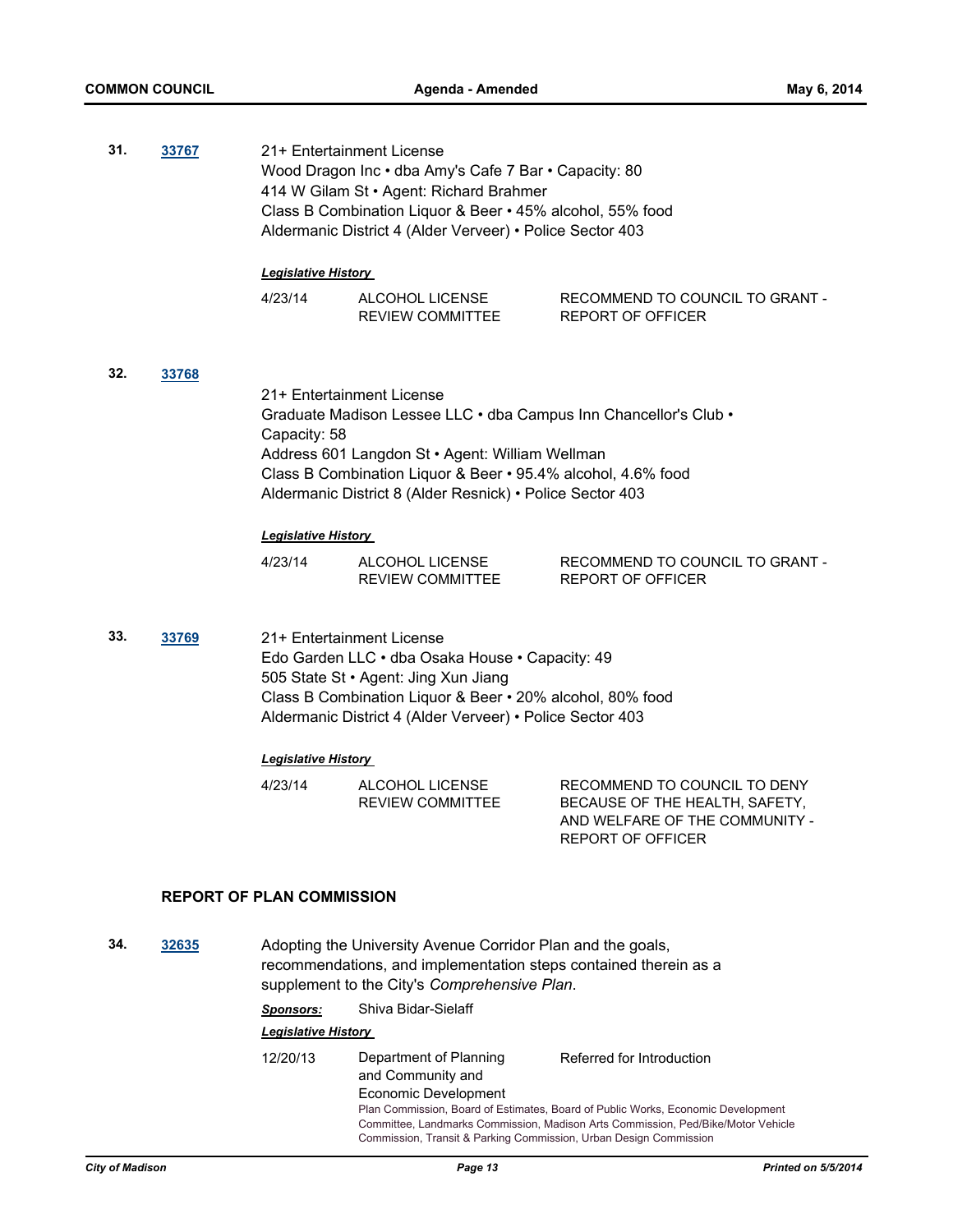| 31.                                                                                                                                                                                                                                                            | 33767 | <b>Legislative History</b>                                                                                                                                                                                                                                                                    | 21+ Entertainment License<br>Wood Dragon Inc . dba Amy's Cafe 7 Bar . Capacity: 80<br>414 W Gilam St · Agent: Richard Brahmer<br>Class B Combination Liquor & Beer • 45% alcohol, 55% food<br>Aldermanic District 4 (Alder Verveer) • Police Sector 403 |                                                                                                                              |  |
|----------------------------------------------------------------------------------------------------------------------------------------------------------------------------------------------------------------------------------------------------------------|-------|-----------------------------------------------------------------------------------------------------------------------------------------------------------------------------------------------------------------------------------------------------------------------------------------------|---------------------------------------------------------------------------------------------------------------------------------------------------------------------------------------------------------------------------------------------------------|------------------------------------------------------------------------------------------------------------------------------|--|
|                                                                                                                                                                                                                                                                |       | 4/23/14                                                                                                                                                                                                                                                                                       | ALCOHOL LICENSE                                                                                                                                                                                                                                         | RECOMMEND TO COUNCIL TO GRANT -                                                                                              |  |
|                                                                                                                                                                                                                                                                |       |                                                                                                                                                                                                                                                                                               | <b>REVIEW COMMITTEE</b>                                                                                                                                                                                                                                 | <b>REPORT OF OFFICER</b>                                                                                                     |  |
| 32.                                                                                                                                                                                                                                                            | 33768 | 21+ Entertainment License<br>Graduate Madison Lessee LLC . dba Campus Inn Chancellor's Club .<br>Capacity: 58<br>Address 601 Langdon St · Agent: William Wellman<br>Class B Combination Liquor & Beer • 95.4% alcohol, 4.6% food<br>Aldermanic District 8 (Alder Resnick) • Police Sector 403 |                                                                                                                                                                                                                                                         |                                                                                                                              |  |
|                                                                                                                                                                                                                                                                |       | <b>Legislative History</b>                                                                                                                                                                                                                                                                    |                                                                                                                                                                                                                                                         |                                                                                                                              |  |
|                                                                                                                                                                                                                                                                |       | 4/23/14                                                                                                                                                                                                                                                                                       | ALCOHOL LICENSE<br><b>REVIEW COMMITTEE</b>                                                                                                                                                                                                              | RECOMMEND TO COUNCIL TO GRANT -<br><b>REPORT OF OFFICER</b>                                                                  |  |
| 33.<br>33769<br>21+ Entertainment License<br>Edo Garden LLC · dba Osaka House · Capacity: 49<br>505 State St · Agent: Jing Xun Jiang<br>Class B Combination Liquor & Beer • 20% alcohol, 80% food<br>Aldermanic District 4 (Alder Verveer) • Police Sector 403 |       |                                                                                                                                                                                                                                                                                               |                                                                                                                                                                                                                                                         |                                                                                                                              |  |
|                                                                                                                                                                                                                                                                |       | <b>Legislative History</b>                                                                                                                                                                                                                                                                    |                                                                                                                                                                                                                                                         |                                                                                                                              |  |
|                                                                                                                                                                                                                                                                |       | 4/23/14                                                                                                                                                                                                                                                                                       | ALCOHOL LICENSE<br><b>REVIEW COMMITTEE</b>                                                                                                                                                                                                              | RECOMMEND TO COUNCIL TO DENY<br>BECAUSE OF THE HEALTH, SAFETY,<br>AND WELFARE OF THE COMMUNITY -<br><b>REPORT OF OFFICER</b> |  |
|                                                                                                                                                                                                                                                                |       | <b>REPORT OF PLAN COMMISSION</b>                                                                                                                                                                                                                                                              |                                                                                                                                                                                                                                                         |                                                                                                                              |  |
| 24                                                                                                                                                                                                                                                             | 22625 |                                                                                                                                                                                                                                                                                               | Adopting the University Avenue Cerrider Dlap and the goole                                                                                                                                                                                              |                                                                                                                              |  |

**34. [32635](http://madison.legistar.com/gateway.aspx?m=l&id=/matter.aspx?key=35663)** Adopting the University Avenue Corridor Plan and the goals, recommendations, and implementation steps contained therein as a supplement to the City's *Comprehensive Plan*.

*Sponsors:* Shiva Bidar-Sielaff

| 12/20/13                                                          | Department of Planning<br>and Community and | Referred for Introduction                                                                                                                                            |  |
|-------------------------------------------------------------------|---------------------------------------------|----------------------------------------------------------------------------------------------------------------------------------------------------------------------|--|
|                                                                   | Economic Development                        |                                                                                                                                                                      |  |
| Commission, Transit & Parking Commission, Urban Design Commission |                                             | Plan Commission, Board of Estimates, Board of Public Works, Economic Development<br>Committee, Landmarks Commission, Madison Arts Commission, Ped/Bike/Motor Vehicle |  |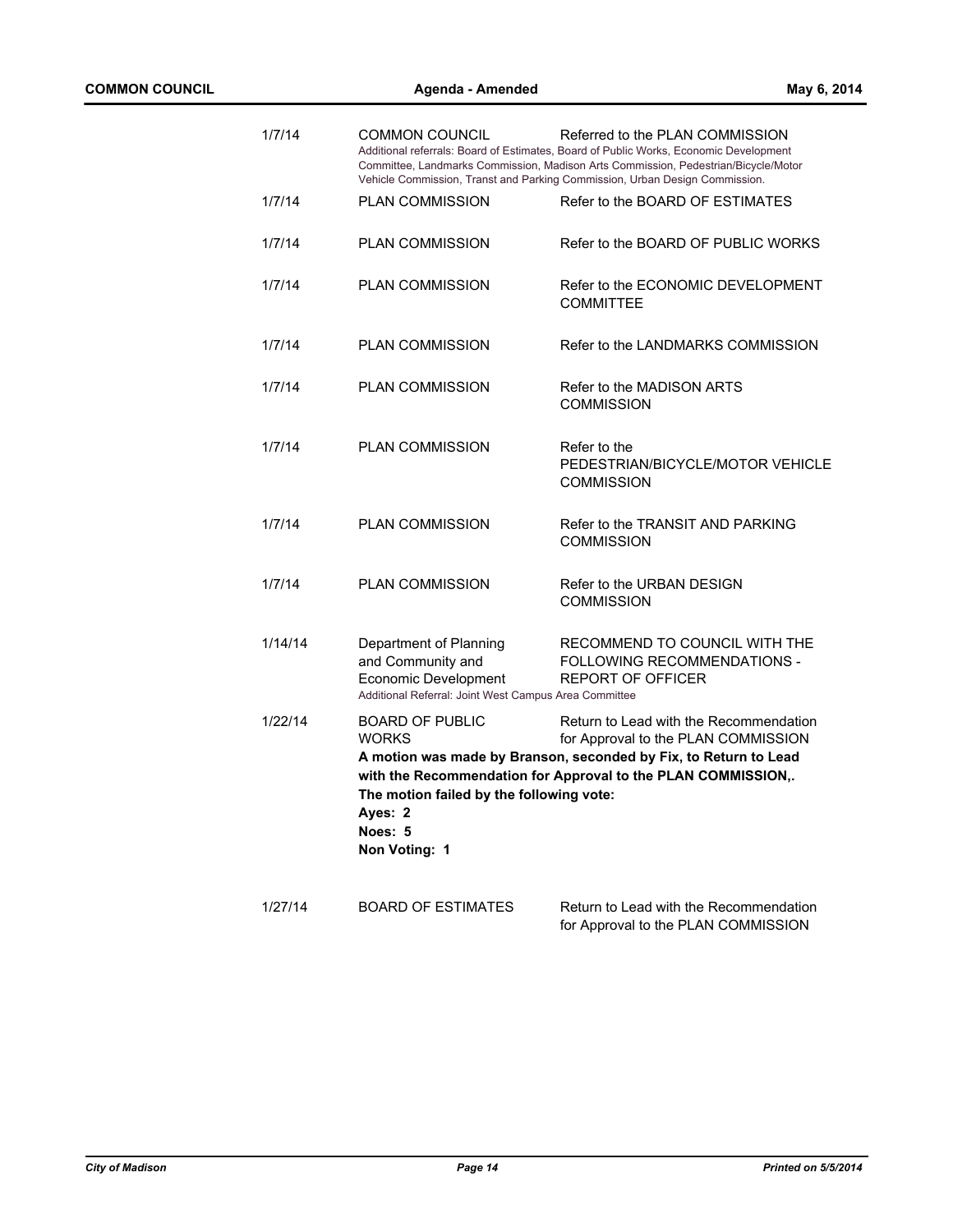| 1/7/14  | COMMON COUNCIL                                                                                                               | Referred to the PLAN COMMISSION<br>Additional referrals: Board of Estimates, Board of Public Works, Economic Development<br>Committee, Landmarks Commission, Madison Arts Commission, Pedestrian/Bicycle/Motor<br>Vehicle Commission, Transt and Parking Commission, Urban Design Commission. |
|---------|------------------------------------------------------------------------------------------------------------------------------|-----------------------------------------------------------------------------------------------------------------------------------------------------------------------------------------------------------------------------------------------------------------------------------------------|
| 1/7/14  | <b>PLAN COMMISSION</b>                                                                                                       | Refer to the BOARD OF ESTIMATES                                                                                                                                                                                                                                                               |
| 1/7/14  | <b>PLAN COMMISSION</b>                                                                                                       | Refer to the BOARD OF PUBLIC WORKS                                                                                                                                                                                                                                                            |
| 1/7/14  | <b>PLAN COMMISSION</b>                                                                                                       | Refer to the ECONOMIC DEVELOPMENT<br><b>COMMITTEE</b>                                                                                                                                                                                                                                         |
| 1/7/14  | <b>PLAN COMMISSION</b>                                                                                                       | Refer to the LANDMARKS COMMISSION                                                                                                                                                                                                                                                             |
| 1/7/14  | <b>PLAN COMMISSION</b>                                                                                                       | Refer to the MADISON ARTS<br><b>COMMISSION</b>                                                                                                                                                                                                                                                |
| 1/7/14  | <b>PLAN COMMISSION</b>                                                                                                       | Refer to the<br>PEDESTRIAN/BICYCLE/MOTOR VEHICLE<br><b>COMMISSION</b>                                                                                                                                                                                                                         |
| 1/7/14  | <b>PLAN COMMISSION</b>                                                                                                       | Refer to the TRANSIT AND PARKING<br><b>COMMISSION</b>                                                                                                                                                                                                                                         |
| 1/7/14  | PLAN COMMISSION                                                                                                              | Refer to the URBAN DESIGN<br><b>COMMISSION</b>                                                                                                                                                                                                                                                |
| 1/14/14 | Department of Planning<br>and Community and<br>Economic Development<br>Additional Referral: Joint West Campus Area Committee | RECOMMEND TO COUNCIL WITH THE<br><b>FOLLOWING RECOMMENDATIONS -</b><br><b>REPORT OF OFFICER</b>                                                                                                                                                                                               |
| 1/22/14 | <b>BOARD OF PUBLIC</b><br><b>WORKS</b><br>The motion failed by the following vote:<br>Ayes: 2<br>Noes: 5<br>Non Voting: 1    | Return to Lead with the Recommendation<br>for Approval to the PLAN COMMISSION<br>A motion was made by Branson, seconded by Fix, to Return to Lead<br>with the Recommendation for Approval to the PLAN COMMISSION,.                                                                            |
| 1/27/14 | <b>BOARD OF ESTIMATES</b>                                                                                                    | Return to Lead with the Recommendation<br>for Approval to the PLAN COMMISSION                                                                                                                                                                                                                 |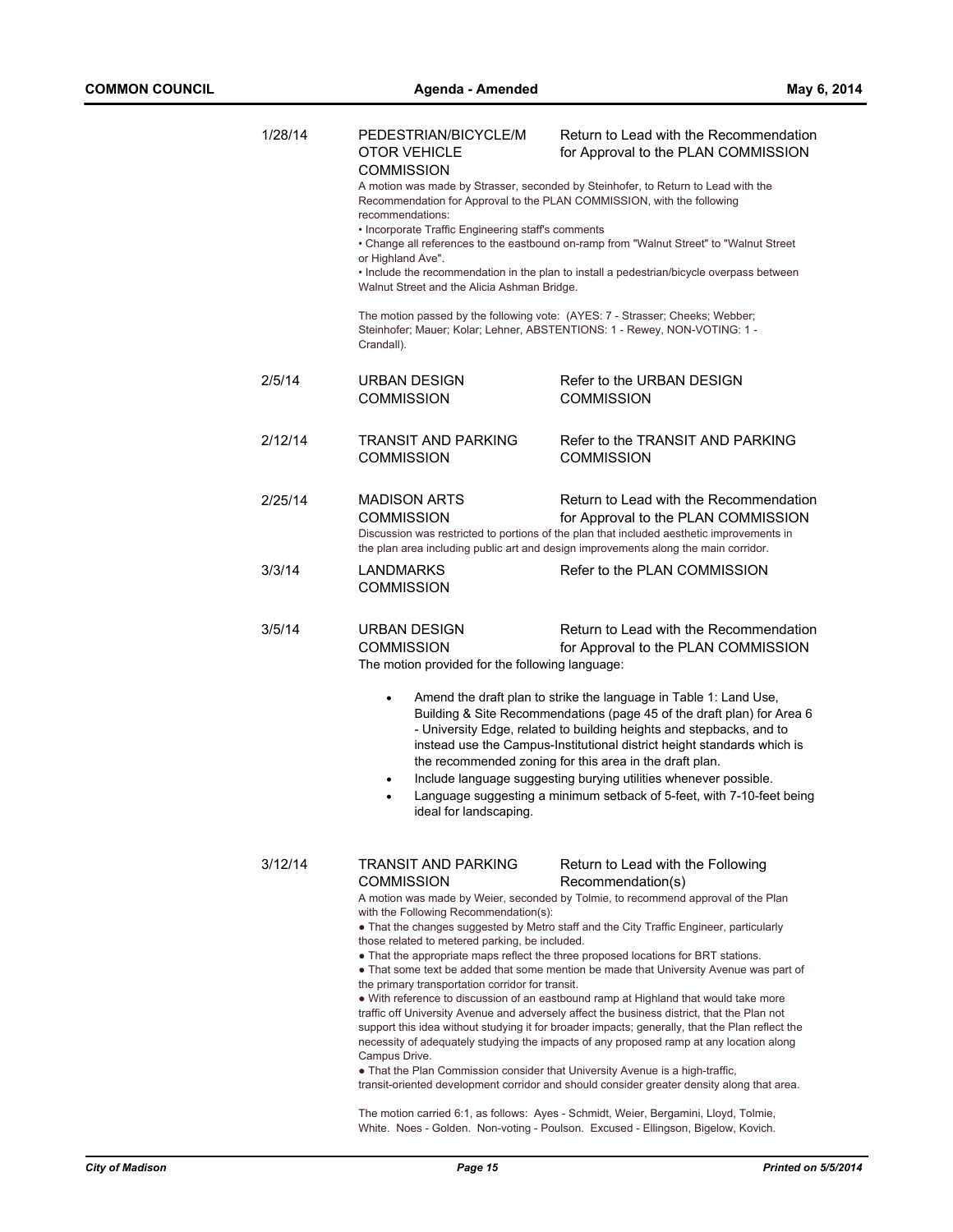| 1/28/14 | PEDESTRIAN/BICYCLE/M<br><b>OTOR VEHICLE</b><br>COMMISSION<br>recommendations:<br>• Incorporate Traffic Engineering staff's comments<br>or Highland Ave".<br>Walnut Street and the Alicia Ashman Bridge. | Return to Lead with the Recommendation<br>for Approval to the PLAN COMMISSION<br>A motion was made by Strasser, seconded by Steinhofer, to Return to Lead with the<br>Recommendation for Approval to the PLAN COMMISSION, with the following<br>• Change all references to the eastbound on-ramp from "Walnut Street" to "Walnut Street<br>• Include the recommendation in the plan to install a pedestrian/bicycle overpass between                                                                                                                                                                                                                                                                                                                                                                                                                                                                                                                                                       |
|---------|---------------------------------------------------------------------------------------------------------------------------------------------------------------------------------------------------------|--------------------------------------------------------------------------------------------------------------------------------------------------------------------------------------------------------------------------------------------------------------------------------------------------------------------------------------------------------------------------------------------------------------------------------------------------------------------------------------------------------------------------------------------------------------------------------------------------------------------------------------------------------------------------------------------------------------------------------------------------------------------------------------------------------------------------------------------------------------------------------------------------------------------------------------------------------------------------------------------|
|         | Crandall).                                                                                                                                                                                              | The motion passed by the following vote: (AYES: 7 - Strasser; Cheeks; Webber;<br>Steinhofer; Mauer; Kolar; Lehner, ABSTENTIONS: 1 - Rewey, NON-VOTING: 1 -                                                                                                                                                                                                                                                                                                                                                                                                                                                                                                                                                                                                                                                                                                                                                                                                                                 |
| 2/5/14  | <b>URBAN DESIGN</b><br><b>COMMISSION</b>                                                                                                                                                                | Refer to the URBAN DESIGN<br><b>COMMISSION</b>                                                                                                                                                                                                                                                                                                                                                                                                                                                                                                                                                                                                                                                                                                                                                                                                                                                                                                                                             |
| 2/12/14 | TRANSIT AND PARKING<br><b>COMMISSION</b>                                                                                                                                                                | Refer to the TRANSIT AND PARKING<br>COMMISSION                                                                                                                                                                                                                                                                                                                                                                                                                                                                                                                                                                                                                                                                                                                                                                                                                                                                                                                                             |
| 2/25/14 | <b>MADISON ARTS</b><br><b>COMMISSION</b>                                                                                                                                                                | Return to Lead with the Recommendation<br>for Approval to the PLAN COMMISSION<br>Discussion was restricted to portions of the plan that included aesthetic improvements in<br>the plan area including public art and design improvements along the main corridor.                                                                                                                                                                                                                                                                                                                                                                                                                                                                                                                                                                                                                                                                                                                          |
| 3/3/14  | <b>LANDMARKS</b><br><b>COMMISSION</b>                                                                                                                                                                   | Refer to the PLAN COMMISSION                                                                                                                                                                                                                                                                                                                                                                                                                                                                                                                                                                                                                                                                                                                                                                                                                                                                                                                                                               |
| 3/5/14  | URBAN DESIGN<br><b>COMMISSION</b><br>The motion provided for the following language:                                                                                                                    | Return to Lead with the Recommendation<br>for Approval to the PLAN COMMISSION                                                                                                                                                                                                                                                                                                                                                                                                                                                                                                                                                                                                                                                                                                                                                                                                                                                                                                              |
|         | $\bullet$<br>٠<br>$\bullet$<br>ideal for landscaping.                                                                                                                                                   | Amend the draft plan to strike the language in Table 1: Land Use,<br>Building & Site Recommendations (page 45 of the draft plan) for Area 6<br>- University Edge, related to building heights and stepbacks, and to<br>instead use the Campus-Institutional district height standards which is<br>the recommended zoning for this area in the draft plan.<br>Include language suggesting burying utilities whenever possible.<br>Language suggesting a minimum setback of 5-feet, with 7-10-feet being                                                                                                                                                                                                                                                                                                                                                                                                                                                                                     |
| 3/12/14 | TRANSIT AND PARKING<br>COMMISSION<br>with the Following Recommendation(s):<br>those related to metered parking, be included.<br>the primary transportation corridor for transit.<br>Campus Drive.       | Return to Lead with the Following<br>Recommendation(s)<br>A motion was made by Weier, seconded by Tolmie, to recommend approval of the Plan<br>• That the changes suggested by Metro staff and the City Traffic Engineer, particularly<br>• That the appropriate maps reflect the three proposed locations for BRT stations.<br>• That some text be added that some mention be made that University Avenue was part of<br>• With reference to discussion of an eastbound ramp at Highland that would take more<br>traffic off University Avenue and adversely affect the business district, that the Plan not<br>support this idea without studying it for broader impacts; generally, that the Plan reflect the<br>necessity of adequately studying the impacts of any proposed ramp at any location along<br>• That the Plan Commission consider that University Avenue is a high-traffic,<br>transit-oriented development corridor and should consider greater density along that area. |

The motion carried 6:1, as follows: Ayes - Schmidt, Weier, Bergamini, Lloyd, Tolmie, White. Noes - Golden. Non-voting - Poulson. Excused - Ellingson, Bigelow, Kovich.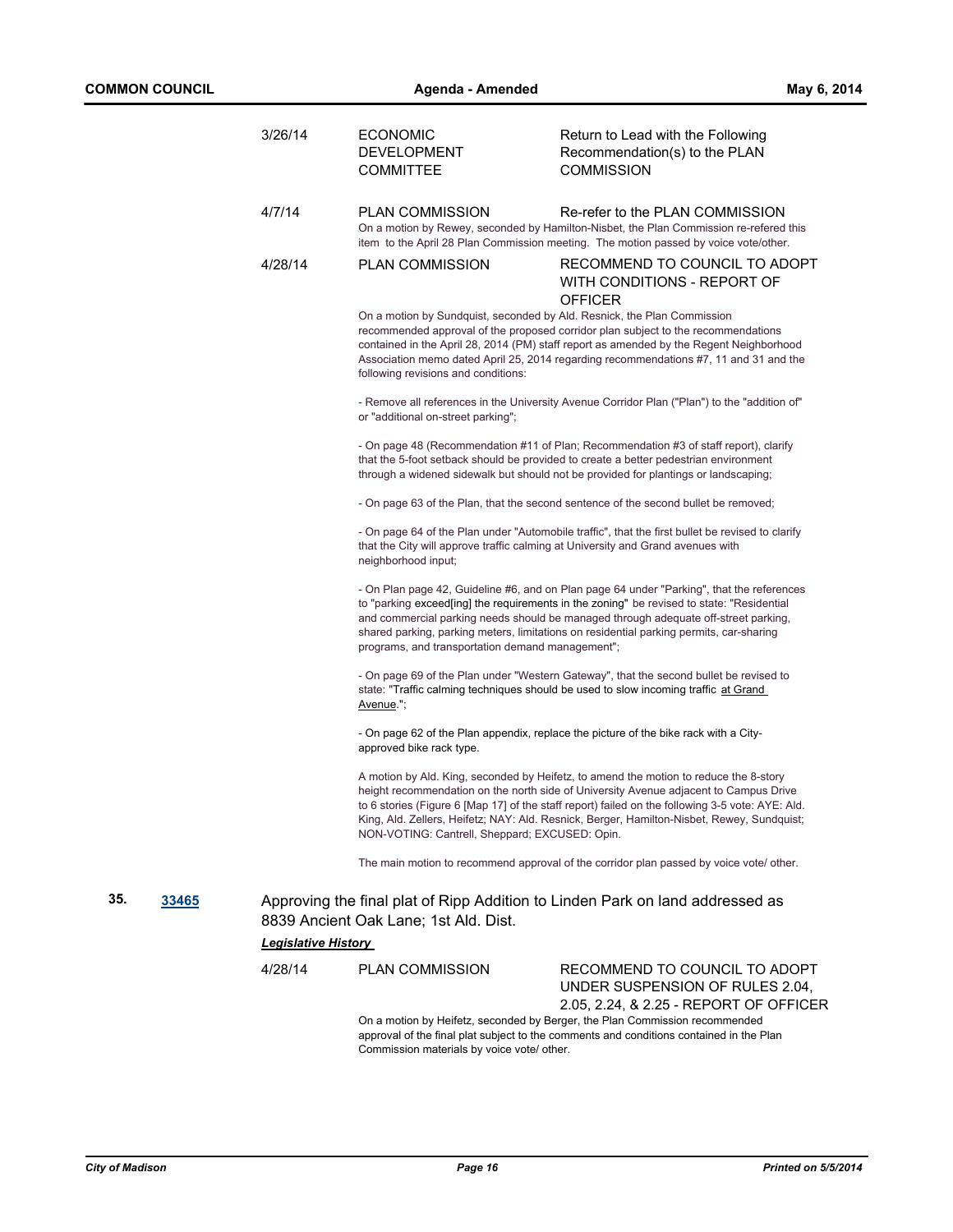|     |       | 3/26/14                    | <b>ECONOMIC</b><br><b>DEVELOPMENT</b><br><b>COMMITTEE</b>                                                      | Return to Lead with the Following<br>Recommendation(s) to the PLAN<br><b>COMMISSION</b>                                                                                                                                                                                                                                                                                          |
|-----|-------|----------------------------|----------------------------------------------------------------------------------------------------------------|----------------------------------------------------------------------------------------------------------------------------------------------------------------------------------------------------------------------------------------------------------------------------------------------------------------------------------------------------------------------------------|
|     |       | 4/7/14                     | <b>PLAN COMMISSION</b>                                                                                         | Re-refer to the PLAN COMMISSION<br>On a motion by Rewey, seconded by Hamilton-Nisbet, the Plan Commission re-refered this<br>item to the April 28 Plan Commission meeting. The motion passed by voice vote/other.                                                                                                                                                                |
|     |       | 4/28/14                    | <b>PLAN COMMISSION</b>                                                                                         | RECOMMEND TO COUNCIL TO ADOPT<br>WITH CONDITIONS - REPORT OF<br><b>OFFICER</b>                                                                                                                                                                                                                                                                                                   |
|     |       |                            | On a motion by Sundquist, seconded by Ald. Resnick, the Plan Commission<br>following revisions and conditions: | recommended approval of the proposed corridor plan subject to the recommendations<br>contained in the April 28, 2014 (PM) staff report as amended by the Regent Neighborhood<br>Association memo dated April 25, 2014 regarding recommendations #7, 11 and 31 and the                                                                                                            |
|     |       |                            | or "additional on-street parking";                                                                             | - Remove all references in the University Avenue Corridor Plan ("Plan") to the "addition of"                                                                                                                                                                                                                                                                                     |
|     |       |                            |                                                                                                                | - On page 48 (Recommendation #11 of Plan; Recommendation #3 of staff report), clarify<br>that the 5-foot setback should be provided to create a better pedestrian environment<br>through a widened sidewalk but should not be provided for plantings or landscaping;                                                                                                             |
|     |       |                            |                                                                                                                | - On page 63 of the Plan, that the second sentence of the second bullet be removed;                                                                                                                                                                                                                                                                                              |
|     |       |                            | that the City will approve traffic calming at University and Grand avenues with<br>neighborhood input;         | - On page 64 of the Plan under "Automobile traffic", that the first bullet be revised to clarify                                                                                                                                                                                                                                                                                 |
|     |       |                            | programs, and transportation demand management";                                                               | - On Plan page 42, Guideline #6, and on Plan page 64 under "Parking", that the references<br>to "parking exceed[ing] the requirements in the zoning" be revised to state: "Residential<br>and commercial parking needs should be managed through adequate off-street parking,<br>shared parking, parking meters, limitations on residential parking permits, car-sharing         |
|     |       |                            | Avenue.";                                                                                                      | - On page 69 of the Plan under "Western Gateway", that the second bullet be revised to<br>state: "Traffic calming techniques should be used to slow incoming traffic at Grand                                                                                                                                                                                                    |
|     |       |                            | approved bike rack type.                                                                                       | - On page 62 of the Plan appendix, replace the picture of the bike rack with a City-                                                                                                                                                                                                                                                                                             |
|     |       |                            | NON-VOTING: Cantrell, Sheppard; EXCUSED: Opin.                                                                 | A motion by Ald. King, seconded by Heifetz, to amend the motion to reduce the 8-story<br>height recommendation on the north side of University Avenue adjacent to Campus Drive<br>to 6 stories (Figure 6 [Map 17] of the staff report) failed on the following 3-5 vote: AYE: Ald.<br>King, Ald. Zellers, Heifetz; NAY: Ald. Resnick, Berger, Hamilton-Nisbet, Rewey, Sundquist; |
|     |       |                            |                                                                                                                | The main motion to recommend approval of the corridor plan passed by voice vote/ other.                                                                                                                                                                                                                                                                                          |
| 35. | 33465 |                            | 8839 Ancient Oak Lane; 1st Ald. Dist.                                                                          | Approving the final plat of Ripp Addition to Linden Park on land addressed as                                                                                                                                                                                                                                                                                                    |
|     |       | <b>Legislative History</b> |                                                                                                                |                                                                                                                                                                                                                                                                                                                                                                                  |
|     |       | 4/28/14                    | <b>PLAN COMMISSION</b>                                                                                         | RECOMMEND TO COUNCIL TO ADOPT<br>UNDER SUSPENSION OF RULES 2.04,<br>2.05, 2.24, & 2.25 - REPORT OF OFFICER                                                                                                                                                                                                                                                                       |
|     |       |                            |                                                                                                                | On a motion by Heifetz, seconded by Berger, the Plan Commission recommended                                                                                                                                                                                                                                                                                                      |

approval of the final plat subject to the comments and conditions contained in the Plan Commission materials by voice vote/ other.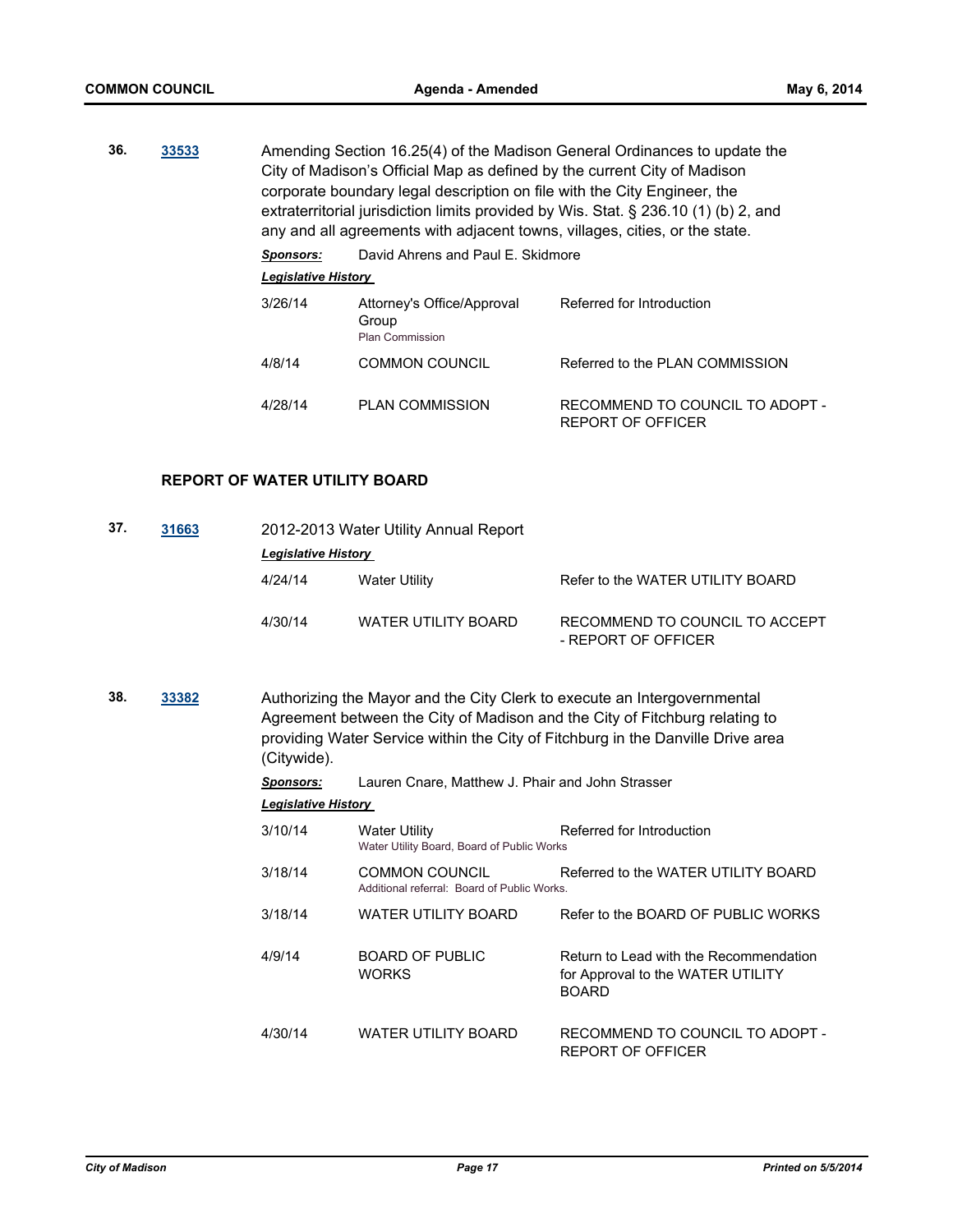**36. [33533](http://madison.legistar.com/gateway.aspx?m=l&id=/matter.aspx?key=36611)** Amending Section 16.25(4) of the Madison General Ordinances to update the City of Madison's Official Map as defined by the current City of Madison corporate boundary legal description on file with the City Engineer, the extraterritorial jurisdiction limits provided by Wis. Stat. § 236.10 (1) (b) 2, and any and all agreements with adjacent towns, villages, cities, or the state. *Sponsors:* David Ahrens and Paul E. Skidmore *Legislative History* 

| 3/26/14 | Attorney's Office/Approval<br>Group<br><b>Plan Commission</b> | Referred for Introduction                            |
|---------|---------------------------------------------------------------|------------------------------------------------------|
| 4/8/14  | <b>COMMON COUNCIL</b>                                         | Referred to the PLAN COMMISSION                      |
| 4/28/14 | <b>PLAN COMMISSION</b>                                        | RECOMMEND TO COUNCIL TO ADOPT -<br>REPORT OF OFFICER |

# **REPORT OF WATER UTILITY BOARD**

| 37. | 31663 |         | 2012-2013 Water Utility Annual Report |                                                       |  |  |
|-----|-------|---------|---------------------------------------|-------------------------------------------------------|--|--|
|     |       |         | <b>Legislative History</b>            |                                                       |  |  |
|     |       | 4/24/14 | Water Utility                         | Refer to the WATER UTILITY BOARD                      |  |  |
|     |       | 4/30/14 | WATER UTILITY BOARD                   | RECOMMEND TO COUNCIL TO ACCEPT<br>- REPORT OF OFFICER |  |  |

**38. [33382](http://madison.legistar.com/gateway.aspx?m=l&id=/matter.aspx?key=36451)** Authorizing the Mayor and the City Clerk to execute an Intergovernmental Agreement between the City of Madison and the City of Fitchburg relating to providing Water Service within the City of Fitchburg in the Danville Drive area (Citywide).

| <b>Sponsors:</b>           | Lauren Cnare, Matthew J. Phair and John Strasser                   |                                                                                             |  |  |
|----------------------------|--------------------------------------------------------------------|---------------------------------------------------------------------------------------------|--|--|
| <b>Legislative History</b> |                                                                    |                                                                                             |  |  |
| 3/10/14                    | <b>Water Utility</b><br>Water Utility Board, Board of Public Works | Referred for Introduction                                                                   |  |  |
| 3/18/14                    | COMMON COUNCIL<br>Additional referral: Board of Public Works.      | Referred to the WATER UTILITY BOARD                                                         |  |  |
| 3/18/14                    | WATER UTILITY BOARD                                                | Refer to the BOARD OF PUBLIC WORKS                                                          |  |  |
| 4/9/14                     | <b>BOARD OF PUBLIC</b><br><b>WORKS</b>                             | Return to Lead with the Recommendation<br>for Approval to the WATER UTILITY<br><b>BOARD</b> |  |  |
| 4/30/14                    | <b>WATER UTILITY BOARD</b>                                         | RECOMMEND TO COUNCIL TO ADOPT -<br>REPORT OF OFFICER                                        |  |  |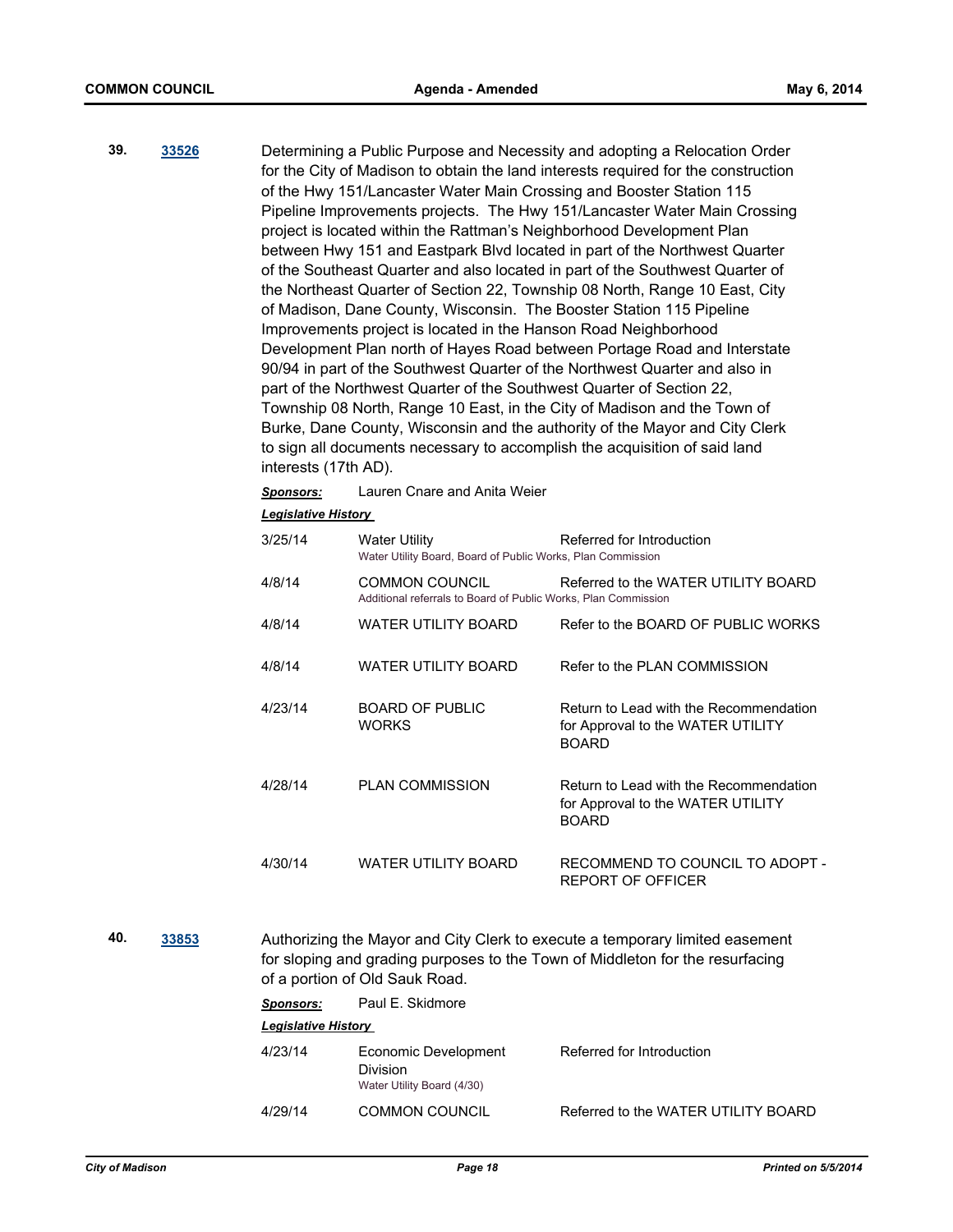- **39. [33526](http://madison.legistar.com/gateway.aspx?m=l&id=/matter.aspx?key=36604)** Determining a Public Purpose and Necessity and adopting a Relocation Order for the City of Madison to obtain the land interests required for the construction of the Hwy 151/Lancaster Water Main Crossing and Booster Station 115 Pipeline Improvements projects. The Hwy 151/Lancaster Water Main Crossing project is located within the Rattman's Neighborhood Development Plan between Hwy 151 and Eastpark Blvd located in part of the Northwest Quarter of the Southeast Quarter and also located in part of the Southwest Quarter of the Northeast Quarter of Section 22, Township 08 North, Range 10 East, City of Madison, Dane County, Wisconsin. The Booster Station 115 Pipeline Improvements project is located in the Hanson Road Neighborhood Development Plan north of Hayes Road between Portage Road and Interstate 90/94 in part of the Southwest Quarter of the Northwest Quarter and also in part of the Northwest Quarter of the Southwest Quarter of Section 22, Township 08 North, Range 10 East, in the City of Madison and the Town of Burke, Dane County, Wisconsin and the authority of the Mayor and City Clerk to sign all documents necessary to accomplish the acquisition of said land interests (17th AD).
	- *Sponsors:* Lauren Cnare and Anita Weier

#### *Legislative History*

| 3/25/14 | <b>Water Utility</b><br>Water Utility Board, Board of Public Works, Plan Commission | Referred for Introduction                                                                   |
|---------|-------------------------------------------------------------------------------------|---------------------------------------------------------------------------------------------|
| 4/8/14  | COMMON COUNCIL<br>Additional referrals to Board of Public Works, Plan Commission    | Referred to the WATER UTILITY BOARD                                                         |
| 4/8/14  | <b>WATER UTILITY BOARD</b>                                                          | Refer to the BOARD OF PUBLIC WORKS                                                          |
| 4/8/14  | <b>WATER UTILITY BOARD</b>                                                          | Refer to the PLAN COMMISSION                                                                |
| 4/23/14 | <b>BOARD OF PUBLIC</b><br><b>WORKS</b>                                              | Return to Lead with the Recommendation<br>for Approval to the WATER UTILITY<br><b>BOARD</b> |
| 4/28/14 | <b>PLAN COMMISSION</b>                                                              | Return to Lead with the Recommendation<br>for Approval to the WATER UTILITY<br><b>BOARD</b> |
| 4/30/14 | <b>WATER UTILITY BOARD</b>                                                          | RECOMMEND TO COUNCIL TO ADOPT -<br>REPORT OF OFFICER                                        |

**40. [33853](http://madison.legistar.com/gateway.aspx?m=l&id=/matter.aspx?key=36949)** Authorizing the Mayor and City Clerk to execute a temporary limited easement for sloping and grading purposes to the Town of Middleton for the resurfacing of a portion of Old Sauk Road.

| Sponsors:                  | Paul E. Skidmore                                               |                                     |  |  |
|----------------------------|----------------------------------------------------------------|-------------------------------------|--|--|
| <b>Legislative History</b> |                                                                |                                     |  |  |
| 4/23/14                    | Economic Development<br>Division<br>Water Utility Board (4/30) | Referred for Introduction           |  |  |
| 4/29/14                    | COMMON COUNCIL                                                 | Referred to the WATER UTILITY BOARD |  |  |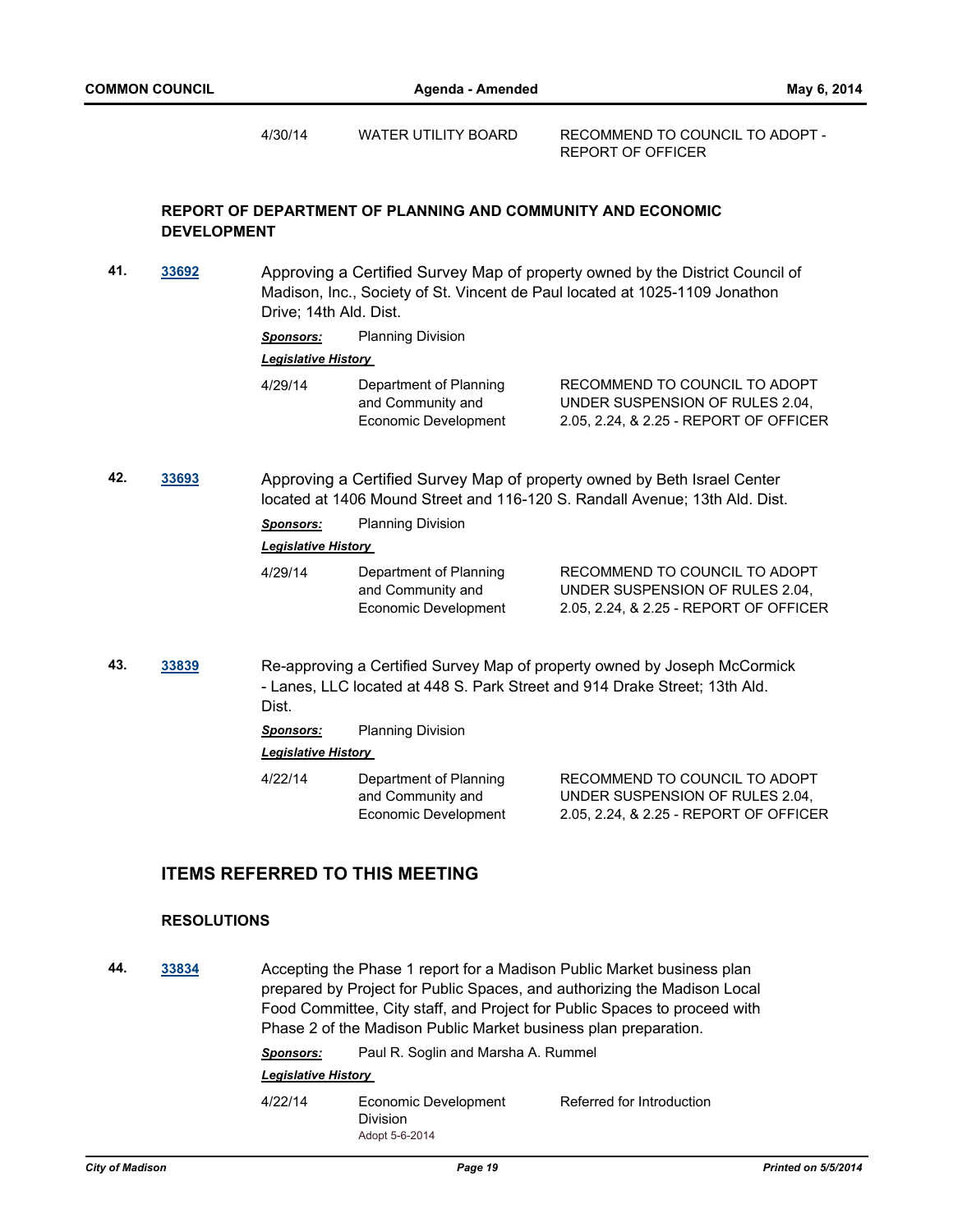4/30/14 WATER UTILITY BOARD RECOMMEND TO COUNCIL TO ADOPT - REPORT OF OFFICER

# **REPORT OF DEPARTMENT OF PLANNING AND COMMUNITY AND ECONOMIC DEVELOPMENT**

**41. [33692](http://madison.legistar.com/gateway.aspx?m=l&id=/matter.aspx?key=36778)** Approving a Certified Survey Map of property owned by the District Council of Madison, Inc., Society of St. Vincent de Paul located at 1025-1109 Jonathon Drive; 14th Ald. Dist.

*Sponsors:* Planning Division

#### *Legislative History*

| Department of Planning<br>4/29/14<br>and Community and<br>Economic Development | RECOMMEND TO COUNCIL TO ADOPT<br>UNDER SUSPENSION OF RULES 2.04.<br>2.05, 2.24, & 2.25 - REPORT OF OFFICER |
|--------------------------------------------------------------------------------|------------------------------------------------------------------------------------------------------------|
|--------------------------------------------------------------------------------|------------------------------------------------------------------------------------------------------------|

**42. [33693](http://madison.legistar.com/gateway.aspx?m=l&id=/matter.aspx?key=36779)** Approving a Certified Survey Map of property owned by Beth Israel Center located at 1406 Mound Street and 116-120 S. Randall Avenue; 13th Ald. Dist.

**Sponsors:** Planning Division

#### *Legislative History*

| Department of Planning<br>4/29/14<br>and Community and<br>Economic Development | RECOMMEND TO COUNCIL TO ADOPT<br>UNDER SUSPENSION OF RULES 2.04.<br>2.05, 2.24, & 2.25 - REPORT OF OFFICER |
|--------------------------------------------------------------------------------|------------------------------------------------------------------------------------------------------------|
|--------------------------------------------------------------------------------|------------------------------------------------------------------------------------------------------------|

**43. [33839](http://madison.legistar.com/gateway.aspx?m=l&id=/matter.aspx?key=36935)** Re-approving a Certified Survey Map of property owned by Joseph McCormick - Lanes, LLC located at 448 S. Park Street and 914 Drake Street; 13th Ald. Dist.

*Sponsors:* Planning Division

## *Legislative History*

4/22/14 Department of Planning and Community and Economic Development RECOMMEND TO COUNCIL TO ADOPT UNDER SUSPENSION OF RULES 2.04, 2.05, 2.24, & 2.25 - REPORT OF OFFICER

# **ITEMS REFERRED TO THIS MEETING**

## **RESOLUTIONS**

**44. [33834](http://madison.legistar.com/gateway.aspx?m=l&id=/matter.aspx?key=36930)** Accepting the Phase 1 report for a Madison Public Market business plan prepared by Project for Public Spaces, and authorizing the Madison Local Food Committee, City staff, and Project for Public Spaces to proceed with Phase 2 of the Madison Public Market business plan preparation.

*Sponsors:* Paul R. Soglin and Marsha A. Rummel

#### *Legislative History*

4/22/14 Economic Development Division Referred for Introduction Adopt 5-6-2014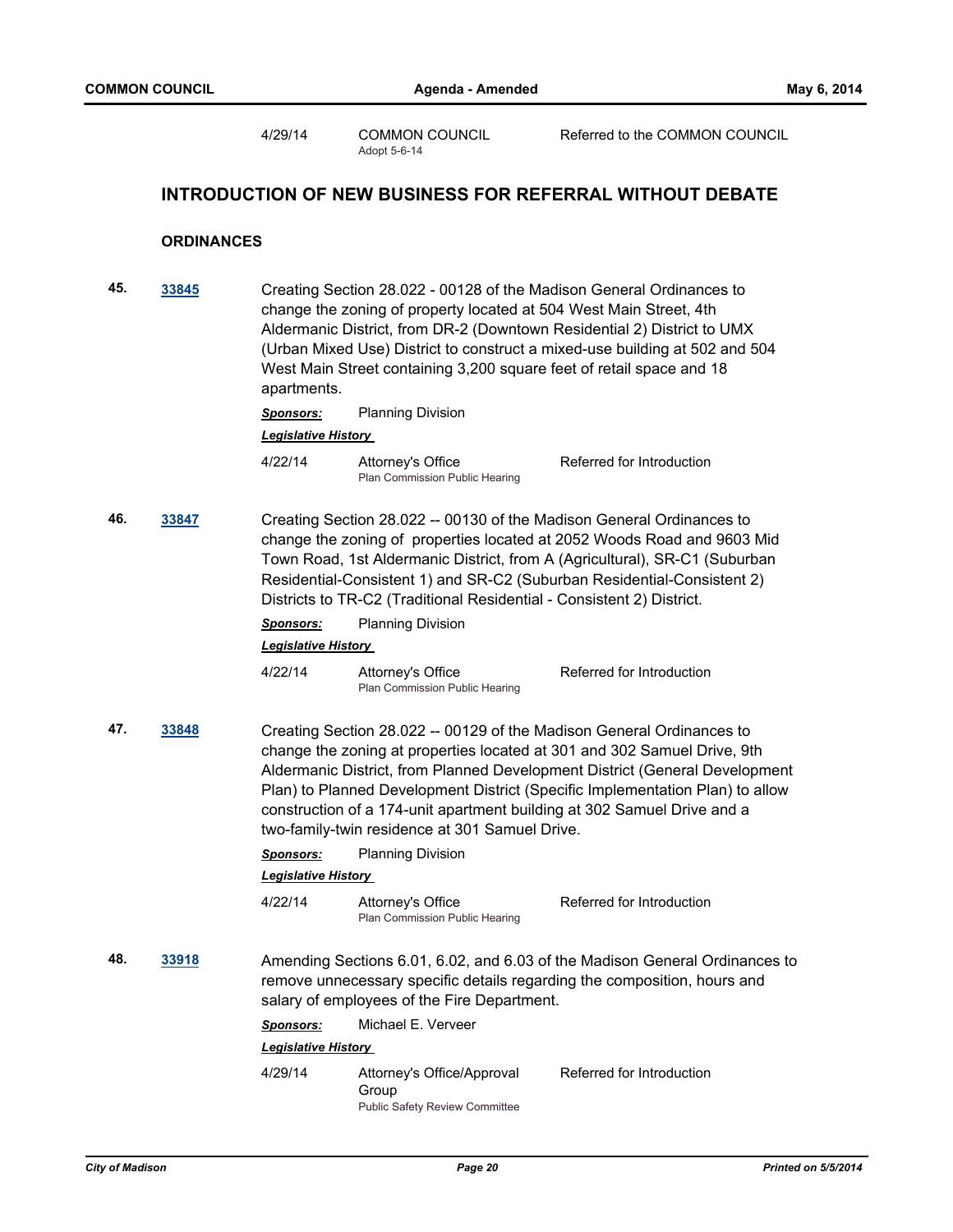4/29/14 COMMON COUNCIL Referred to the COMMON COUNCIL Adopt 5-6-14

# **INTRODUCTION OF NEW BUSINESS FOR REFERRAL WITHOUT DEBATE**

# **ORDINANCES**

| 45. | 33845 | Creating Section 28.022 - 00128 of the Madison General Ordinances to<br>change the zoning of property located at 504 West Main Street, 4th<br>Aldermanic District, from DR-2 (Downtown Residential 2) District to UMX<br>(Urban Mixed Use) District to construct a mixed-use building at 502 and 504<br>West Main Street containing 3,200 square feet of retail space and 18<br>apartments. |                                                                                                                                                                                                    |                                                                                                                                                                                                                                          |  |
|-----|-------|---------------------------------------------------------------------------------------------------------------------------------------------------------------------------------------------------------------------------------------------------------------------------------------------------------------------------------------------------------------------------------------------|----------------------------------------------------------------------------------------------------------------------------------------------------------------------------------------------------|------------------------------------------------------------------------------------------------------------------------------------------------------------------------------------------------------------------------------------------|--|
|     |       | <b>Sponsors:</b>                                                                                                                                                                                                                                                                                                                                                                            | <b>Planning Division</b>                                                                                                                                                                           |                                                                                                                                                                                                                                          |  |
|     |       | <b>Legislative History</b>                                                                                                                                                                                                                                                                                                                                                                  |                                                                                                                                                                                                    |                                                                                                                                                                                                                                          |  |
|     |       | 4/22/14                                                                                                                                                                                                                                                                                                                                                                                     | Attorney's Office<br>Plan Commission Public Hearing                                                                                                                                                | Referred for Introduction                                                                                                                                                                                                                |  |
| 46. | 33847 | Creating Section 28.022 -- 00130 of the Madison General Ordinances to<br>change the zoning of properties located at 2052 Woods Road and 9603 Mid<br>Town Road, 1st Aldermanic District, from A (Agricultural), SR-C1 (Suburban<br>Residential-Consistent 1) and SR-C2 (Suburban Residential-Consistent 2)<br>Districts to TR-C2 (Traditional Residential - Consistent 2) District.          |                                                                                                                                                                                                    |                                                                                                                                                                                                                                          |  |
|     |       | <b>Sponsors:</b>                                                                                                                                                                                                                                                                                                                                                                            | <b>Planning Division</b>                                                                                                                                                                           |                                                                                                                                                                                                                                          |  |
|     |       | <b>Legislative History</b>                                                                                                                                                                                                                                                                                                                                                                  |                                                                                                                                                                                                    |                                                                                                                                                                                                                                          |  |
|     |       | 4/22/14                                                                                                                                                                                                                                                                                                                                                                                     | Attorney's Office<br>Plan Commission Public Hearing                                                                                                                                                | Referred for Introduction                                                                                                                                                                                                                |  |
| 47. | 33848 |                                                                                                                                                                                                                                                                                                                                                                                             | Creating Section 28.022 -- 00129 of the Madison General Ordinances to<br>construction of a 174-unit apartment building at 302 Samuel Drive and a<br>two-family-twin residence at 301 Samuel Drive. | change the zoning at properties located at 301 and 302 Samuel Drive, 9th<br>Aldermanic District, from Planned Development District (General Development<br>Plan) to Planned Development District (Specific Implementation Plan) to allow |  |
|     |       | <b>Sponsors:</b>                                                                                                                                                                                                                                                                                                                                                                            | <b>Planning Division</b>                                                                                                                                                                           |                                                                                                                                                                                                                                          |  |
|     |       | <b>Legislative History</b>                                                                                                                                                                                                                                                                                                                                                                  |                                                                                                                                                                                                    |                                                                                                                                                                                                                                          |  |
|     |       | 4/22/14                                                                                                                                                                                                                                                                                                                                                                                     | Attorney's Office<br>Plan Commission Public Hearing                                                                                                                                                | Referred for Introduction                                                                                                                                                                                                                |  |
| 48. | 33918 | Amending Sections 6.01, 6.02, and 6.03 of the Madison General Ordinances to<br>remove unnecessary specific details regarding the composition, hours and<br>salary of employees of the Fire Department.                                                                                                                                                                                      |                                                                                                                                                                                                    |                                                                                                                                                                                                                                          |  |
|     |       | Sponsors:                                                                                                                                                                                                                                                                                                                                                                                   | Michael E. Verveer                                                                                                                                                                                 |                                                                                                                                                                                                                                          |  |
|     |       | <b>Legislative History</b>                                                                                                                                                                                                                                                                                                                                                                  |                                                                                                                                                                                                    |                                                                                                                                                                                                                                          |  |
|     |       | 4/29/14                                                                                                                                                                                                                                                                                                                                                                                     | Attorney's Office/Approval<br>Group<br><b>Public Safety Review Committee</b>                                                                                                                       | Referred for Introduction                                                                                                                                                                                                                |  |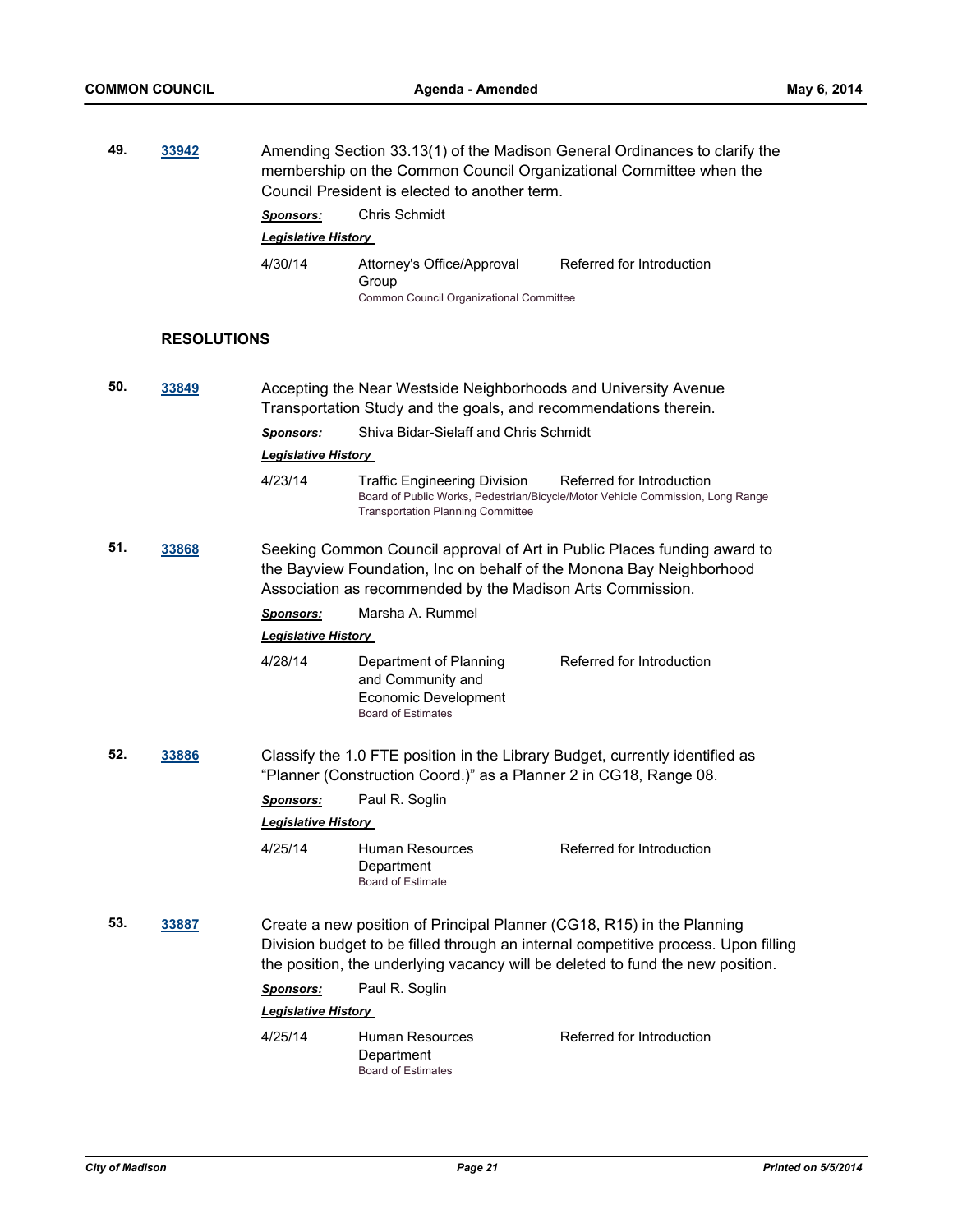| 49. | 33942              | Amending Section 33.13(1) of the Madison General Ordinances to clarify the<br>membership on the Common Council Organizational Committee when the<br>Council President is elected to another term.<br><b>Chris Schmidt</b><br><b>Sponsors:</b> |                                                                                                                                     |                                                                                                                                                                      |  |
|-----|--------------------|-----------------------------------------------------------------------------------------------------------------------------------------------------------------------------------------------------------------------------------------------|-------------------------------------------------------------------------------------------------------------------------------------|----------------------------------------------------------------------------------------------------------------------------------------------------------------------|--|
|     |                    | Legislative History<br>4/30/14                                                                                                                                                                                                                | Attorney's Office/Approval<br>Group<br>Common Council Organizational Committee                                                      | Referred for Introduction                                                                                                                                            |  |
|     | <b>RESOLUTIONS</b> |                                                                                                                                                                                                                                               |                                                                                                                                     |                                                                                                                                                                      |  |
| 50. | 33849              |                                                                                                                                                                                                                                               | Accepting the Near Westside Neighborhoods and University Avenue<br>Transportation Study and the goals, and recommendations therein. |                                                                                                                                                                      |  |
|     |                    | <b>Sponsors:</b><br><b>Legislative History</b>                                                                                                                                                                                                | Shiva Bidar-Sielaff and Chris Schmidt                                                                                               |                                                                                                                                                                      |  |
|     |                    | 4/23/14                                                                                                                                                                                                                                       | <b>Traffic Engineering Division</b><br><b>Transportation Planning Committee</b>                                                     | Referred for Introduction<br>Board of Public Works, Pedestrian/Bicycle/Motor Vehicle Commission, Long Range                                                          |  |
| 51. | 33868              | Seeking Common Council approval of Art in Public Places funding award to<br>the Bayview Foundation, Inc on behalf of the Monona Bay Neighborhood<br>Association as recommended by the Madison Arts Commission.                                |                                                                                                                                     |                                                                                                                                                                      |  |
|     |                    | <b>Sponsors:</b><br><b>Legislative History</b>                                                                                                                                                                                                | Marsha A. Rummel                                                                                                                    |                                                                                                                                                                      |  |
|     |                    | 4/28/14                                                                                                                                                                                                                                       | Department of Planning<br>and Community and<br>Economic Development<br><b>Board of Estimates</b>                                    | Referred for Introduction                                                                                                                                            |  |
| 52. | 33886              | Classify the 1.0 FTE position in the Library Budget, currently identified as<br>"Planner (Construction Coord.)" as a Planner 2 in CG18, Range 08.                                                                                             |                                                                                                                                     |                                                                                                                                                                      |  |
|     |                    | <u>Sponsors:</u>                                                                                                                                                                                                                              | Paul R. Soglin                                                                                                                      |                                                                                                                                                                      |  |
|     |                    | <b>Legislative History</b>                                                                                                                                                                                                                    |                                                                                                                                     |                                                                                                                                                                      |  |
|     |                    | 4/25/14                                                                                                                                                                                                                                       | <b>Human Resources</b><br>Department<br><b>Board of Estimate</b>                                                                    | Referred for Introduction                                                                                                                                            |  |
| 53. | 33887              |                                                                                                                                                                                                                                               | Create a new position of Principal Planner (CG18, R15) in the Planning                                                              | Division budget to be filled through an internal competitive process. Upon filling<br>the position, the underlying vacancy will be deleted to fund the new position. |  |
|     |                    | Sponsors:                                                                                                                                                                                                                                     | Paul R. Soglin                                                                                                                      |                                                                                                                                                                      |  |
|     |                    | <b>Legislative History</b>                                                                                                                                                                                                                    |                                                                                                                                     |                                                                                                                                                                      |  |
|     |                    | 4/25/14                                                                                                                                                                                                                                       | Human Resources<br>Department<br><b>Board of Estimates</b>                                                                          | Referred for Introduction                                                                                                                                            |  |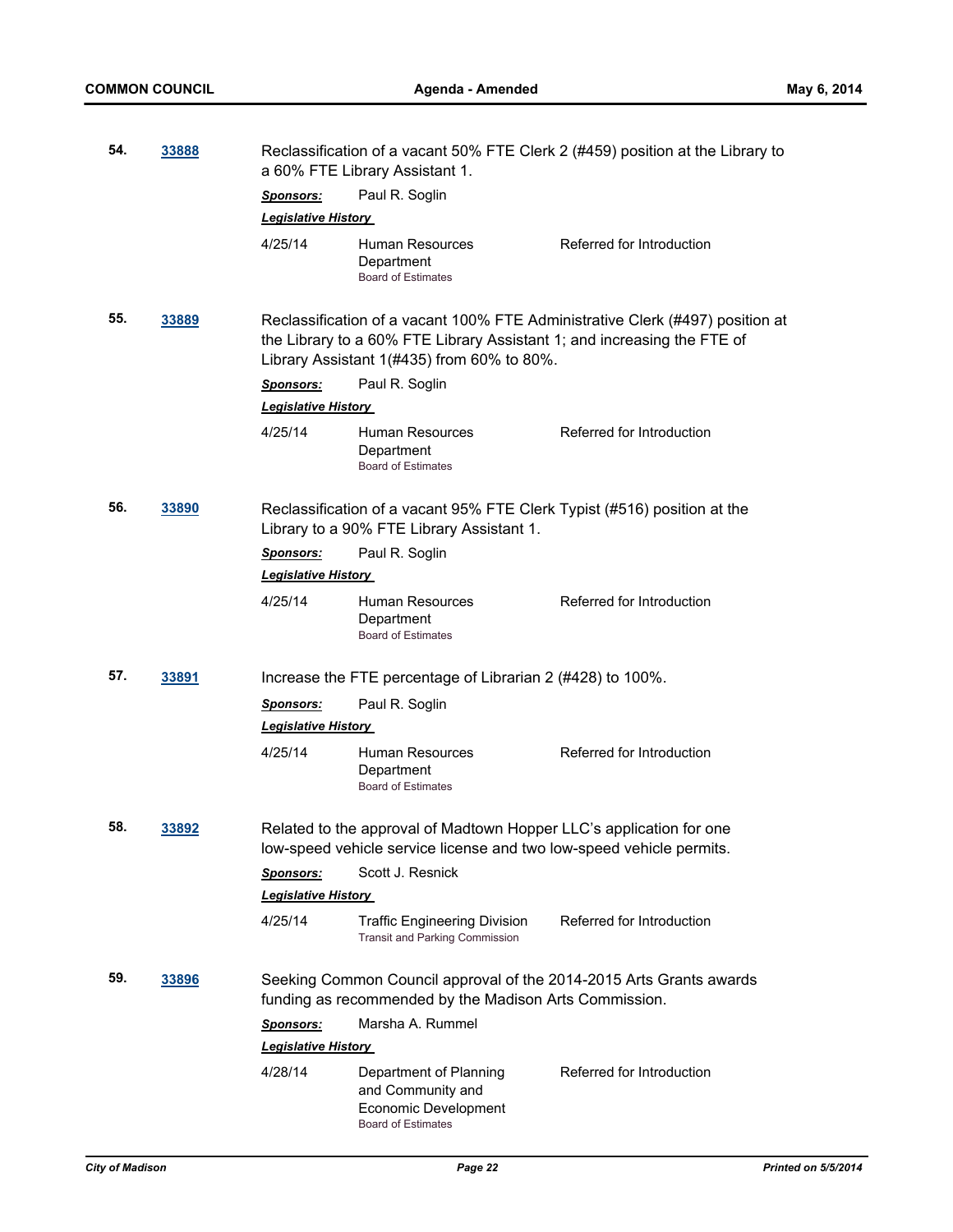| 54. | 33888 | Reclassification of a vacant 50% FTE Clerk 2 (#459) position at the Library to<br>a 60% FTE Library Assistant 1.                            |                                                                                                                         |                                                                               |  |  |
|-----|-------|---------------------------------------------------------------------------------------------------------------------------------------------|-------------------------------------------------------------------------------------------------------------------------|-------------------------------------------------------------------------------|--|--|
|     |       | <u>Sponsors:</u>                                                                                                                            | Paul R. Soglin                                                                                                          |                                                                               |  |  |
|     |       | <b>Legislative History</b>                                                                                                                  |                                                                                                                         |                                                                               |  |  |
|     |       | 4/25/14                                                                                                                                     | Human Resources<br>Department<br><b>Board of Estimates</b>                                                              | Referred for Introduction                                                     |  |  |
| 55. | 33889 |                                                                                                                                             | the Library to a 60% FTE Library Assistant 1; and increasing the FTE of<br>Library Assistant $1(#435)$ from 60% to 80%. | Reclassification of a vacant 100% FTE Administrative Clerk (#497) position at |  |  |
|     |       | <u>Sponsors:</u>                                                                                                                            | Paul R. Soglin                                                                                                          |                                                                               |  |  |
|     |       | <b>Legislative History</b>                                                                                                                  |                                                                                                                         |                                                                               |  |  |
|     |       | 4/25/14                                                                                                                                     | Human Resources<br>Department<br><b>Board of Estimates</b>                                                              | Referred for Introduction                                                     |  |  |
| 56. | 33890 |                                                                                                                                             | Reclassification of a vacant 95% FTE Clerk Typist (#516) position at the<br>Library to a 90% FTE Library Assistant 1.   |                                                                               |  |  |
|     |       | <b>Sponsors:</b>                                                                                                                            | Paul R. Soglin                                                                                                          |                                                                               |  |  |
|     |       | <b>Legislative History</b>                                                                                                                  |                                                                                                                         |                                                                               |  |  |
|     |       | 4/25/14                                                                                                                                     | Human Resources<br>Department<br><b>Board of Estimates</b>                                                              | Referred for Introduction                                                     |  |  |
| 57. | 33891 |                                                                                                                                             | Increase the FTE percentage of Librarian 2 (#428) to 100%.                                                              |                                                                               |  |  |
|     |       | <b>Sponsors:</b><br><b>Legislative History</b>                                                                                              | Paul R. Soglin                                                                                                          |                                                                               |  |  |
|     |       | 4/25/14                                                                                                                                     | Human Resources<br>Department<br><b>Board of Estimates</b>                                                              | Referred for Introduction                                                     |  |  |
| 58. | 33892 | Related to the approval of Madtown Hopper LLC's application for one<br>low-speed vehicle service license and two low-speed vehicle permits. |                                                                                                                         |                                                                               |  |  |
|     |       | <u>Sponsors:</u>                                                                                                                            | Scott J. Resnick                                                                                                        |                                                                               |  |  |
|     |       | <b>Legislative History</b>                                                                                                                  |                                                                                                                         |                                                                               |  |  |
|     |       | 4/25/14                                                                                                                                     | <b>Traffic Engineering Division</b><br><b>Transit and Parking Commission</b>                                            | Referred for Introduction                                                     |  |  |
| 59. | 33896 |                                                                                                                                             | funding as recommended by the Madison Arts Commission.                                                                  | Seeking Common Council approval of the 2014-2015 Arts Grants awards           |  |  |
|     |       | <b>Sponsors:</b>                                                                                                                            | Marsha A. Rummel                                                                                                        |                                                                               |  |  |
|     |       | <b>Legislative History</b>                                                                                                                  |                                                                                                                         |                                                                               |  |  |
|     |       | 4/28/14                                                                                                                                     | Department of Planning<br>and Community and<br>Economic Development<br><b>Board of Estimates</b>                        | Referred for Introduction                                                     |  |  |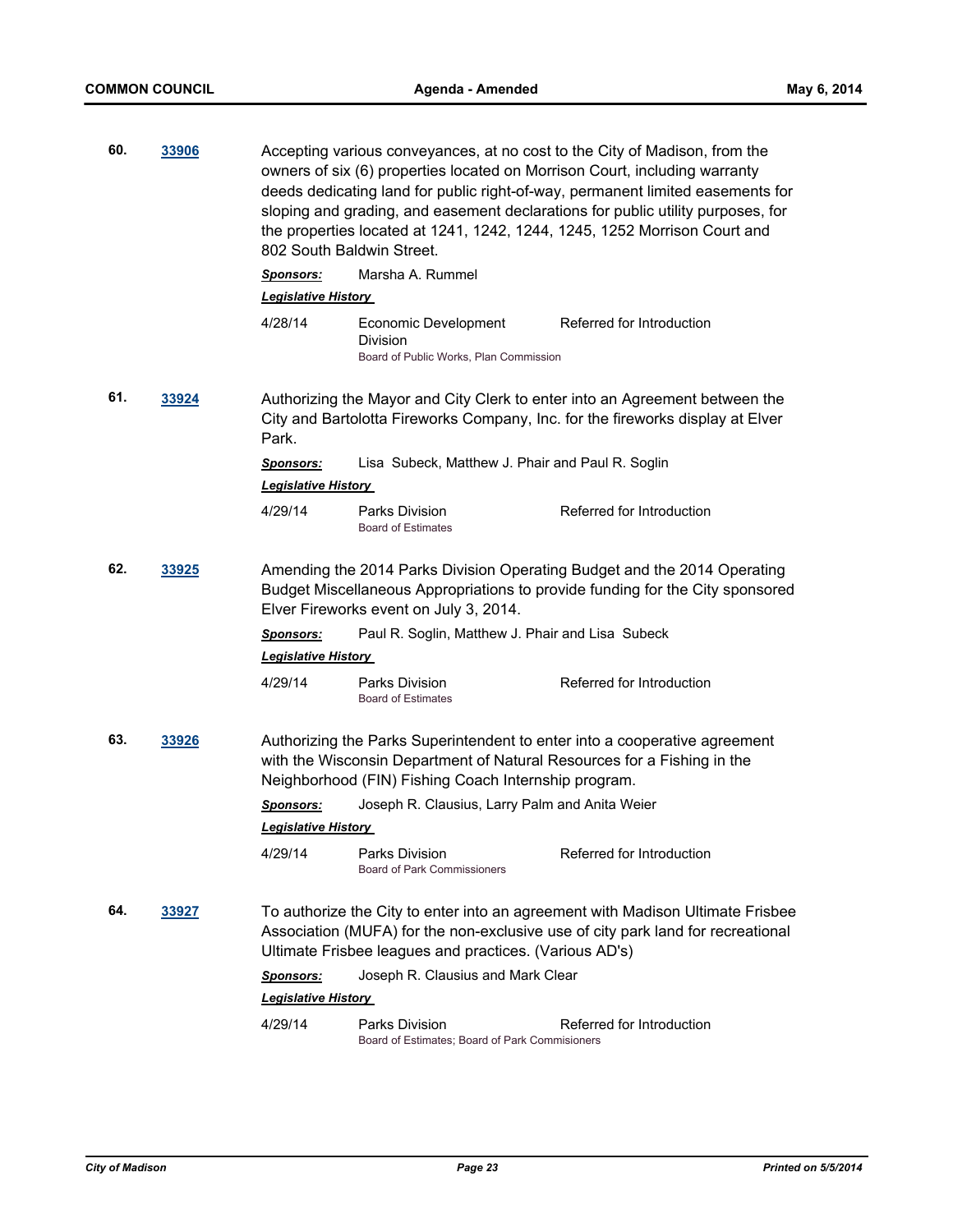| 60. | 33906 |                                                                                                                                                                                                               | Accepting various conveyances, at no cost to the City of Madison, from the<br>owners of six (6) properties located on Morrison Court, including warranty<br>deeds dedicating land for public right-of-way, permanent limited easements for<br>sloping and grading, and easement declarations for public utility purposes, for<br>the properties located at 1241, 1242, 1244, 1245, 1252 Morrison Court and<br>802 South Baldwin Street. |                                                                                                                                                                   |  |
|-----|-------|---------------------------------------------------------------------------------------------------------------------------------------------------------------------------------------------------------------|-----------------------------------------------------------------------------------------------------------------------------------------------------------------------------------------------------------------------------------------------------------------------------------------------------------------------------------------------------------------------------------------------------------------------------------------|-------------------------------------------------------------------------------------------------------------------------------------------------------------------|--|
|     |       | <b>Sponsors:</b><br><b>Legislative History</b>                                                                                                                                                                | Marsha A. Rummel                                                                                                                                                                                                                                                                                                                                                                                                                        |                                                                                                                                                                   |  |
|     |       | 4/28/14                                                                                                                                                                                                       | Economic Development<br>Division<br>Board of Public Works, Plan Commission                                                                                                                                                                                                                                                                                                                                                              | Referred for Introduction                                                                                                                                         |  |
| 61. | 33924 | Authorizing the Mayor and City Clerk to enter into an Agreement between the<br>City and Bartolotta Fireworks Company, Inc. for the fireworks display at Elver<br>Park.                                        |                                                                                                                                                                                                                                                                                                                                                                                                                                         |                                                                                                                                                                   |  |
|     |       | <b>Sponsors:</b><br><b>Legislative History</b>                                                                                                                                                                | Lisa Subeck, Matthew J. Phair and Paul R. Soglin                                                                                                                                                                                                                                                                                                                                                                                        |                                                                                                                                                                   |  |
|     |       | 4/29/14                                                                                                                                                                                                       | Parks Division<br><b>Board of Estimates</b>                                                                                                                                                                                                                                                                                                                                                                                             | Referred for Introduction                                                                                                                                         |  |
| 62. | 33925 | Amending the 2014 Parks Division Operating Budget and the 2014 Operating<br>Budget Miscellaneous Appropriations to provide funding for the City sponsored<br>Elver Fireworks event on July 3, 2014.           |                                                                                                                                                                                                                                                                                                                                                                                                                                         |                                                                                                                                                                   |  |
|     |       | <u>Sponsors:</u><br><b>Legislative History</b>                                                                                                                                                                | Paul R. Soglin, Matthew J. Phair and Lisa Subeck                                                                                                                                                                                                                                                                                                                                                                                        |                                                                                                                                                                   |  |
|     |       | 4/29/14                                                                                                                                                                                                       | Parks Division<br><b>Board of Estimates</b>                                                                                                                                                                                                                                                                                                                                                                                             | Referred for Introduction                                                                                                                                         |  |
| 63. | 33926 | Authorizing the Parks Superintendent to enter into a cooperative agreement<br>with the Wisconsin Department of Natural Resources for a Fishing in the<br>Neighborhood (FIN) Fishing Coach Internship program. |                                                                                                                                                                                                                                                                                                                                                                                                                                         |                                                                                                                                                                   |  |
|     |       | <b>Sponsors:</b><br><b>Legislative History</b>                                                                                                                                                                | Joseph R. Clausius, Larry Palm and Anita Weier                                                                                                                                                                                                                                                                                                                                                                                          |                                                                                                                                                                   |  |
|     |       | 4/29/14                                                                                                                                                                                                       | Parks Division<br><b>Board of Park Commissioners</b>                                                                                                                                                                                                                                                                                                                                                                                    | Referred for Introduction                                                                                                                                         |  |
| 64. | 33927 |                                                                                                                                                                                                               | Ultimate Frisbee leagues and practices. (Various AD's)                                                                                                                                                                                                                                                                                                                                                                                  | To authorize the City to enter into an agreement with Madison Ultimate Frisbee<br>Association (MUFA) for the non-exclusive use of city park land for recreational |  |
|     |       | Sponsors:                                                                                                                                                                                                     | Joseph R. Clausius and Mark Clear                                                                                                                                                                                                                                                                                                                                                                                                       |                                                                                                                                                                   |  |
|     |       | <b>Legislative History</b>                                                                                                                                                                                    |                                                                                                                                                                                                                                                                                                                                                                                                                                         |                                                                                                                                                                   |  |
|     |       | 4/29/14                                                                                                                                                                                                       | Parks Division<br>Board of Estimates; Board of Park Commisioners                                                                                                                                                                                                                                                                                                                                                                        | Referred for Introduction                                                                                                                                         |  |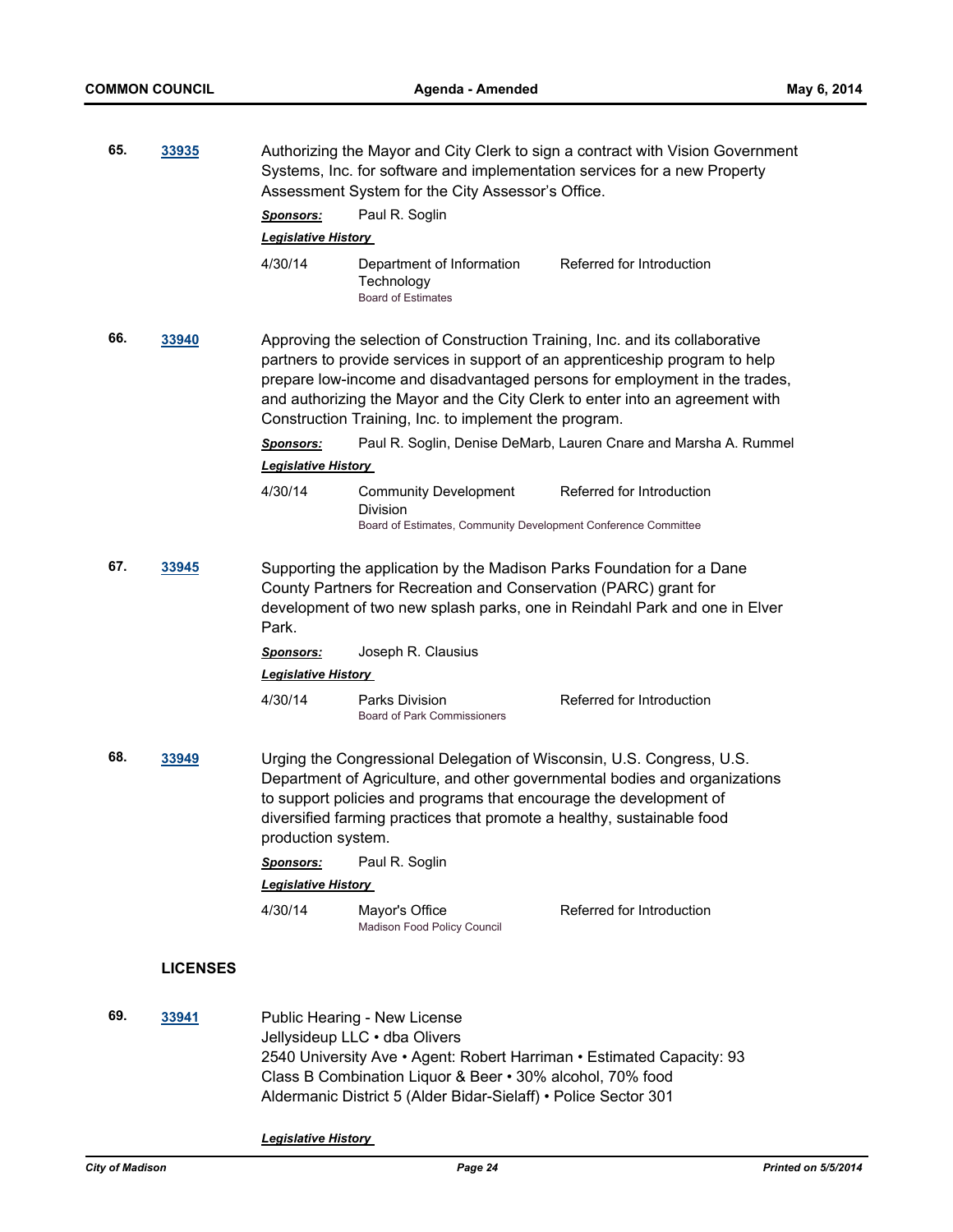| 65.          | 33935           | Authorizing the Mayor and City Clerk to sign a contract with Vision Government<br>Systems, Inc. for software and implementation services for a new Property<br>Assessment System for the City Assessor's Office.<br>Paul R. Soglin<br>Sponsors:                                                                           |                                                                                                                                                                                                                                                                                                                            |                                                                            |
|--------------|-----------------|---------------------------------------------------------------------------------------------------------------------------------------------------------------------------------------------------------------------------------------------------------------------------------------------------------------------------|----------------------------------------------------------------------------------------------------------------------------------------------------------------------------------------------------------------------------------------------------------------------------------------------------------------------------|----------------------------------------------------------------------------|
|              |                 | <b>Legislative History</b><br>4/30/14                                                                                                                                                                                                                                                                                     | Department of Information<br>Technology<br><b>Board of Estimates</b>                                                                                                                                                                                                                                                       | Referred for Introduction                                                  |
| 66.<br>33940 |                 | Construction Training, Inc. to implement the program.                                                                                                                                                                                                                                                                     | Approving the selection of Construction Training, Inc. and its collaborative<br>partners to provide services in support of an apprenticeship program to help<br>prepare low-income and disadvantaged persons for employment in the trades,<br>and authorizing the Mayor and the City Clerk to enter into an agreement with |                                                                            |
|              |                 | Sponsors:<br><b>Legislative History</b>                                                                                                                                                                                                                                                                                   |                                                                                                                                                                                                                                                                                                                            | Paul R. Soglin, Denise DeMarb, Lauren Cnare and Marsha A. Rummel           |
|              |                 | 4/30/14                                                                                                                                                                                                                                                                                                                   | <b>Community Development</b><br>Division<br>Board of Estimates, Community Development Conference Committee                                                                                                                                                                                                                 | Referred for Introduction                                                  |
| 67.          | 33945           | Park.                                                                                                                                                                                                                                                                                                                     | Supporting the application by the Madison Parks Foundation for a Dane<br>County Partners for Recreation and Conservation (PARC) grant for                                                                                                                                                                                  | development of two new splash parks, one in Reindahl Park and one in Elver |
|              |                 | <u>Sponsors:</u><br><b>Legislative History</b>                                                                                                                                                                                                                                                                            | Joseph R. Clausius                                                                                                                                                                                                                                                                                                         |                                                                            |
|              |                 | 4/30/14                                                                                                                                                                                                                                                                                                                   | Parks Division<br><b>Board of Park Commissioners</b>                                                                                                                                                                                                                                                                       | Referred for Introduction                                                  |
| 68.          | 33949           | Urging the Congressional Delegation of Wisconsin, U.S. Congress, U.S.<br>Department of Agriculture, and other governmental bodies and organizations<br>to support policies and programs that encourage the development of<br>diversified farming practices that promote a healthy, sustainable food<br>production system. |                                                                                                                                                                                                                                                                                                                            |                                                                            |
|              |                 | Sponsors:                                                                                                                                                                                                                                                                                                                 | Paul R. Soglin                                                                                                                                                                                                                                                                                                             |                                                                            |
|              |                 | <b>Legislative History</b>                                                                                                                                                                                                                                                                                                |                                                                                                                                                                                                                                                                                                                            |                                                                            |
|              |                 | 4/30/14                                                                                                                                                                                                                                                                                                                   | Mayor's Office<br>Madison Food Policy Council                                                                                                                                                                                                                                                                              | Referred for Introduction                                                  |
|              | <b>LICENSES</b> |                                                                                                                                                                                                                                                                                                                           |                                                                                                                                                                                                                                                                                                                            |                                                                            |
| 69.          | 33941           |                                                                                                                                                                                                                                                                                                                           | Public Hearing - New License<br>Jellysideup LLC · dba Olivers<br>2540 University Ave • Agent: Robert Harriman • Estimated Capacity: 93<br>Class B Combination Liquor & Beer • 30% alcohol, 70% food<br>Aldermanic District 5 (Alder Bidar-Sielaff) • Police Sector 301                                                     |                                                                            |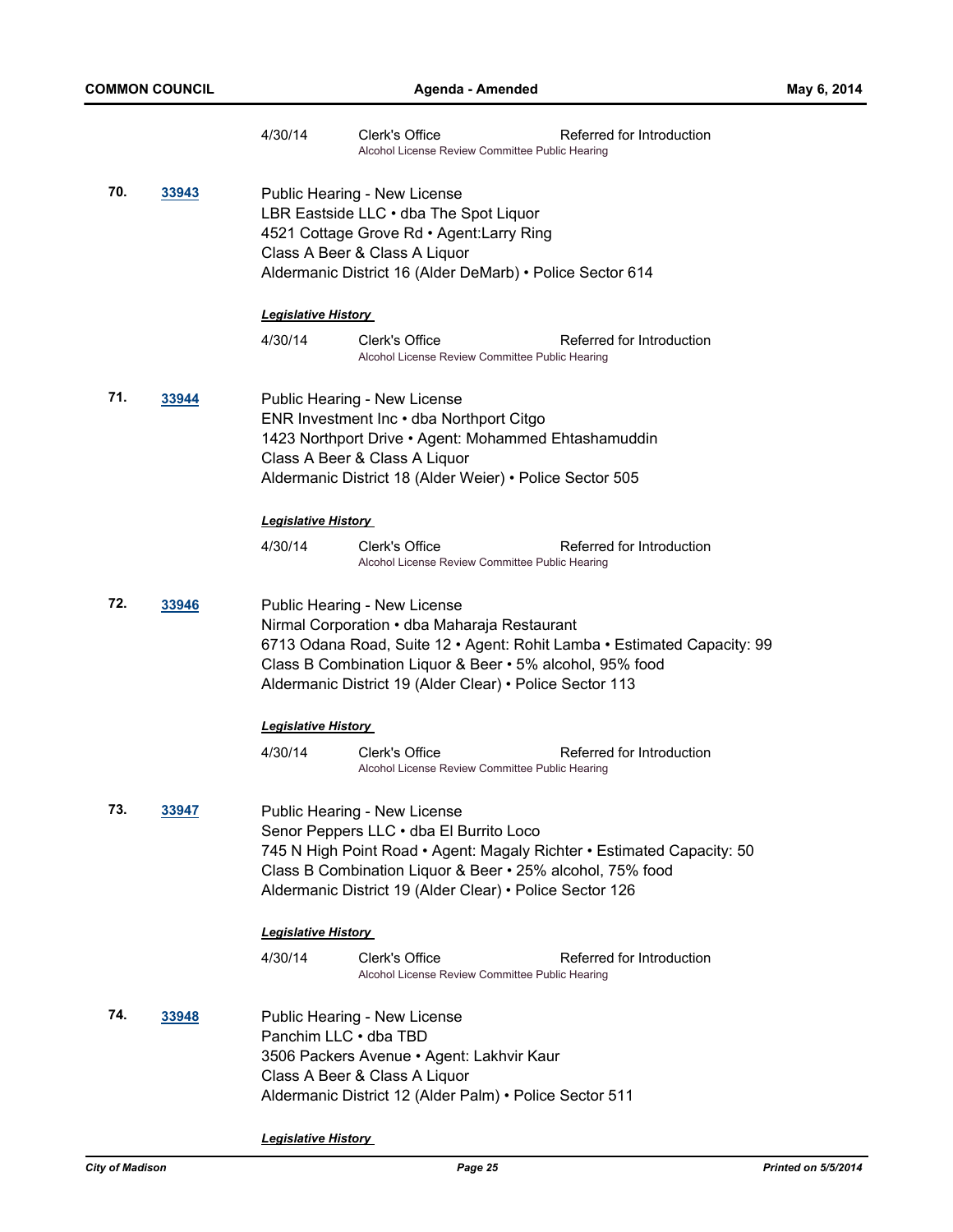|     |       | 4/30/14                                                                                                                                                                                                           | Clerk's Office<br>Alcohol License Review Committee Public Hearing                                                                                                                                                             | Referred for Introduction                                               |
|-----|-------|-------------------------------------------------------------------------------------------------------------------------------------------------------------------------------------------------------------------|-------------------------------------------------------------------------------------------------------------------------------------------------------------------------------------------------------------------------------|-------------------------------------------------------------------------|
| 70. | 33943 | Public Hearing - New License<br>LBR Eastside LLC . dba The Spot Liquor<br>4521 Cottage Grove Rd . Agent: Larry Ring<br>Class A Beer & Class A Liquor<br>Aldermanic District 16 (Alder DeMarb) • Police Sector 614 |                                                                                                                                                                                                                               |                                                                         |
|     |       | <b>Legislative History</b>                                                                                                                                                                                        |                                                                                                                                                                                                                               |                                                                         |
|     |       | 4/30/14                                                                                                                                                                                                           | Clerk's Office<br>Alcohol License Review Committee Public Hearing                                                                                                                                                             | Referred for Introduction                                               |
| 71. | 33944 |                                                                                                                                                                                                                   | Public Hearing - New License<br>ENR Investment Inc • dba Northport Citgo<br>1423 Northport Drive . Agent: Mohammed Ehtashamuddin<br>Class A Beer & Class A Liquor<br>Aldermanic District 18 (Alder Weier) • Police Sector 505 |                                                                         |
|     |       | <b>Legislative History</b>                                                                                                                                                                                        |                                                                                                                                                                                                                               |                                                                         |
|     |       | 4/30/14                                                                                                                                                                                                           | Clerk's Office<br>Alcohol License Review Committee Public Hearing                                                                                                                                                             | Referred for Introduction                                               |
| 72. | 33946 |                                                                                                                                                                                                                   | Public Hearing - New License<br>Nirmal Corporation • dba Maharaja Restaurant<br>Class B Combination Liquor & Beer • 5% alcohol, 95% food<br>Aldermanic District 19 (Alder Clear) · Police Sector 113                          | 6713 Odana Road, Suite 12 · Agent: Rohit Lamba · Estimated Capacity: 99 |
|     |       | <b>Legislative History</b>                                                                                                                                                                                        |                                                                                                                                                                                                                               |                                                                         |
|     |       | 4/30/14                                                                                                                                                                                                           | Clerk's Office<br>Alcohol License Review Committee Public Hearing                                                                                                                                                             | Referred for Introduction                                               |
| 73. | 33947 |                                                                                                                                                                                                                   | Public Hearing - New License<br>Senor Peppers LLC · dba El Burrito Loco<br>Class B Combination Liquor & Beer • 25% alcohol, 75% food<br>Aldermanic District 19 (Alder Clear) • Police Sector 126                              | 745 N High Point Road • Agent: Magaly Richter • Estimated Capacity: 50  |
|     |       | <b>Legislative History</b>                                                                                                                                                                                        |                                                                                                                                                                                                                               |                                                                         |
|     |       | 4/30/14                                                                                                                                                                                                           | Clerk's Office<br>Alcohol License Review Committee Public Hearing                                                                                                                                                             | Referred for Introduction                                               |
| 74. | 33948 | Panchim LLC . dba TBD                                                                                                                                                                                             | Public Hearing - New License<br>3506 Packers Avenue • Agent: Lakhvir Kaur<br>Class A Beer & Class A Liquor<br>Aldermanic District 12 (Alder Palm) • Police Sector 511                                                         |                                                                         |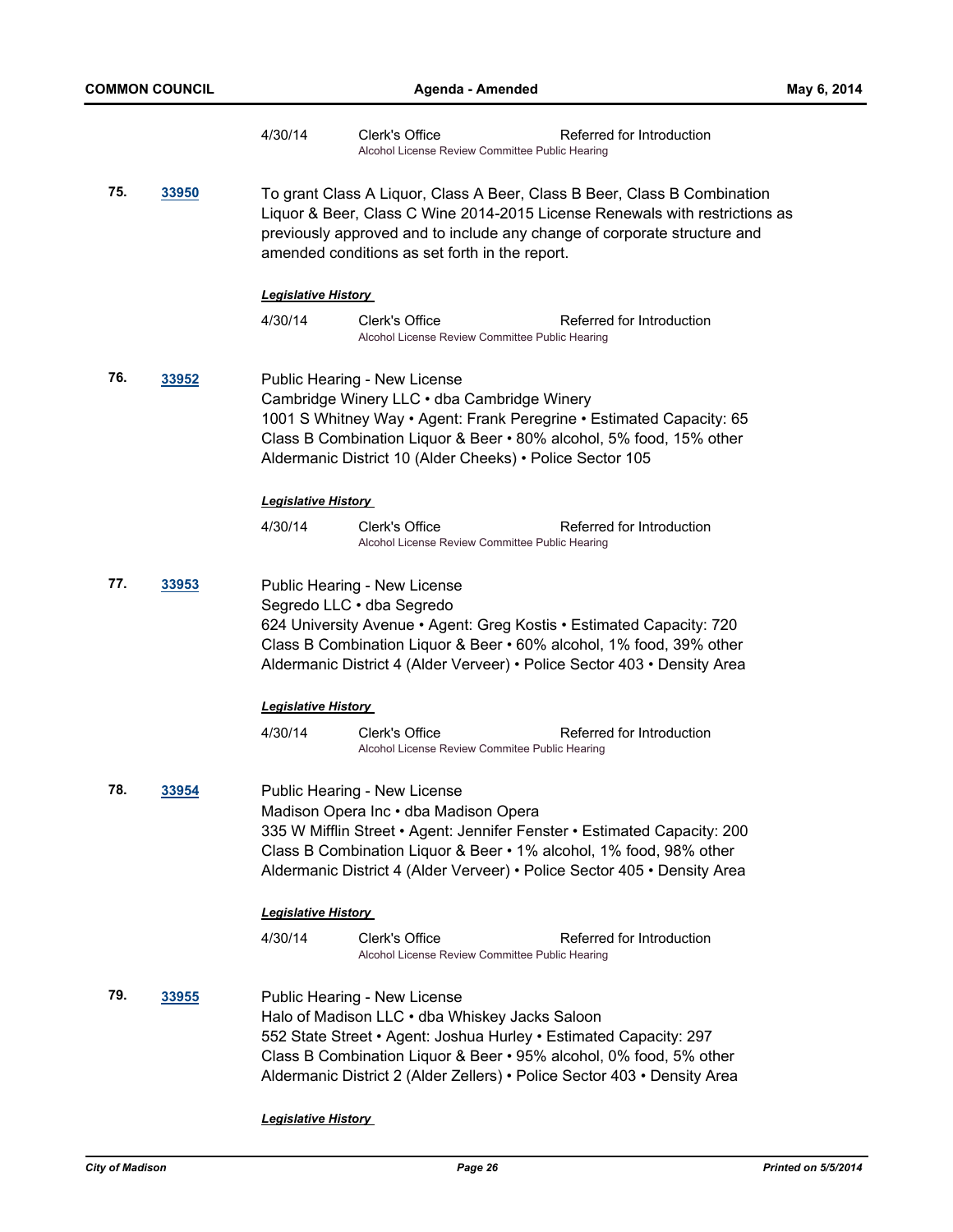|                            |       | 4/30/14                                                                                                                                                                                                                                                                                 | Clerk's Office<br>Alcohol License Review Committee Public Hearing              | Referred for Introduction                                                                                                                                                                                                  |  |
|----------------------------|-------|-----------------------------------------------------------------------------------------------------------------------------------------------------------------------------------------------------------------------------------------------------------------------------------------|--------------------------------------------------------------------------------|----------------------------------------------------------------------------------------------------------------------------------------------------------------------------------------------------------------------------|--|
| 75.                        | 33950 | To grant Class A Liquor, Class A Beer, Class B Beer, Class B Combination<br>Liquor & Beer, Class C Wine 2014-2015 License Renewals with restrictions as<br>previously approved and to include any change of corporate structure and<br>amended conditions as set forth in the report.   |                                                                                |                                                                                                                                                                                                                            |  |
|                            |       | <b>Legislative History</b>                                                                                                                                                                                                                                                              |                                                                                |                                                                                                                                                                                                                            |  |
|                            |       | 4/30/14                                                                                                                                                                                                                                                                                 | Clerk's Office<br>Alcohol License Review Committee Public Hearing              | Referred for Introduction                                                                                                                                                                                                  |  |
| 76.                        | 33952 | Public Hearing - New License<br>Cambridge Winery LLC . dba Cambridge Winery<br>1001 S Whitney Way • Agent: Frank Peregrine • Estimated Capacity: 65<br>Class B Combination Liquor & Beer • 80% alcohol, 5% food, 15% other<br>Aldermanic District 10 (Alder Cheeks) · Police Sector 105 |                                                                                |                                                                                                                                                                                                                            |  |
|                            |       | <b>Legislative History</b>                                                                                                                                                                                                                                                              |                                                                                |                                                                                                                                                                                                                            |  |
|                            |       | 4/30/14                                                                                                                                                                                                                                                                                 | Clerk's Office<br>Alcohol License Review Committee Public Hearing              | Referred for Introduction                                                                                                                                                                                                  |  |
| 77.                        | 33953 |                                                                                                                                                                                                                                                                                         | Public Hearing - New License<br>Segredo LLC · dba Segredo                      | 624 University Avenue • Agent: Greg Kostis • Estimated Capacity: 720<br>Class B Combination Liquor & Beer • 60% alcohol, 1% food, 39% other<br>Aldermanic District 4 (Alder Verveer) • Police Sector 403 • Density Area    |  |
|                            |       |                                                                                                                                                                                                                                                                                         | <b>Legislative History</b>                                                     |                                                                                                                                                                                                                            |  |
|                            |       | 4/30/14                                                                                                                                                                                                                                                                                 | Clerk's Office<br>Alcohol License Review Commitee Public Hearing               | Referred for Introduction                                                                                                                                                                                                  |  |
| 78.                        | 33954 |                                                                                                                                                                                                                                                                                         | Public Hearing - New License<br>Madison Opera Inc • dba Madison Opera          | 335 W Mifflin Street • Agent: Jennifer Fenster • Estimated Capacity: 200<br>Class B Combination Liquor & Beer • 1% alcohol, 1% food, 98% other<br>Aldermanic District 4 (Alder Verveer) • Police Sector 405 • Density Area |  |
| <b>Legislative History</b> |       |                                                                                                                                                                                                                                                                                         |                                                                                |                                                                                                                                                                                                                            |  |
|                            |       | 4/30/14                                                                                                                                                                                                                                                                                 | Clerk's Office<br>Alcohol License Review Committee Public Hearing              | Referred for Introduction                                                                                                                                                                                                  |  |
| 79.                        | 33955 |                                                                                                                                                                                                                                                                                         | Public Hearing - New License<br>Halo of Madison LLC . dba Whiskey Jacks Saloon | 552 State Street • Agent: Joshua Hurley • Estimated Capacity: 297<br>Class B Combination Liquor & Beer • 95% alcohol, 0% food, 5% other<br>Aldermanic District 2 (Alder Zellers) • Police Sector 403 • Density Area        |  |
|                            |       | <u> Legislative History</u>                                                                                                                                                                                                                                                             |                                                                                |                                                                                                                                                                                                                            |  |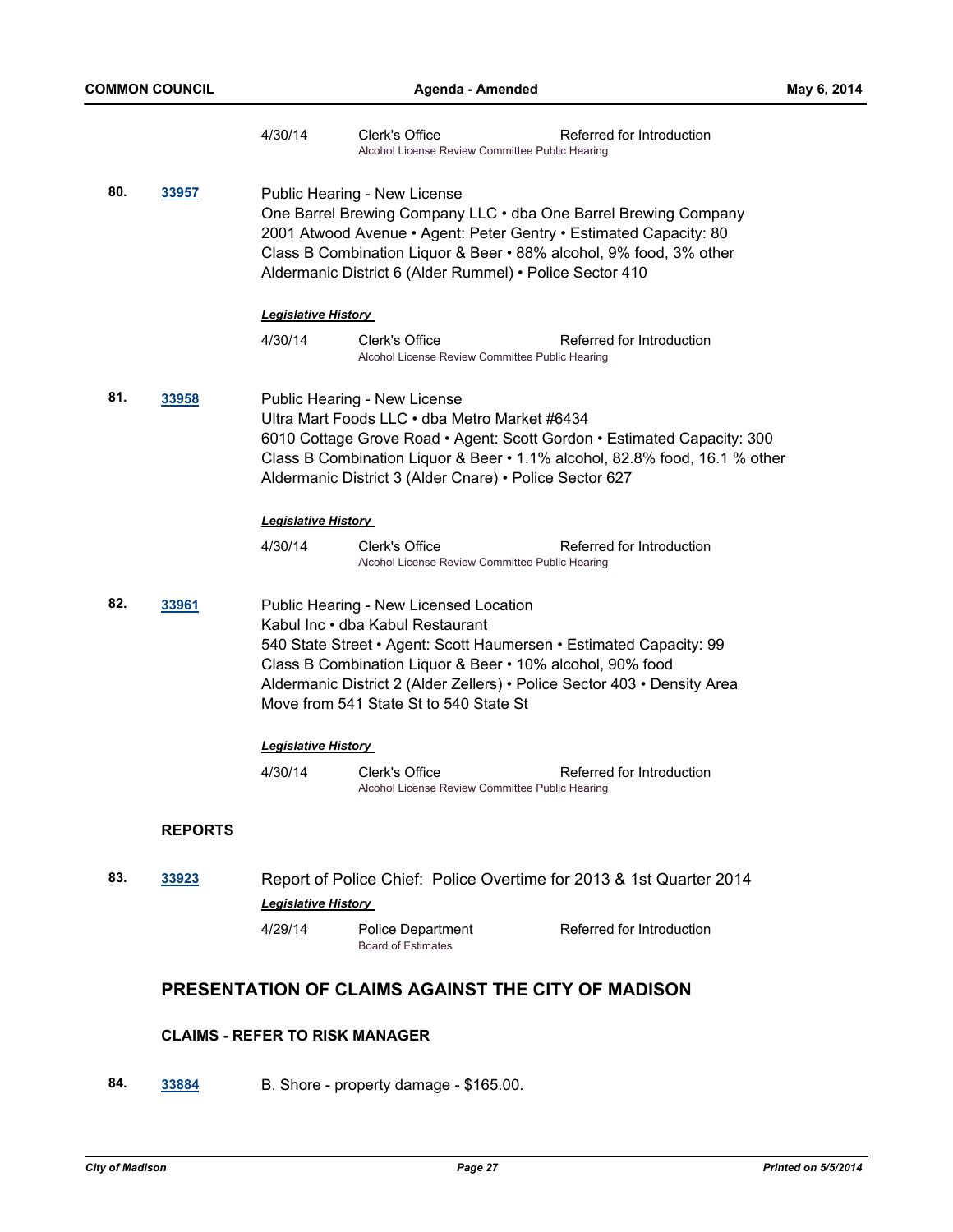|     |                                                                                                                                                                                                                                                                                                                 | 4/30/14                                                                                                                                                                                                                                                                                                                             | Clerk's Office<br>Alcohol License Review Committee Public Hearing | Referred for Introduction |  |
|-----|-----------------------------------------------------------------------------------------------------------------------------------------------------------------------------------------------------------------------------------------------------------------------------------------------------------------|-------------------------------------------------------------------------------------------------------------------------------------------------------------------------------------------------------------------------------------------------------------------------------------------------------------------------------------|-------------------------------------------------------------------|---------------------------|--|
| 80. | 33957<br>Public Hearing - New License<br>One Barrel Brewing Company LLC . dba One Barrel Brewing Company<br>2001 Atwood Avenue • Agent: Peter Gentry • Estimated Capacity: 80<br>Class B Combination Liquor & Beer • 88% alcohol, 9% food, 3% other<br>Aldermanic District 6 (Alder Rummel) • Police Sector 410 |                                                                                                                                                                                                                                                                                                                                     |                                                                   |                           |  |
|     |                                                                                                                                                                                                                                                                                                                 | <b>Legislative History</b>                                                                                                                                                                                                                                                                                                          |                                                                   |                           |  |
|     |                                                                                                                                                                                                                                                                                                                 | 4/30/14                                                                                                                                                                                                                                                                                                                             | Clerk's Office<br>Alcohol License Review Committee Public Hearing | Referred for Introduction |  |
| 81. | <u>33958</u>                                                                                                                                                                                                                                                                                                    | Public Hearing - New License<br>Ultra Mart Foods LLC • dba Metro Market #6434<br>6010 Cottage Grove Road . Agent: Scott Gordon . Estimated Capacity: 300<br>Class B Combination Liquor & Beer • 1.1% alcohol, 82.8% food, 16.1 % other<br>Aldermanic District 3 (Alder Cnare) • Police Sector 627                                   |                                                                   |                           |  |
|     |                                                                                                                                                                                                                                                                                                                 | <b>Legislative History</b>                                                                                                                                                                                                                                                                                                          |                                                                   |                           |  |
|     |                                                                                                                                                                                                                                                                                                                 | 4/30/14                                                                                                                                                                                                                                                                                                                             | Clerk's Office<br>Alcohol License Review Committee Public Hearing | Referred for Introduction |  |
| 82. | 33961                                                                                                                                                                                                                                                                                                           | Public Hearing - New Licensed Location<br>Kabul Inc · dba Kabul Restaurant<br>540 State Street • Agent: Scott Haumersen • Estimated Capacity: 99<br>Class B Combination Liquor & Beer • 10% alcohol, 90% food<br>Aldermanic District 2 (Alder Zellers) • Police Sector 403 • Density Area<br>Move from 541 State St to 540 State St |                                                                   |                           |  |
|     |                                                                                                                                                                                                                                                                                                                 | <u> Legislative History </u>                                                                                                                                                                                                                                                                                                        |                                                                   |                           |  |
|     |                                                                                                                                                                                                                                                                                                                 | 4/30/14                                                                                                                                                                                                                                                                                                                             | Clerk's Office<br>Alcohol License Review Committee Public Hearing | Referred for Introduction |  |
|     | <b>REPORTS</b>                                                                                                                                                                                                                                                                                                  |                                                                                                                                                                                                                                                                                                                                     |                                                                   |                           |  |
| 83. | 33923                                                                                                                                                                                                                                                                                                           | Report of Police Chief: Police Overtime for 2013 & 1st Quarter 2014                                                                                                                                                                                                                                                                 |                                                                   |                           |  |
|     |                                                                                                                                                                                                                                                                                                                 | <b>Legislative History</b>                                                                                                                                                                                                                                                                                                          |                                                                   |                           |  |
|     |                                                                                                                                                                                                                                                                                                                 | 4/29/14                                                                                                                                                                                                                                                                                                                             | Police Department<br><b>Board of Estimates</b>                    | Referred for Introduction |  |
|     |                                                                                                                                                                                                                                                                                                                 |                                                                                                                                                                                                                                                                                                                                     | <b>DDECENTATION OF CLAIMS ACAINST THE CITY OF MADISON</b>         |                           |  |

# **PRESENTATION OF CLAIMS AGAINST THE CITY OF MADISON**

# **CLAIMS - REFER TO RISK MANAGER**

**84. [33884](http://madison.legistar.com/gateway.aspx?m=l&id=/matter.aspx?key=36980)** B. Shore - property damage - \$165.00.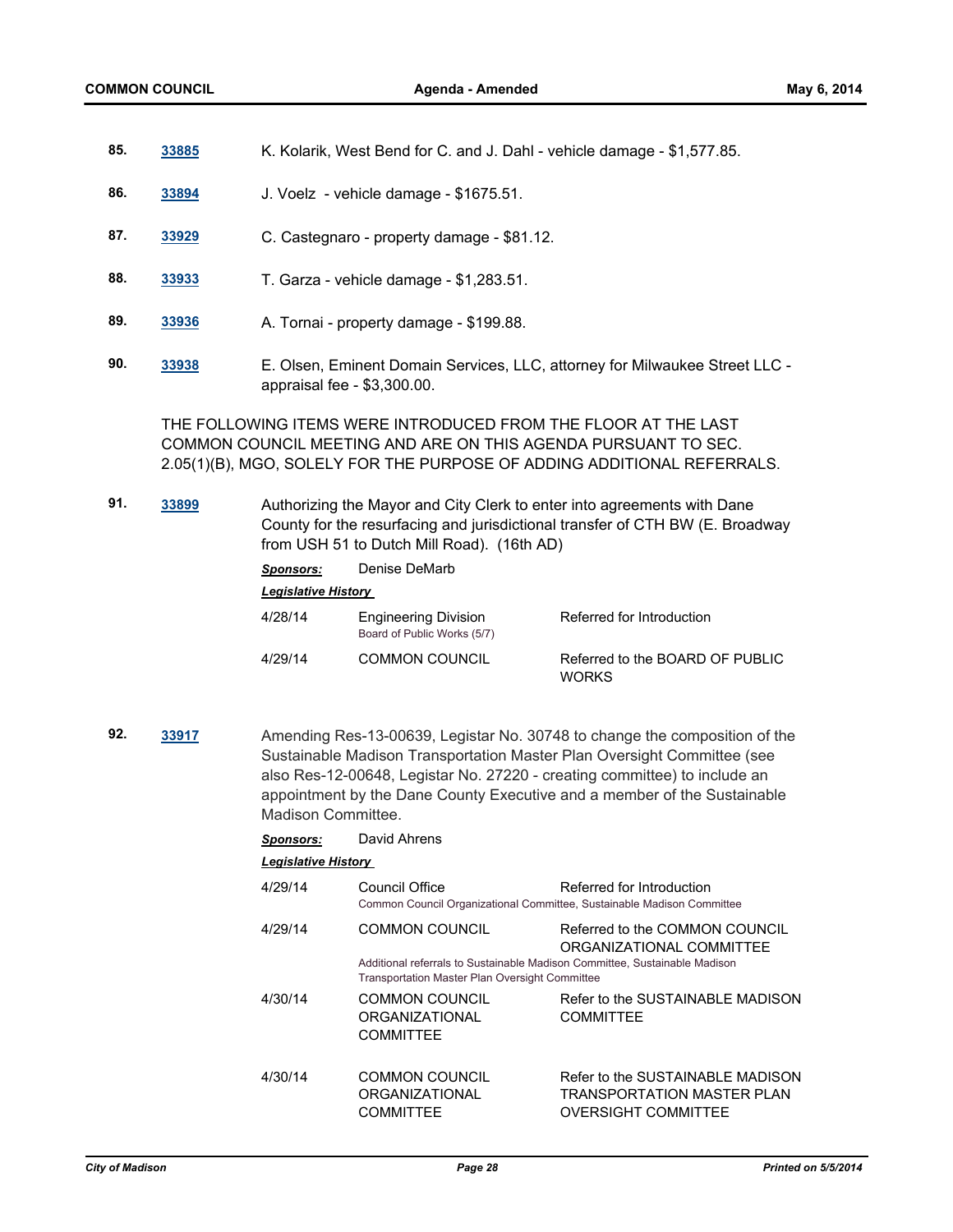- **85. [33885](http://madison.legistar.com/gateway.aspx?m=l&id=/matter.aspx?key=36981)** K. Kolarik, West Bend for C. and J. Dahl vehicle damage \$1,577.85.
- **86. [33894](http://madison.legistar.com/gateway.aspx?m=l&id=/matter.aspx?key=36990)** J. Voelz vehicle damage \$1675.51.
- **87. [33929](http://madison.legistar.com/gateway.aspx?m=l&id=/matter.aspx?key=37026)** C. Castegnaro property damage \$81.12.
- **88. [33933](http://madison.legistar.com/gateway.aspx?m=l&id=/matter.aspx?key=37029)** T. Garza vehicle damage \$1,283.51.
- **89. [33936](http://madison.legistar.com/gateway.aspx?m=l&id=/matter.aspx?key=37032)** A. Tornai property damage \$199.88.
- **90. [33938](http://madison.legistar.com/gateway.aspx?m=l&id=/matter.aspx?key=37034)** E. Olsen, Eminent Domain Services, LLC, attorney for Milwaukee Street LLC appraisal fee - \$3,300.00.

THE FOLLOWING ITEMS WERE INTRODUCED FROM THE FLOOR AT THE LAST COMMON COUNCIL MEETING AND ARE ON THIS AGENDA PURSUANT TO SEC. 2.05(1)(B), MGO, SOLELY FOR THE PURPOSE OF ADDING ADDITIONAL REFERRALS.

**91. [33899](http://madison.legistar.com/gateway.aspx?m=l&id=/matter.aspx?key=36995)** Authorizing the Mayor and City Clerk to enter into agreements with Dane County for the resurfacing and jurisdictional transfer of CTH BW (E. Broadway from USH 51 to Dutch Mill Road). (16th AD)

> *Sponsors:* Denise DeMarb *Legislative History*  4/28/14 Engineering Division Referred for Introduction Board of Public Works (5/7) 4/29/14 COMMON COUNCIL Referred to the BOARD OF PUBLIC WORKS

**92. [33917](http://madison.legistar.com/gateway.aspx?m=l&id=/matter.aspx?key=37013)** Amending Res-13-00639, Legistar No. 30748 to change the composition of the Sustainable Madison Transportation Master Plan Oversight Committee (see also Res-12-00648, Legistar No. 27220 - creating committee) to include an appointment by the Dane County Executive and a member of the Sustainable Madison Committee.

## *Sponsors:* David Ahrens

#### *Legislative History*

4/29/14 Council Office Referred for Introduction Common Council Organizational Committee, Sustainable Madison Committee 4/29/14 COMMON COUNCIL Referred to the COMMON COUNCIL ORGANIZATIONAL COMMITTEE Additional referrals to Sustainable Madison Committee, Sustainable Madison Transportation Master Plan Oversight Committee 4/30/14 COMMON COUNCIL ORGANIZATIONAL **COMMITTEE** Refer to the SUSTAINABLE MADISON **COMMITTEE** 4/30/14 COMMON COUNCIL ORGANIZATIONAL **COMMITTEE** Refer to the SUSTAINABLE MADISON TRANSPORTATION MASTER PLAN OVERSIGHT COMMITTEE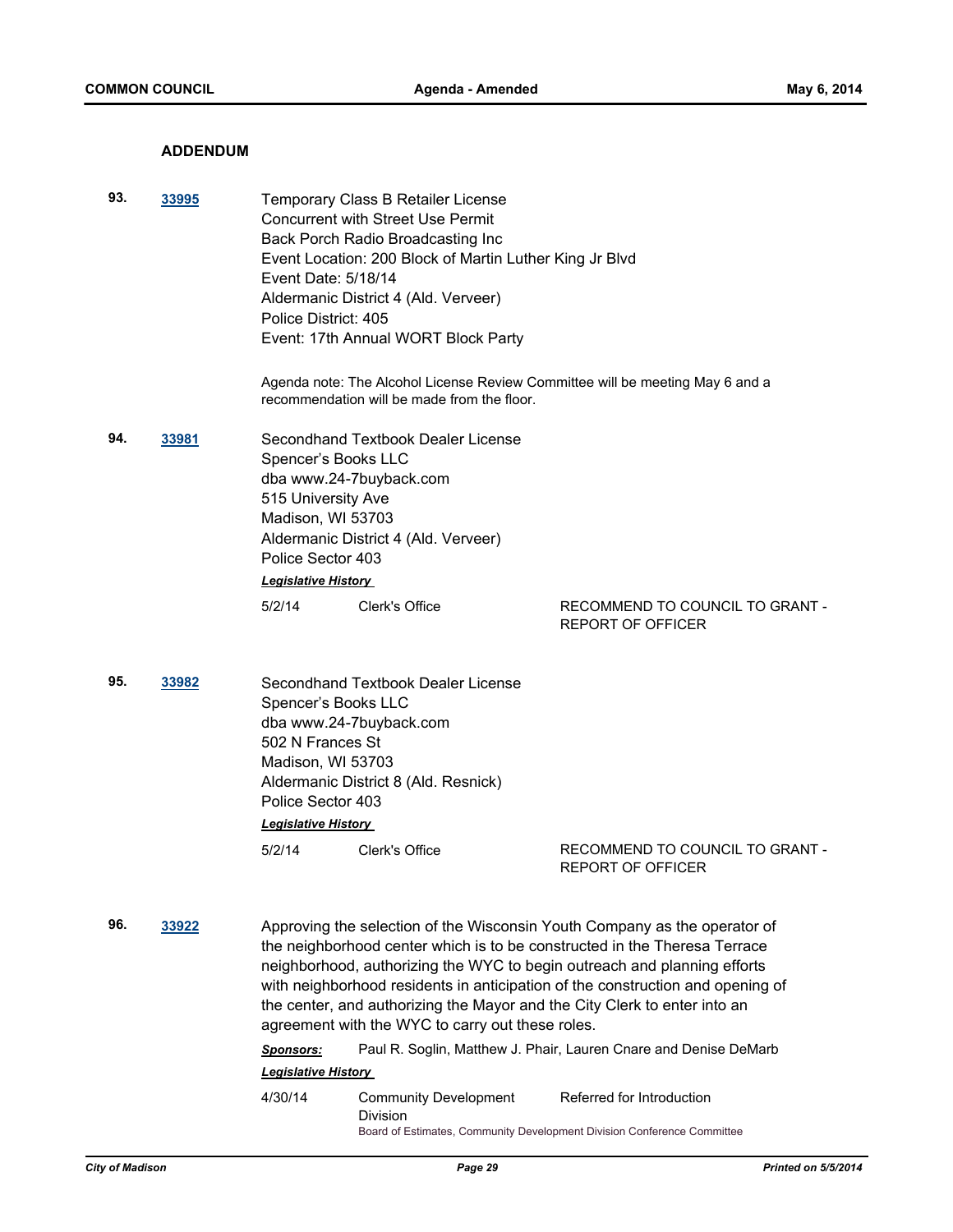## **ADDENDUM**

| 93. | 33995                                                                                                                                               | Temporary Class B Retailer License<br><b>Concurrent with Street Use Permit</b><br>Back Porch Radio Broadcasting Inc<br>Event Location: 200 Block of Martin Luther King Jr Blvd<br>Event Date: 5/18/14<br>Aldermanic District 4 (Ald. Verveer)<br>Police District: 405<br>Event: 17th Annual WORT Block Party |                                                                                                                               |                                                                                                                                                                                                                                                                                                                      |  |  |
|-----|-----------------------------------------------------------------------------------------------------------------------------------------------------|--------------------------------------------------------------------------------------------------------------------------------------------------------------------------------------------------------------------------------------------------------------------------------------------------------------|-------------------------------------------------------------------------------------------------------------------------------|----------------------------------------------------------------------------------------------------------------------------------------------------------------------------------------------------------------------------------------------------------------------------------------------------------------------|--|--|
|     |                                                                                                                                                     | Agenda note: The Alcohol License Review Committee will be meeting May 6 and a<br>recommendation will be made from the floor.                                                                                                                                                                                 |                                                                                                                               |                                                                                                                                                                                                                                                                                                                      |  |  |
| 94. | 33981                                                                                                                                               | Spencer's Books LLC<br>515 University Ave<br>Madison, WI 53703<br>Police Sector 403<br><b>Legislative History</b>                                                                                                                                                                                            | Secondhand Textbook Dealer License<br>dba www.24-7buyback.com<br>Aldermanic District 4 (Ald. Verveer)                         |                                                                                                                                                                                                                                                                                                                      |  |  |
|     |                                                                                                                                                     | 5/2/14                                                                                                                                                                                                                                                                                                       | Clerk's Office                                                                                                                | RECOMMEND TO COUNCIL TO GRANT -<br><b>REPORT OF OFFICER</b>                                                                                                                                                                                                                                                          |  |  |
| 95. | 33982<br>Spencer's Books LLC<br>dba www.24-7buyback.com<br>502 N Frances St<br>Madison, WI 53703<br>Police Sector 403<br><b>Legislative History</b> |                                                                                                                                                                                                                                                                                                              | Secondhand Textbook Dealer License<br>Aldermanic District 8 (Ald. Resnick)                                                    |                                                                                                                                                                                                                                                                                                                      |  |  |
|     |                                                                                                                                                     | 5/2/14                                                                                                                                                                                                                                                                                                       | Clerk's Office                                                                                                                | RECOMMEND TO COUNCIL TO GRANT -<br>REPORT OF OFFICER                                                                                                                                                                                                                                                                 |  |  |
| 96. | 33922                                                                                                                                               |                                                                                                                                                                                                                                                                                                              | the center, and authorizing the Mayor and the City Clerk to enter into an<br>agreement with the WYC to carry out these roles. | Approving the selection of the Wisconsin Youth Company as the operator of<br>the neighborhood center which is to be constructed in the Theresa Terrace<br>neighborhood, authorizing the WYC to begin outreach and planning efforts<br>with neighborhood residents in anticipation of the construction and opening of |  |  |

*Sponsors:* Paul R. Soglin, Matthew J. Phair, Lauren Cnare and Denise DeMarb *Legislative History* 

4/30/14 Community Development Division Referred for Introduction Board of Estimates, Community Development Division Conference Committee